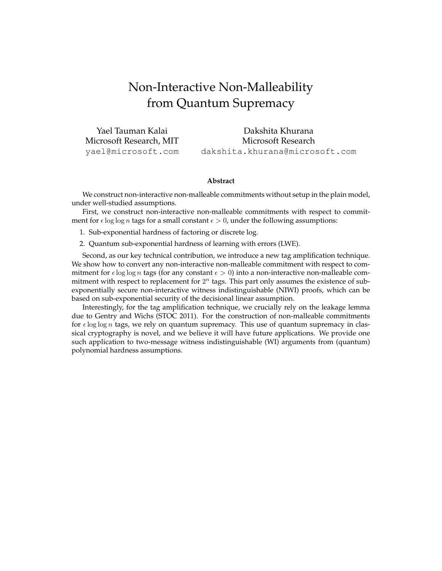# <span id="page-0-0"></span>Non-Interactive Non-Malleability from Quantum Supremacy

Yael Tauman Kalai Microsoft Research, MIT yael@microsoft.com Dakshita Khurana Microsoft Research dakshita.khurana@microsoft.com

#### **Abstract**

We construct non-interactive non-malleable commitments without setup in the plain model, under well-studied assumptions.

First, we construct non-interactive non-malleable commitments with respect to commitment for  $\epsilon$  log log *n* tags for a small constant  $\epsilon > 0$ , under the following assumptions:

- 1. Sub-exponential hardness of factoring or discrete log.
- 2. Quantum sub-exponential hardness of learning with errors (LWE).

Second, as our key technical contribution, we introduce a new tag amplification technique. We show how to convert any non-interactive non-malleable commitment with respect to commitment for  $\epsilon \log \log n$  tags (for any constant  $\epsilon > 0$ ) into a non-interactive non-malleable commitment with respect to replacement for  $2^n$  tags. This part only assumes the existence of subexponentially secure non-interactive witness indistinguishable (NIWI) proofs, which can be based on sub-exponential security of the decisional linear assumption.

Interestingly, for the tag amplification technique, we crucially rely on the leakage lemma due to Gentry and Wichs (STOC 2011). For the construction of non-malleable commitments for  $\epsilon$  log log n tags, we rely on quantum supremacy. This use of quantum supremacy in classical cryptography is novel, and we believe it will have future applications. We provide one such application to two-message witness indistinguishable (WI) arguments from (quantum) polynomial hardness assumptions.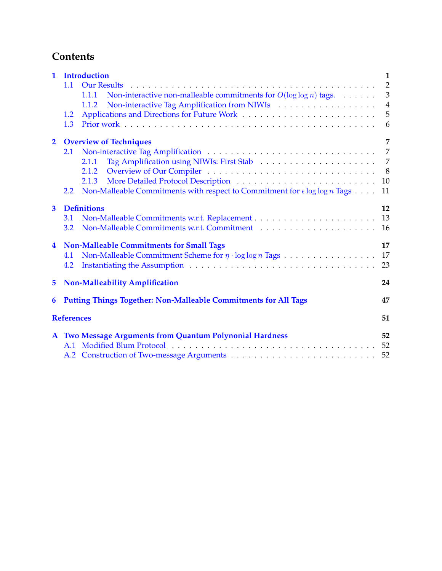# <span id="page-1-0"></span>**Contents**

| $\mathbf{1}$   | <b>Introduction</b>                                                                                                                                                                                                                   | 1              |  |  |  |  |
|----------------|---------------------------------------------------------------------------------------------------------------------------------------------------------------------------------------------------------------------------------------|----------------|--|--|--|--|
|                | 1.1<br><b>Our Results</b>                                                                                                                                                                                                             | $\overline{2}$ |  |  |  |  |
|                | Non-interactive non-malleable commitments for $O(\log \log n)$ tags. $\dots \dots$<br>1.1.1                                                                                                                                           | 3              |  |  |  |  |
|                | Non-interactive Tag Amplification from NIWIs<br>1.1.2                                                                                                                                                                                 | $\overline{4}$ |  |  |  |  |
|                | 1.2                                                                                                                                                                                                                                   | 5              |  |  |  |  |
|                | 1.3                                                                                                                                                                                                                                   | 6              |  |  |  |  |
| $\overline{2}$ | <b>Overview of Techniques</b>                                                                                                                                                                                                         | 7              |  |  |  |  |
|                | 2.1                                                                                                                                                                                                                                   | $\overline{7}$ |  |  |  |  |
|                | 2.1.1                                                                                                                                                                                                                                 | 7              |  |  |  |  |
|                | 2.1.2                                                                                                                                                                                                                                 | 8              |  |  |  |  |
|                | 2.1.3                                                                                                                                                                                                                                 | 10             |  |  |  |  |
|                | Non-Malleable Commitments with respect to Commitment for $\epsilon \log \log n$ Tags<br>2.2                                                                                                                                           | 11             |  |  |  |  |
| 3              | <b>Definitions</b>                                                                                                                                                                                                                    |                |  |  |  |  |
|                | 3.1                                                                                                                                                                                                                                   | 13             |  |  |  |  |
|                | 3.2                                                                                                                                                                                                                                   | 16             |  |  |  |  |
| 4              | <b>Non-Malleable Commitments for Small Tags</b>                                                                                                                                                                                       | 17             |  |  |  |  |
|                | Non-Malleable Commitment Scheme for $\eta \cdot \log \log n$ Tags $\dots \dots \dots \dots \dots$<br>4.1                                                                                                                              | 17             |  |  |  |  |
|                | Instantiating the Assumption entertainment of the Assumption entertainment of the Assumption entertainment of the Assumption entertainment of the Assumption entertainment of the Assumption entertainment of the Assumption e<br>4.2 | 23             |  |  |  |  |
| 5              | <b>Non-Malleability Amplification</b>                                                                                                                                                                                                 |                |  |  |  |  |
| 6              | <b>Putting Things Together: Non-Malleable Commitments for All Tags</b>                                                                                                                                                                | 47             |  |  |  |  |
|                | <b>References</b>                                                                                                                                                                                                                     | 51             |  |  |  |  |
|                | A Two Message Arguments from Quantum Polynonial Hardness                                                                                                                                                                              | 52             |  |  |  |  |
|                |                                                                                                                                                                                                                                       | 52             |  |  |  |  |
|                |                                                                                                                                                                                                                                       | 52             |  |  |  |  |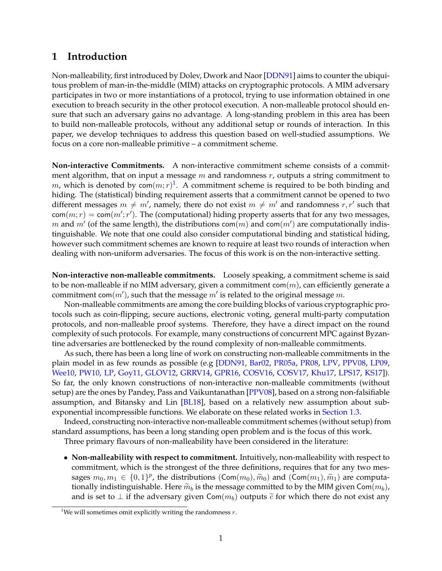# <span id="page-2-0"></span>**1 Introduction**

Non-malleability, first introduced by Dolev, Dwork and Naor [\[DDN91\]](#page-51-0) aims to counter the ubiquitous problem of man-in-the-middle (MIM) attacks on cryptographic protocols. A MIM adversary participates in two or more instantiations of a protocol, trying to use information obtained in one execution to breach security in the other protocol execution. A non-malleable protocol should ensure that such an adversary gains no advantage. A long-standing problem in this area has been to build non-malleable protocols, without any additional setup or rounds of interaction. In this paper, we develop techniques to address this question based on well-studied assumptions. We focus on a core non-malleable primitive – a commitment scheme.

**Non-interactive Commitments.** A non-interactive commitment scheme consists of a commitment algorithm, that on input a message  $m$  and randomness  $r$ , outputs a string commitment to m, which is denoted by com $(m;r)^1$  $(m;r)^1$ . A commitment scheme is required to be both binding and hiding. The (statistical) binding requirement asserts that a commitment cannot be opened to two different messages  $m \neq m'$ , namely, there do not exist  $m \neq m'$  and randomness  $r, r'$  such that  $\mathsf{com}(m;r) = \mathsf{com}(m';r').$  The (computational) hiding property asserts that for any two messages, m and  $m'$  (of the same length), the distributions com $(m)$  and com $(m')$  are computationally indistinguishable. We note that one could also consider computational binding and statistical hiding, however such commitment schemes are known to require at least two rounds of interaction when dealing with non-uniform adversaries. The focus of this work is on the non-interactive setting.

**Non-interactive non-malleable commitments.** Loosely speaking, a commitment scheme is said to be non-malleable if no MIM adversary, given a commitment com $(m)$ , can efficiently generate a commitment com $(m')$ , such that the message  $m'$  is related to the original message  $m$ .

Non-malleable commitments are among the core building blocks of various cryptographic protocols such as coin-flipping, secure auctions, electronic voting, general multi-party computation protocols, and non-malleable proof systems. Therefore, they have a direct impact on the round complexity of such protocols. For example, many constructions of concurrent MPC against Byzantine adversaries are bottlenecked by the round complexity of non-malleable commitments.

As such, there has been a long line of work on constructing non-malleable commitments in the plain model in as few rounds as possible (e.g [\[DDN91,](#page-51-0) [Bar02,](#page-49-1) [PR05a,](#page-52-0) [PR08,](#page-52-1) [LPV,](#page-52-2) [PPV08,](#page-52-3) [LP09,](#page-52-4) [Wee10,](#page-52-5) [PW10,](#page-52-6) [LP,](#page-52-7) [Goy11,](#page-51-1) [GLOV12,](#page-51-2) [GRRV14,](#page-51-3) [GPR16,](#page-51-4) [COSV16,](#page-50-0) [COSV17,](#page-50-1) [Khu17,](#page-51-5) [LPS17,](#page-52-8) [KS17\]](#page-52-9)). So far, the only known constructions of non-interactive non-malleable commitments (without setup) are the ones by Pandey, Pass and Vaikuntanathan [\[PPV08\]](#page-52-3), based on a strong non-falsifiable assumption, and Bitansky and Lin [\[BL18\]](#page-50-2), based on a relatively new assumption about subexponential incompressible functions. We elaborate on these related works in [Section 1.3.](#page-7-0)

Indeed, constructing non-interactive non-malleable commitment schemes (without setup) from standard assumptions, has been a long standing open problem and is the focus of this work.

Three primary flavours of non-malleability have been considered in the literature:

• **Non-malleability with respect to commitment.** Intuitively, non-malleability with respect to commitment, which is the strongest of the three definitions, requires that for any two messages  $m_0, m_1 \in \{0, 1\}^p$ , the distributions  $(\text{Com}(m_0), \widetilde{m}_0)$  and  $(\text{Com}(m_1), \widetilde{m}_1)$  are computa-<br>tionally indictinguishable. Here  $\widetilde{m}_1$  is the message committed to by the MIM given  $\text{Com}(m_1)$ . tionally indistinguishable. Here  $\widetilde{m}_b$  is the message committed to by the MIM given Com $(m_b)$ , and is set to  $\perp$  if the adversary given Com( $m_b$ ) outputs  $\tilde{c}$  for which there do not exist any

<span id="page-2-1"></span><sup>&</sup>lt;sup>1</sup>We will sometimes omit explicitly writing the randomness  $r$ .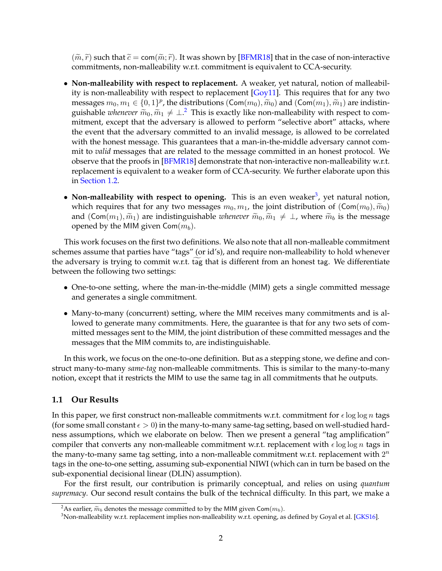$(\widetilde{m}, \widetilde{r})$  such that  $\widetilde{c} = \text{com}(\widetilde{m}; \widetilde{r})$ . It was shown by [\[BFMR18\]](#page-50-3) that in the case of non-interactive commitments, non-malleability w.r.t. commitment is equivalent to CCA-security.

- **Non-malleability with respect to replacement.** A weaker, yet natural, notion of malleabil-ity is non-malleability with respect to replacement [\[Goy11\]](#page-51-1). This requires that for any two messages  $m_0, m_1 \in \{0, 1\}^p$ , the distributions  $(\text{Com}(m_0), \widetilde{m}_0)$  and  $(\text{Com}(m_1), \widetilde{m}_1)$  are indistin-<br>quickable *ulterator*  $\widetilde{\mathfrak{m}}$ ,  $\widetilde{\mathfrak{m}}$ ,  $\neq +\frac{2}{3}$ . This is exactly like non-malleability with r guishable *whenever*  $\widetilde{m}_0$ ,  $\widetilde{m}_1 \neq \perp$ .<sup>[2](#page-3-1)</sup> This is exactly like non-malleability with respect to com-<br>mitmont, over that the adversary is allowed to perform "colocitive about" attacks, where mitment, except that the adversary is allowed to perform "selective abort" attacks, where the event that the adversary committed to an invalid message, is allowed to be correlated with the honest message. This guarantees that a man-in-the-middle adversary cannot commit to *valid* messages that are related to the message committed in an honest protocol. We observe that the proofs in [\[BFMR18\]](#page-50-3) demonstrate that non-interactive non-malleability w.r.t. replacement is equivalent to a weaker form of CCA-security. We further elaborate upon this in [Section 1.2.](#page-6-0)
- Non-malleability with respect to opening. This is an even weaker<sup>[3](#page-3-2)</sup>, yet natural notion, which requires that for any two messages  $m_0, m_1$ , the joint distribution of  $(\text{Com}(m_0), \widetilde{m}_0)$ and (Com( $m_1$ ),  $\widetilde{m}_1$ ) are indistinguishable *whenever*  $\widetilde{m}_0$ ,  $\widetilde{m}_1 \neq \perp$ , where  $\widetilde{m}_b$  is the message opened by the MIM given  $Com(m_b)$ .

This work focuses on the first two definitions. We also note that all non-malleable commitment schemes assume that parties have "tags" (or id's), and require non-malleability to hold whenever the adversary is trying to commit w.r.t. tag that is different from an honest tag. We differentiate between the following two settings:

- One-to-one setting, where the man-in-the-middle (MIM) gets a single committed message and generates a single commitment.
- Many-to-many (concurrent) setting, where the MIM receives many commitments and is allowed to generate many commitments. Here, the guarantee is that for any two sets of committed messages sent to the MIM, the joint distribution of these committed messages and the messages that the MIM commits to, are indistinguishable.

In this work, we focus on the one-to-one definition. But as a stepping stone, we define and construct many-to-many *same-tag* non-malleable commitments. This is similar to the many-to-many notion, except that it restricts the MIM to use the same tag in all commitments that he outputs.

## <span id="page-3-0"></span>**1.1 Our Results**

In this paper, we first construct non-malleable commitments w.r.t. commitment for  $\epsilon \log \log n$  tags (for some small constant  $\epsilon > 0$ ) in the many-to-many same-tag setting, based on well-studied hardness assumptions, which we elaborate on below. Then we present a general "tag amplification" compiler that converts any non-malleable commitment w.r.t. replacement with  $\epsilon \log \log n$  tags in the many-to-many same tag setting, into a non-malleable commitment w.r.t. replacement with  $2^n$ tags in the one-to-one setting, assuming sub-exponential NIWI (which can in turn be based on the sub-exponential decisional linear (DLIN) assumption).

For the first result, our contribution is primarily conceptual, and relies on using *quantum supremacy*. Our second result contains the bulk of the technical difficulty. In this part, we make a

<span id="page-3-1"></span><sup>&</sup>lt;sup>2</sup>As earlier,  $\widetilde{m}_b$  denotes the message committed to by the MIM given Com( $m_b$ ).

<span id="page-3-2"></span> $3$ Non-malleability w.r.t. replacement implies non-malleability w.r.t. opening, as defined by Goyal et al. [\[GKS16\]](#page-51-6).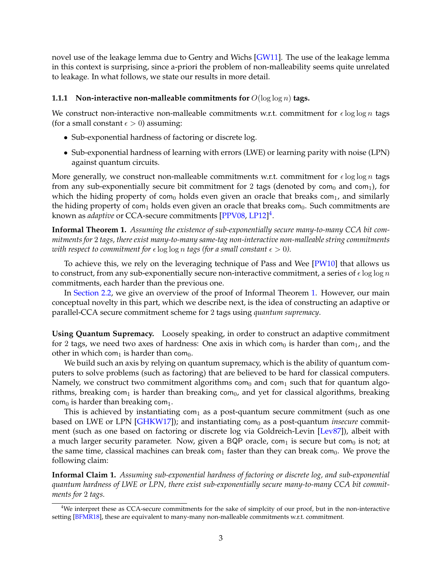<span id="page-4-3"></span>novel use of the leakage lemma due to Gentry and Wichs [\[GW11\]](#page-51-7). The use of the leakage lemma in this context is surprising, since a-priori the problem of non-malleability seems quite unrelated to leakage. In what follows, we state our results in more detail.

#### <span id="page-4-0"></span>**1.1.1 Non-interactive non-malleable commitments for**  $O(\log \log n)$  **tags.**

We construct non-interactive non-malleable commitments w.r.t. commitment for  $\epsilon \log \log n$  tags (for a small constant  $\epsilon > 0$ ) assuming:

- Sub-exponential hardness of factoring or discrete log.
- Sub-exponential hardness of learning with errors (LWE) or learning parity with noise (LPN) against quantum circuits.

More generally, we construct non-malleable commitments w.r.t. commitment for  $\epsilon \log \log n$  tags from any sub-exponentially secure bit commitment for 2 tags (denoted by com<sub>0</sub> and com<sub>1</sub>), for which the hiding property of com<sub>0</sub> holds even given an oracle that breaks com<sub>1</sub>, and similarly the hiding property of com<sub>1</sub> holds even given an oracle that breaks com<sub>0</sub>. Such commitments are known as *adaptive* or CCA-secure commitments [\[PPV08,](#page-52-3) [LP12\]](#page-52-10) [4](#page-4-1) .

<span id="page-4-2"></span>**Informal Theorem 1.** *Assuming the existence of sub-exponentially secure many-to-many CCA bit commitments for* 2 *tags, there exist many-to-many same-tag non-interactive non-malleable string commitments with respect to commitment for*  $\epsilon$  log log *n tags (for a small constant*  $\epsilon > 0$ ).

To achieve this, we rely on the leveraging technique of Pass and Wee [\[PW10\]](#page-52-6) that allows us to construct, from any sub-exponentially secure non-interactive commitment, a series of  $\epsilon \log \log n$ commitments, each harder than the previous one.

In [Section 2.2,](#page-12-0) we give an overview of the proof of Informal Theorem [1.](#page-4-2) However, our main conceptual novelty in this part, which we describe next, is the idea of constructing an adaptive or parallel-CCA secure commitment scheme for 2 tags using *quantum supremacy*.

**Using Quantum Supremacy.** Loosely speaking, in order to construct an adaptive commitment for 2 tags, we need two axes of hardness: One axis in which com<sub>0</sub> is harder than com<sub>1</sub>, and the other in which com<sub>1</sub> is harder than com<sub>0</sub>.

We build such an axis by relying on quantum supremacy, which is the ability of quantum computers to solve problems (such as factoring) that are believed to be hard for classical computers. Namely, we construct two commitment algorithms com $<sub>0</sub>$  and com<sub>1</sub> such that for quantum algo-</sub> rithms, breaking com<sub>1</sub> is harder than breaking com<sub>0</sub>, and yet for classical algorithms, breaking  $com<sub>0</sub>$  is harder than breaking com<sub>1</sub>.

This is achieved by instantiating  $com<sub>1</sub>$  as a post-quantum secure commitment (such as one based on LWE or LPN [\[GHKW17\]](#page-51-8)); and instantiating com<sub>0</sub> as a post-quantum *insecure* commitment (such as one based on factoring or discrete log via Goldreich-Levin [\[Lev87\]](#page-52-11)), albeit with a much larger security parameter. Now, given a BQP oracle, com<sub>1</sub> is secure but com<sub>0</sub> is not; at the same time, classical machines can break com<sub>1</sub> faster than they can break com<sub>0</sub>. We prove the following claim:

**Informal Claim 1.** *Assuming sub-exponential hardness of factoring or discrete log, and sub-exponential quantum hardness of LWE or LPN, there exist sub-exponentially secure many-to-many CCA bit commitments for* 2 *tags.*

<span id="page-4-1"></span><sup>&</sup>lt;sup>4</sup>We interpret these as CCA-secure commitments for the sake of simplcity of our proof, but in the non-interactive setting [\[BFMR18\]](#page-50-3), these are equivalent to many-many non-malleable commitments w.r.t. commitment.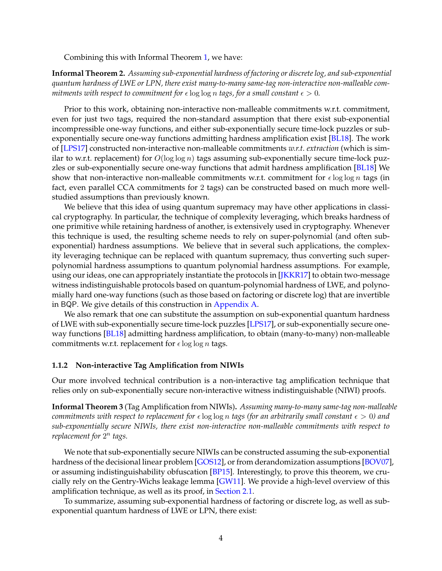<span id="page-5-1"></span>Combining this with Informal Theorem [1,](#page-4-2) we have:

**Informal Theorem 2.** *Assuming sub-exponential hardness of factoring or discrete log, and sub-exponential quantum hardness of LWE or LPN, there exist many-to-many same-tag non-interactive non-malleable commitments with respect to commitment for*  $\epsilon$  log log *n tags, for a small constant*  $\epsilon > 0$ *.* 

Prior to this work, obtaining non-interactive non-malleable commitments w.r.t. commitment, even for just two tags, required the non-standard assumption that there exist sub-exponential incompressible one-way functions, and either sub-exponentially secure time-lock puzzles or subexponentially secure one-way functions admitting hardness amplification exist [\[BL18\]](#page-50-2). The work of [\[LPS17\]](#page-52-8) constructed non-interactive non-malleable commitments *w.r.t. extraction* (which is similar to w.r.t. replacement) for  $O(\log \log n)$  tags assuming sub-exponentially secure time-lock puzzles or sub-exponentially secure one-way functions that admit hardness amplification [\[BL18\]](#page-50-2) We show that non-interactive non-malleable commitments w.r.t. commitment for  $\epsilon \log \log n$  tags (in fact, even parallel CCA commitments for 2 tags) can be constructed based on much more wellstudied assumptions than previously known.

We believe that this idea of using quantum supremacy may have other applications in classical cryptography. In particular, the technique of complexity leveraging, which breaks hardness of one primitive while retaining hardness of another, is extensively used in cryptography. Whenever this technique is used, the resulting scheme needs to rely on super-polynomial (and often subexponential) hardness assumptions. We believe that in several such applications, the complexity leveraging technique can be replaced with quantum supremacy, thus converting such superpolynomial hardness assumptions to quantum polynomial hardness assumptions. For example, using our ideas, one can appropriately instantiate the protocols in [\[JKKR17\]](#page-51-9) to obtain two-message witness indistinguishable protocols based on quantum-polynomial hardness of LWE, and polynomially hard one-way functions (such as those based on factoring or discrete log) that are invertible in BQP. We give details of this construction in [Appendix A.](#page-53-0)

We also remark that one can substitute the assumption on sub-exponential quantum hardness of LWE with sub-exponentially secure time-lock puzzles [\[LPS17\]](#page-52-8), or sub-exponentially secure oneway functions [\[BL18\]](#page-50-2) admitting hardness amplification, to obtain (many-to-many) non-malleable commitments w.r.t. replacement for  $\epsilon \log \log n$  tags.

#### <span id="page-5-0"></span>**1.1.2 Non-interactive Tag Amplification from NIWIs**

Our more involved technical contribution is a non-interactive tag amplification technique that relies only on sub-exponentially secure non-interactive witness indistinguishable (NIWI) proofs.

**Informal Theorem 3** (Tag Amplification from NIWIs)**.** *Assuming many-to-many same-tag non-malleable commitments with respect to replacement for*  $\epsilon$  log log n *tags (for an arbitrarily small constant*  $\epsilon > 0$ ) and *sub-exponentially secure NIWIs, there exist non-interactive non-malleable commitments with respect to replacement for* 2 n *tags.*

We note that sub-exponentially secure NIWIs can be constructed assuming the sub-exponential hardness of the decisional linear problem [\[GOS12\]](#page-51-10), or from derandomization assumptions [\[BOV07\]](#page-50-4), or assuming indistinguishability obfuscation [\[BP15\]](#page-50-5). Interestingly, to prove this theorem, we crucially rely on the Gentry-Wichs leakage lemma [\[GW11\]](#page-51-7). We provide a high-level overview of this amplification technique, as well as its proof, in [Section 2.1.](#page-8-1)

To summarize, assuming sub-exponential hardness of factoring or discrete log, as well as subexponential quantum hardness of LWE or LPN, there exist: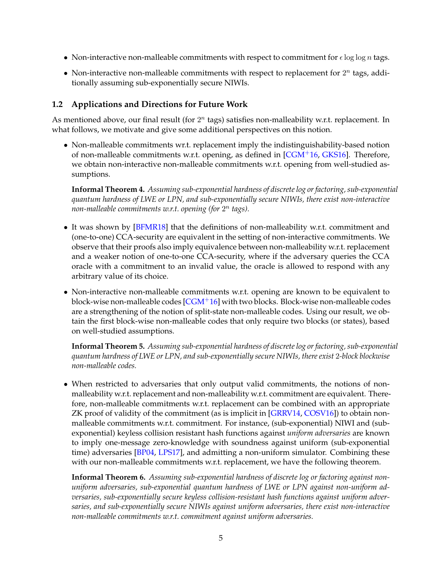- <span id="page-6-1"></span>• Non-interactive non-malleable commitments with respect to commitment for  $\epsilon \log \log n$  tags.
- Non-interactive non-malleable commitments with respect to replacement for  $2^n$  tags, additionally assuming sub-exponentially secure NIWIs.

## <span id="page-6-0"></span>**1.2 Applications and Directions for Future Work**

As mentioned above, our final result (for  $2^n$  tags) satisfies non-malleability w.r.t. replacement. In what follows, we motivate and give some additional perspectives on this notion.

• Non-malleable commitments wr.t. replacement imply the indistinguishability-based notion of non-malleable commitments w.r.t. opening, as defined in  $[CGM<sup>+</sup>16, GKS16]$  $[CGM<sup>+</sup>16, GKS16]$  $[CGM<sup>+</sup>16, GKS16]$ . Therefore, we obtain non-interactive non-malleable commitments w.r.t. opening from well-studied assumptions.

**Informal Theorem 4.** *Assuming sub-exponential hardness of discrete log or factoring, sub-exponential quantum hardness of LWE or LPN, and sub-exponentially secure NIWIs, there exist non-interactive non-malleable commitments w.r.t. opening (for* 2 n *tags).*

- It was shown by [\[BFMR18\]](#page-50-3) that the definitions of non-malleability w.r.t. commitment and (one-to-one) CCA-security are equivalent in the setting of non-interactive commitments. We observe that their proofs also imply equivalence between non-malleability w.r.t. replacement and a weaker notion of one-to-one CCA-security, where if the adversary queries the CCA oracle with a commitment to an invalid value, the oracle is allowed to respond with any arbitrary value of its choice.
- Non-interactive non-malleable commitments w.r.t. opening are known to be equivalent to block-wise non-malleable codes  $[CGM<sup>+</sup>16]$  $[CGM<sup>+</sup>16]$  with two blocks. Block-wise non-malleable codes are a strengthening of the notion of split-state non-malleable codes. Using our result, we obtain the first block-wise non-malleable codes that only require two blocks (or states), based on well-studied assumptions.

**Informal Theorem 5.** *Assuming sub-exponential hardness of discrete log or factoring, sub-exponential quantum hardness of LWE or LPN, and sub-exponentially secure NIWIs, there exist* 2*-block blockwise non-malleable codes.*

• When restricted to adversaries that only output valid commitments, the notions of nonmalleability w.r.t. replacement and non-malleability w.r.t. commitment are equivalent. Therefore, non-malleable commitments w.r.t. replacement can be combined with an appropriate ZK proof of validity of the commitment (as is implicit in [\[GRRV14,](#page-51-3) [COSV16\]](#page-50-0)) to obtain nonmalleable commitments w.r.t. commitment. For instance, (sub-exponential) NIWI and (subexponential) keyless collision resistant hash functions against *uniform adversaries* are known to imply one-message zero-knowledge with soundness against uniform (sub-exponential time) adversaries [\[BP04,](#page-50-7) [LPS17\]](#page-52-8), and admitting a non-uniform simulator. Combining these with our non-malleable commitments w.r.t. replacement, we have the following theorem.

**Informal Theorem 6.** *Assuming sub-exponential hardness of discrete log or factoring against nonuniform adversaries, sub-exponential quantum hardness of LWE or LPN against non-uniform adversaries, sub-exponentially secure keyless collision-resistant hash functions against uniform adversaries, and sub-exponentially secure NIWIs against uniform adversaries, there exist non-interactive non-malleable commitments w.r.t. commitment against uniform adversaries.*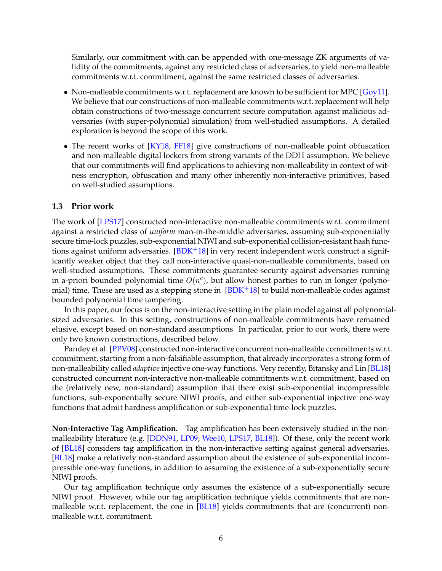<span id="page-7-1"></span>Similarly, our commitment with can be appended with one-message ZK arguments of validity of the commitments, against any restricted class of adversaries, to yield non-malleable commitments w.r.t. commitment, against the same restricted classes of adversaries.

- Non-malleable commitments w.r.t. replacement are known to be sufficient for MPC [\[Goy11\]](#page-51-1). We believe that our constructions of non-malleable commitments w.r.t. replacement will help obtain constructions of two-message concurrent secure computation against malicious adversaries (with super-polynomial simulation) from well-studied assumptions. A detailed exploration is beyond the scope of this work.
- The recent works of [\[KY18,](#page-52-12) [FF18\]](#page-51-11) give constructions of non-malleable point obfuscation and non-malleable digital lockers from strong variants of the DDH assumption. We believe that our commitments will find applications to achieving non-malleability in context of witness encryption, obfuscation and many other inherently non-interactive primitives, based on well-studied assumptions.

## <span id="page-7-0"></span>**1.3 Prior work**

The work of [\[LPS17\]](#page-52-8) constructed non-interactive non-malleable commitments w.r.t. commitment against a restricted class of *uniform* man-in-the-middle adversaries, assuming sub-exponentially secure time-lock puzzles, sub-exponential NIWI and sub-exponential collision-resistant hash functions against uniform adversaries.  $[BDK+18]$  $[BDK+18]$  in very recent independent work construct a significantly weaker object that they call non-interactive quasi-non-malleable commitments, based on well-studied assumptions. These commitments guarantee security against adversaries running in a-priori bounded polynomial time  $O(n^c)$ , but allow honest parties to run in longer (polynomial) time. These are used as a stepping stone in  $[BDK+18]$  $[BDK+18]$  to build non-malleable codes against bounded polynomial time tampering.

In this paper, our focus is on the non-interactive setting in the plain model against all polynomialsized adversaries. In this setting, constructions of non-malleable commitments have remained elusive, except based on non-standard assumptions. In particular, prior to our work, there were only two known constructions, described below.

Pandey et al. [\[PPV08\]](#page-52-3) constructed non-interactive concurrent non-malleable commitments w.r.t. commitment, starting from a non-falsifiable assumption, that already incorporates a strong form of non-malleability called *adaptive* injective one-way functions. Very recently, Bitansky and Lin [\[BL18\]](#page-50-2) constructed concurrent non-interactive non-malleable commitments w.r.t. commitment, based on the (relatively new, non-standard) assumption that there exist sub-exponential incompressible functions, sub-exponentially secure NIWI proofs, and either sub-exponential injective one-way functions that admit hardness amplification or sub-exponential time-lock puzzles.

**Non-Interactive Tag Amplification.** Tag amplification has been extensively studied in the nonmalleability literature (e.g. [\[DDN91,](#page-51-0) [LP09,](#page-52-4) [Wee10,](#page-52-5) [LPS17,](#page-52-8) [BL18\]](#page-50-2)). Of these, only the recent work of [\[BL18\]](#page-50-2) considers tag amplification in the non-interactive setting against general adversaries. [\[BL18\]](#page-50-2) make a relatively non-standard assumption about the existence of sub-exponential incompressible one-way functions, in addition to assuming the existence of a sub-exponentially secure NIWI proofs.

Our tag amplification technique only assumes the existence of a sub-exponentially secure NIWI proof. However, while our tag amplification technique yields commitments that are non-malleable w.r.t. replacement, the one in [\[BL18\]](#page-50-2) yields commitments that are (concurrent) nonmalleable w.r.t. commitment.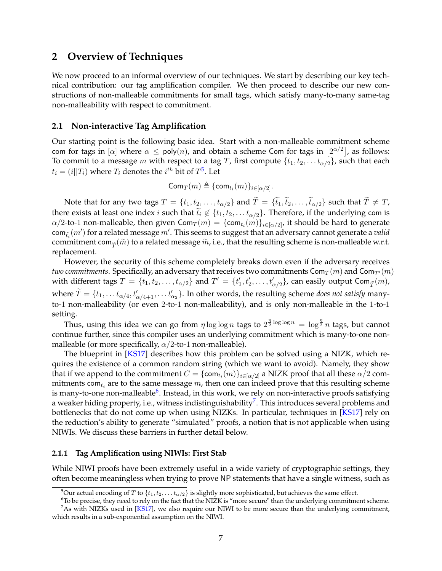# <span id="page-8-6"></span><span id="page-8-0"></span>**2 Overview of Techniques**

We now proceed to an informal overview of our techniques. We start by describing our key technical contribution: our tag amplification compiler. We then proceed to describe our new constructions of non-malleable commitments for small tags, which satisfy many-to-many same-tag non-malleability with respect to commitment.

## <span id="page-8-1"></span>**2.1 Non-interactive Tag Amplification**

Our starting point is the following basic idea. Start with a non-malleable commitment scheme com for tags in  $[\alpha]$  where  $\alpha \leq \mathsf{poly}(n)$ , and obtain a scheme Com for tags in  $\big[2^{\alpha/2}\big]$ , as follows: To commit to a message m with respect to a tag T, first compute  $\{t_1, t_2, \ldots t_{\alpha/2}\}$ , such that each  $t_i = (i||T_i)$  where  $T_i$  denotes the  $i^{th}$  bit of  $T^5$  $T^5$ . Let

$$
\mathsf{Com}_T(m) \triangleq \{\mathsf{com}_{t_i}(m)\}_{i \in [\alpha/2]}.
$$

Note that for any two tags  $T = \{t_1, t_2, \ldots, t_{\alpha/2}\}$  and  $\widetilde{T} = \{\widetilde{t}_1, \widetilde{t}_2, \ldots, \widetilde{t}_{\alpha/2}\}$  such that  $\widetilde{T} \neq T$ , there exists at least one index *i* such that  $\tilde{t}_i \notin \{t_1, t_2, \ldots t_{\alpha/2}\}$ . Therefore, if the underlying com is  $\alpha/2$ -to-1 non-malleable, then given Com $_T(m)=\{\mathsf{com}_{t_i}(m)\}_{i\in[\alpha/2]'}$  it should be hard to generate  $\text{com}_{\tilde{t}_i}(m')$  for a related message m'. This seems to suggest that an adversary cannot generate a *valid* commitment can  $(\tilde{\infty})$  to a validad message  $\tilde{\infty}$  i.e. that the resulting scheme is non-mallachla with commitment com $_{\widetilde{\tau}}(\widetilde{m})$  to a related message  $\widetilde{m}$ , i.e., that the resulting scheme is non-malleable w.r.t. replacement.

However, the security of this scheme completely breaks down even if the adversary receives *two commitments*. Specifically, an adversary that receives two commitments  $\textsf{Com}_T(m)$  and  $\textsf{Com}_{T'}(m)$ with different tags  $T = \{t_1, t_2, \ldots, t_{\alpha/2}\}$  and  $T' = \{t'_1, t'_2, \ldots, t'_{\alpha/2}\}$ , can easily output Com $_{\widetilde{T}}(m)$ , where  $\widetilde{T} = \{t_1, \ldots t_{\alpha/4}, t'_{\alpha/4+1}, \ldots t'_{\alpha_2}\}$ . In other words, the resulting scheme *does not satisfy* manyto-1 non-malleability (or even 2-to-1 non-malleability), and is only non-malleable in the 1-to-1 setting.

Thus, using this idea we can go from  $\eta \log \log n$  tags to  $2^{\frac{\eta}{2} \log \log n} = \log^{\frac{\eta}{2}} n$  tags, but cannot continue further, since this compiler uses an underlying commitment which is many-to-one nonmalleable (or more specifically,  $\alpha/2$ -to-1 non-malleable).

The blueprint in [\[KS17\]](#page-52-9) describes how this problem can be solved using a NIZK, which requires the existence of a common random string (which we want to avoid). Namely, they show that if we append to the commitment  $C=\{\mathsf{com}_{t_i}(m)\}_{i\in[\alpha/2]}$  a NIZK proof that all these  $\alpha/2$  commitments com $_{t_i}$  are to the same message  $m$ , then one can indeed prove that this resulting scheme is many-to-one non-malleable $^6$  $^6$ . Instead, in this work, we rely on non-interactive proofs satisfying a weaker hiding property, i.e., witness indistinguishability $^7$  $^7$ . This introduces several problems and bottlenecks that do not come up when using NIZKs. In particular, techniques in [\[KS17\]](#page-52-9) rely on the reduction's ability to generate "simulated" proofs, a notion that is not applicable when using NIWIs. We discuss these barriers in further detail below.

## <span id="page-8-2"></span>**2.1.1 Tag Amplification using NIWIs: First Stab**

While NIWI proofs have been extremely useful in a wide variety of cryptographic settings, they often become meaningless when trying to prove NP statements that have a single witness, such as

<span id="page-8-4"></span><span id="page-8-3"></span><sup>&</sup>lt;sup>5</sup>Our actual encoding of T to  $\{t_1, t_2, \ldots t_{\alpha/2}\}$  is slightly more sophisticated, but achieves the same effect.

<span id="page-8-5"></span> $6T$ o be precise, they need to rely on the fact that the NIZK is "more secure" than the underlying commitment scheme.  $<sup>7</sup>$ As with NIZKs used in [\[KS17\]](#page-52-9), we also require our NIWI to be more secure than the underlying commitment,</sup>

which results in a sub-exponential assumption on the NIWI.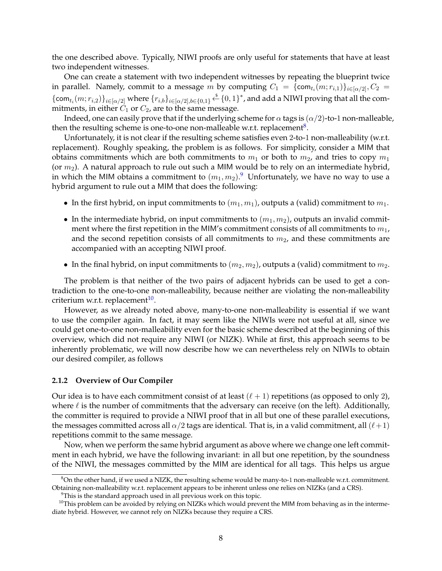the one described above. Typically, NIWI proofs are only useful for statements that have at least two independent witnesses.

One can create a statement with two independent witnesses by repeating the blueprint twice in parallel. Namely, commit to a message m by computing  $C_1 = \{\mathsf{com}_{t_i}(m; r_{i,1})\}_{i \in [\alpha/2]}, C_2 =$  $\{\textsf{com}_{t_i}(m; r_{i,2})\}_{i \in [\alpha/2]}$  where  $\{r_{i,b}\}_{i \in [\alpha/2], b \in \{0,1\}} \overset{\$}{\leftarrow} \{0,1\}^*$ , and add a NIWI proving that all the commitments, in either  $C_1$  or  $C_2$ , are to the same message.

Indeed, one can easily prove that if the underlying scheme for  $\alpha$  tags is  $(\alpha/2)$ -to-1 non-malleable, then the resulting scheme is one-to-one non-malleable w.r.t. replacement $^8$  $^8$ .

Unfortunately, it is not clear if the resulting scheme satisfies even 2-to-1 non-malleability (w.r.t. replacement). Roughly speaking, the problem is as follows. For simplicity, consider a MIM that obtains commitments which are both commitments to  $m_1$  or both to  $m_2$ , and tries to copy  $m_1$ (or  $m_2$ ). A natural approach to rule out such a MIM would be to rely on an intermediate hybrid, in which the MIM obtains a commitment to  $(m_1, m_2)$ . $^9$  $^9$  Unfortunately, we have no way to use a hybrid argument to rule out a MIM that does the following:

- In the first hybrid, on input commitments to  $(m_1, m_1)$ , outputs a (valid) commitment to  $m_1$ .
- In the intermediate hybrid, on input commitments to  $(m_1, m_2)$ , outputs an invalid commitment where the first repetition in the MIM's commitment consists of all commitments to  $m_1$ , and the second repetition consists of all commitments to  $m_2$ , and these commitments are accompanied with an accepting NIWI proof.
- In the final hybrid, on input commitments to  $(m_2, m_2)$ , outputs a (valid) commitment to  $m_2$ .

The problem is that neither of the two pairs of adjacent hybrids can be used to get a contradiction to the one-to-one non-malleability, because neither are violating the non-malleability criterium w.r.t. replacement<sup>[10](#page-9-3)</sup>.

However, as we already noted above, many-to-one non-malleability is essential if we want to use the compiler again. In fact, it may seem like the NIWIs were not useful at all, since we could get one-to-one non-malleability even for the basic scheme described at the beginning of this overview, which did not require any NIWI (or NIZK). While at first, this approach seems to be inherently problematic, we will now describe how we can nevertheless rely on NIWIs to obtain our desired compiler, as follows

## <span id="page-9-0"></span>**2.1.2 Overview of Our Compiler**

Our idea is to have each commitment consist of at least  $(\ell + 1)$  repetitions (as opposed to only 2), where  $\ell$  is the number of commitments that the adversary can receive (on the left). Additionally, the committer is required to provide a NIWI proof that in all but one of these parallel executions, the messages committed across all  $\alpha/2$  tags are identical. That is, in a valid commitment, all  $(\ell + 1)$ repetitions commit to the same message.

Now, when we perform the same hybrid argument as above where we change one left commitment in each hybrid, we have the following invariant: in all but one repetition, by the soundness of the NIWI, the messages committed by the MIM are identical for all tags. This helps us argue

<span id="page-9-1"></span> $8$ On the other hand, if we used a NIZK, the resulting scheme would be many-to-1 non-malleable w.r.t. commitment. Obtaining non-malleability w.r.t. replacement appears to be inherent unless one relies on NIZKs (and a CRS).

<span id="page-9-3"></span><span id="page-9-2"></span><sup>&</sup>lt;sup>9</sup>This is the standard approach used in all previous work on this topic.

<sup>&</sup>lt;sup>10</sup>This problem can be avoided by relying on NIZKs which would prevent the MIM from behaving as in the intermediate hybrid. However, we cannot rely on NIZKs because they require a CRS.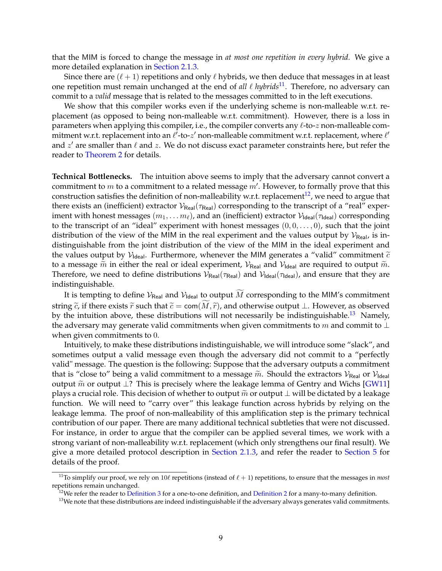<span id="page-10-3"></span>that the MIM is forced to change the message in *at most one repetition in every hybrid.* We give a more detailed explanation in [Section 2.1.3.](#page-11-0)

Since there are  $(\ell + 1)$  repetitions and only  $\ell$  hybrids, we then deduce that messages in at least one repetition must remain unchanged at the end of *all*  $\ell$  *hybrids*<sup>[11](#page-10-0)</sup>. Therefore, no adversary can commit to a *valid* message that is related to the messages committed to in the left executions.

We show that this compiler works even if the underlying scheme is non-malleable w.r.t. replacement (as opposed to being non-malleable w.r.t. commitment). However, there is a loss in parameters when applying this compiler, i.e., the compiler converts any  $\ell$ -to-z non-malleable commitment w.r.t. replacement into an  $\ell'$ -to-z' non-malleable commitment w.r.t. replacement, where  $\ell'$ and  $z'$  are smaller than  $\ell$  and  $z$ . We do not discuss exact parameter constraints here, but refer the reader to [Theorem 2](#page-25-1) for details.

**Technical Bottlenecks.** The intuition above seems to imply that the adversary cannot convert a commitment to  $m$  to a commitment to a related message  $m'$ . However, to formally prove that this construction satisfies the definition of non-malleability w.r.t. replacement<sup>[12](#page-10-1)</sup>, we need to argue that there exists an (inefficient) extractor  $V_{\text{Real}}(\tau_{\text{Real}})$  corresponding to the transcript of a "real" experiment with honest messages  $(m_1, \ldots m_\ell)$ , and an (inefficient) extractor  $\mathcal{V}_{\text{Ideal}}(\tau_{\text{Ideal}})$  corresponding to the transcript of an "ideal" experiment with honest messages  $(0, 0, \ldots, 0)$ , such that the joint distribution of the view of the MIM in the real experiment and the values output by  $V_{\text{Real}}$ , is indistinguishable from the joint distribution of the view of the MIM in the ideal experiment and the values output by  $V_{\text{Ideal}}$ . Furthermore, whenever the MIM generates a "valid" commitment  $\tilde{c}$ to a message  $\tilde{m}$  in either the real or ideal experiment,  $V_{\text{Real}}$  and  $V_{\text{Ideal}}$  are required to output  $\tilde{m}$ . Therefore, we need to define distributions  $V_{\text{Real}}(\tau_{\text{Real}})$  and  $V_{\text{Ideal}}(\tau_{\text{Ideal}})$ , and ensure that they are indistinguishable.

It is tempting to define  $\mathcal{V}_{\mathsf{Real}}$  and  $\mathcal{V}_{\mathsf{Ideal}}$  to output  $\widetilde{M}$  corresponding to the MIM's commitment string  $\tilde{c}$ , if there exists  $\tilde{r}$  such that  $\tilde{c} = \text{com}(\widetilde{M}, \tilde{r})$ , and otherwise output ⊥. However, as observed by the intuition above, these distributions will not necessarily be indistinguishable.<sup>[13](#page-10-2)</sup> Namely, the adversary may generate valid commitments when given commitments to  $m$  and commit to  $\bot$ when given commitments to 0.

Intuitively, to make these distributions indistinguishable, we will introduce some "slack", and sometimes output a valid message even though the adversary did not commit to a "perfectly valid" message. The question is the following: Suppose that the adversary outputs a commitment that is "close to" being a valid commitment to a message  $\tilde{m}$ . Should the extractors  $V_{\text{Real}}$  or  $V_{\text{Ideal}}$ output  $\tilde{m}$  or output ⊥? This is precisely where the leakage lemma of Gentry and Wichs [\[GW11\]](#page-51-7) plays a crucial role. This decision of whether to output  $\tilde{m}$  or output  $\perp$  will be dictated by a leakage function. We will need to "carry over" this leakage function across hybrids by relying on the leakage lemma. The proof of non-malleability of this amplification step is the primary technical contribution of our paper. There are many additional technical subtleties that were not discussed. For instance, in order to argue that the compiler can be applied several times, we work with a strong variant of non-malleability w.r.t. replacement (which only strengthens our final result). We give a more detailed protocol description in [Section 2.1.3,](#page-11-0) and refer the reader to [Section 5](#page-25-0) for details of the proof.

<span id="page-10-0"></span><sup>&</sup>lt;sup>11</sup>To simplify our proof, we rely on 10 $\ell$  repetitions (instead of  $\ell + 1$ ) repetitions, to ensure that the messages in *most* repetitions remain unchanged.

<span id="page-10-1"></span> $12$ We refer the reader to [Definition 3](#page-15-0) for a one-to-one definition, and [Definition 2](#page-15-1) for a many-to-many definition.

<span id="page-10-2"></span><sup>&</sup>lt;sup>13</sup>We note that these distributions are indeed indistinguishable if the adversary always generates valid commitments.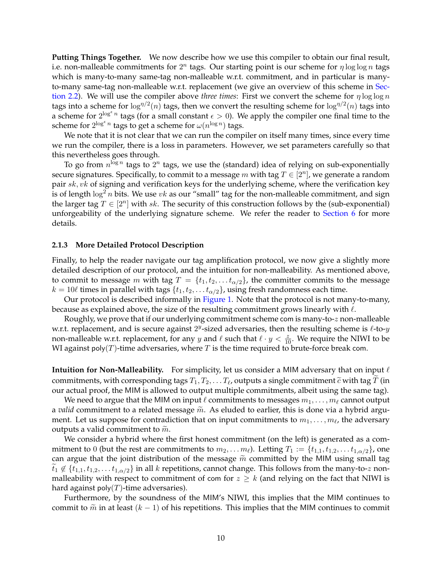**Putting Things Together.** We now describe how we use this compiler to obtain our final result, i.e. non-malleable commitments for  $2^n$  tags. Our starting point is our scheme for  $\eta \log \log n$  tags which is many-to-many same-tag non-malleable w.r.t. commitment, and in particular is many-to-many same-tag non-malleable w.r.t. replacement (we give an overview of this scheme in [Sec](#page-12-0)[tion 2.2\)](#page-12-0). We will use the compiler above *three times*: First we convert the scheme for  $\eta \log \log n$ tags into a scheme for  $\log^{n/2}(n)$  tags, then we convert the resulting scheme for  $\log^{n/2}(n)$  tags into a scheme for  $2^{\log^{\epsilon} n}$  tags (for a small constant  $\epsilon > 0$ ). We apply the compiler one final time to the scheme for  $2^{\log^{\epsilon} n}$  tags to get a scheme for  $\omega(n^{\log n})$  tags.

We note that it is not clear that we can run the compiler on itself many times, since every time we run the compiler, there is a loss in parameters. However, we set parameters carefully so that this nevertheless goes through.

To go from  $n^{\log n}$  tags to  $2^n$  tags, we use the (standard) idea of relying on sub-exponentially secure signatures. Specifically, to commit to a message  $m$  with tag  $T \in [2^n]$ , we generate a random pair sk, vk of signing and verification keys for the underlying scheme, where the verification key is of length  $\log^2 n$  bits. We use vk as our "small" tag for the non-malleable commitment, and sign the larger tag  $T \in [2^n]$  with sk. The security of this construction follows by the (sub-exponential) unforgeability of the underlying signature scheme. We refer the reader to [Section 6](#page-48-0) for more details.

## <span id="page-11-0"></span>**2.1.3 More Detailed Protocol Description**

Finally, to help the reader navigate our tag amplification protocol, we now give a slightly more detailed description of our protocol, and the intuition for non-malleability. As mentioned above, to commit to message m with tag  $T = \{t_1, t_2, \ldots t_{\alpha/2}\}\$ , the committer commits to the message  $k = 10\ell$  times in parallel with tags  $\{t_1, t_2, \ldots t_{\alpha/2}\}\$ , using fresh randomness each time.

Our protocol is described informally in [Figure 1.](#page-12-1) Note that the protocol is not many-to-many, because as explained above, the size of the resulting commitment grows linearly with  $\ell$ .

Roughly, we prove that if our underlying commitment scheme com is many-to-z non-malleable w.r.t. replacement, and is secure against  $2^y$ -sized adversaries, then the resulting scheme is  $\ell$ -to- $y$ non-malleable w.r.t. replacement, for any y and  $\ell$  such that  $\ell \cdot y < \frac{z}{10}$ . We require the NIWI to be WI against poly $(T)$ -time adversaries, where  $T$  is the time required to brute-force break com.

**Intuition for Non-Malleability.** For simplicity, let us consider a MIM adversary that on input  $\ell$ commitments, with corresponding tags  $T_1, T_2, \ldots T_\ell$ , outputs a single commitment  $\widetilde{c}$  with tag  $T$  (in our actual proof, the MIM is allowed to output multiple commitments, albeit using the same tag). our actual proof, the MIM is allowed to output multiple commitments, albeit using the same tag).

We need to argue that the MIM on input  $\ell$  commitments to messages  $m_1, \ldots, m_\ell$  cannot output a *valid* commitment to a related message  $\tilde{m}$ . As eluded to earlier, this is done via a hybrid argument. Let us suppose for contradiction that on input commitments to  $m_1, \ldots, m_\ell$ , the adversary outputs a valid commitment to  $\widetilde{m}$ .

We consider a hybrid where the first honest commitment (on the left) is generated as a commitment to 0 (but the rest are commitments to  $m_2, \ldots, m_\ell$ ). Letting  $T_1 := \{t_{1,1}, t_{1,2}, \ldots, t_{1,\alpha/2}\}$ , one can argue that the joint distribution of the message  $\widetilde{m}$  committed by the MIM using small tag  $\tilde{t}_1 \notin \{t_{1,1}, t_{1,2}, \ldots t_{1,\alpha/2}\}\$  in all k repetitions, cannot change. This follows from the many-to-z nonmalleability with respect to commitment of com for  $z \geq k$  (and relying on the fact that NIWI is hard against poly $(T)$ -time adversaries).

Furthermore, by the soundness of the MIM's NIWI, this implies that the MIM continues to commit to  $\tilde{m}$  in at least (k – 1) of his repetitions. This implies that the MIM continues to commit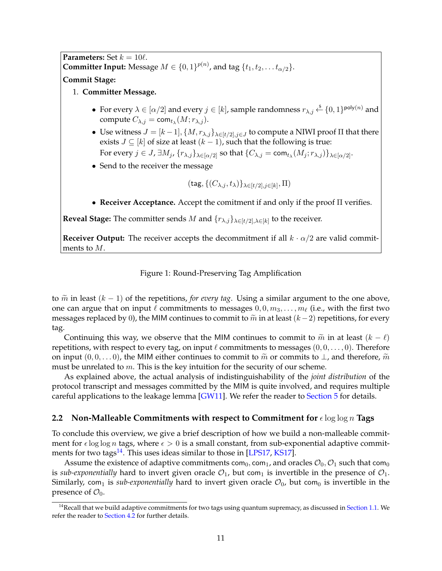<span id="page-12-3"></span><span id="page-12-1"></span>**Parameters:** Set  $k = 10\ell$ . **Committer Input:** Message  $M \in \{0,1\}^{p(n)}$ , and tag  $\{t_1, t_2, \ldots t_{\alpha/2}\}.$ **Commit Stage:**

## 1. **Committer Message.**

- For every  $\lambda \in [\alpha/2]$  and every  $j \in [k]$ , sample randomness  $r_{\lambda,j} \stackrel{\$}{\leftarrow} \{0,1\}^{\text{poly}(n)}$  and compute  $C_{\lambda,j} = \text{\textsf{com}}_{t_\lambda}(M;r_{\lambda,j}).$
- Use witness  $J = [k-1], \{M, r_{\lambda,j}\}_{\lambda \in [t/2], j \in J}$  to compute a NIWI proof  $\Pi$  that there exists  $J \subseteq [k]$  of size at least  $(k - 1)$ , such that the following is true:
- For every  $j \in J$ ,  $\exists M_j$ ,  $\{r_{\lambda,j}\}_{\lambda \in [\alpha/2]}$  so that  $\{C_{\lambda,j} = \textsf{com}_{t_\lambda}(M_j;r_{\lambda,j})\}_{\lambda \in [\alpha/2]}.$
- Send to the receiver the message

$$
(\mathsf{tag}, \{(C_{\lambda,j}, t_\lambda)\}_{\lambda \in [t/2], j \in [k]}, \Pi)
$$

• **Receiver Acceptance.** Accept the comitment if and only if the proof Π verifies.

**Reveal Stage:** The committer sends M and  $\{r_{\lambda,j}\}_{\lambda \in [t/2], \lambda \in [k]}$  to the receiver.

**Receiver Output:** The receiver accepts the decommitment if all  $k \cdot \alpha/2$  are valid commitments to M.

Figure 1: Round-Preserving Tag Amplification

to  $\tilde{m}$  in least (k − 1) of the repetitions, *for every tag*. Using a similar argument to the one above, one can argue that on input  $\ell$  commitments to messages  $0, 0, m_3, \ldots, m_\ell$  (i.e., with the first two messages replaced by 0), the MIM continues to commit to  $\tilde{m}$  in at least  $(k-2)$  repetitions, for every tag.

Continuing this way, we observe that the MIM continues to commit to  $\tilde{m}$  in at least  $(k - \ell)$ repetitions, with respect to every tag, on input  $\ell$  commitments to messages  $(0, 0, \ldots, 0)$ . Therefore on input  $(0, 0, \ldots 0)$ , the MIM either continues to commit to  $\tilde{m}$  or commits to  $\perp$ , and therefore,  $\tilde{m}$ must be unrelated to m. This is the key intuition for the security of our scheme.

As explained above, the actual analysis of indistinguishability of the *joint distribution* of the protocol transcript and messages committed by the MIM is quite involved, and requires multiple careful applications to the leakage lemma [\[GW11\]](#page-51-7). We refer the reader to [Section 5](#page-25-0) for details.

## <span id="page-12-0"></span>**2.2 Non-Malleable Commitments with respect to Commitment for**  $\epsilon$  log log n Tags

To conclude this overview, we give a brief description of how we build a non-malleable commitment for  $\epsilon \log \log n$  tags, where  $\epsilon > 0$  is a small constant, from sub-exponential adaptive commit-ments for two tags<sup>[14](#page-12-2)</sup>. This uses ideas similar to those in [\[LPS17,](#page-52-8) [KS17\]](#page-52-9).

Assume the existence of adaptive commitments com<sub>0</sub>, com<sub>1</sub>, and oracles  $\mathcal{O}_0$ ,  $\mathcal{O}_1$  such that com<sub>0</sub> is *sub-exponentially* hard to invert given oracle  $\mathcal{O}_1$ , but com<sub>1</sub> is invertible in the presence of  $\mathcal{O}_1$ . Similarly, com<sub>1</sub> is *sub-exponentially* hard to invert given oracle  $\mathcal{O}_0$ , but com<sub>0</sub> is invertible in the presence of  $\mathcal{O}_0$ .

<span id="page-12-2"></span> $14$ Recall that we build adaptive commitments for two tags using quantum supremacy, as discussed in [Section 1.1.](#page-3-0) We refer the reader to [Section 4.2](#page-24-0) for further details.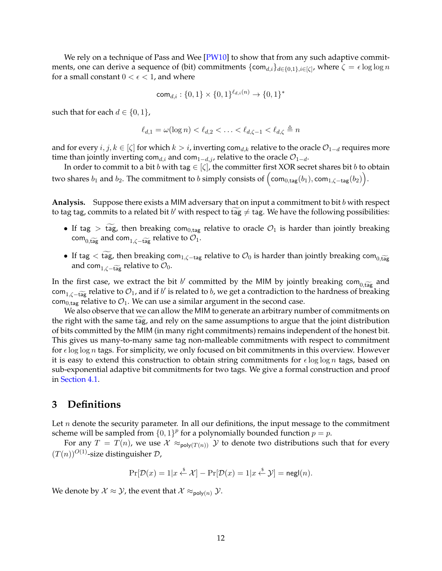<span id="page-13-1"></span>We rely on a technique of Pass and Wee  $[PW10]$  to show that from any such adaptive commitments, one can derive a sequence of (bit) commitments  $\{\mathsf{com}_{d,i}\}_{d\in\{0,1\},i\in[\zeta]}$ , where  $\zeta=\epsilon\log\log n$ for a small constant  $0 < \epsilon < 1$ , and where

$$
\mathsf{com}_{d,i}:\{0,1\}\times\{0,1\}^{\ell_{d,i}(n)}\to\{0,1\}^*
$$

such that for each  $d \in \{0, 1\}$ ,

$$
\ell_{d,1} = \omega(\log n) < \ell_{d,2} < \ldots < \ell_{d,\zeta-1} < \ell_{d,\zeta} \triangleq n
$$

and for every  $i, j, k \in [\zeta]$  for which  $k > i$ , inverting com<sub>d,k</sub> relative to the oracle  $\mathcal{O}_{1-d}$  requires more time than jointly inverting com<sub>d,i</sub> and com<sub>1−d,j</sub>, relative to the oracle  $\mathcal{O}_{1-d}$ .

In order to commit to a bit b with tag  $\in$   $[\zeta]$ , the committer first XOR secret shares bit b to obtain two shares  $b_1$  and  $b_2$ . The commitment to  $b$  simply consists of  $\left(\textsf{com}_{0,\textsf{tag}}(b_1),\textsf{com}_{1,\zeta-\textsf{tag}}(b_2)\right)$ .

Analysis. Suppose there exists a MIM adversary that on input a commitment to bit b with respect to tag tag, commits to a related bit  $b'$  with respect to tag  $\neq$  tag. We have the following possibilities:

- If tag > tag, then breaking com<sub>0,tag</sub> relative to oracle  $\mathcal{O}_1$  is harder than jointly breaking com<sub>0.tag</sub> and com<sub>1, $\zeta$ –tag relative to  $\mathcal{O}_1$ .</sub>
- If tag  $< \widetilde{\text{tag}}$ , then breaking com<sub>1, $\zeta$ -tag relative to  $\mathcal{O}_0$  is harder than jointly breaking com<sub>0,tag</sub></sub> and com<sub>1, $\zeta$ –tag relative to  $\mathcal{O}_0$ .</sub>

In the first case, we extract the bit b' committed by the MIM by jointly breaking  $com_{0,\widetilde{tag}}$  and  $com_{0,\widetilde{tag}}$  and if b' is related to b we get a sentre distinct to the hardness of breaking  $\text{com}_{1,\zeta-\text{tag}}$  relative to  $\mathcal{O}_1$ , and if  $b'$  is related to  $b$ , we get a contradiction to the hardness of breaking com<sub>0,tag</sub> relative to  $\mathcal{O}_1$ . We can use a similar argument in the second case.

We also observe that we can allow the MIM to generate an arbitrary number of commitments on the right with the same tag, and rely on the same assumptions to argue that the joint distribution of bits committed by the MIM (in many right commitments) remains independent of the honest bit. This gives us many-to-many same tag non-malleable commitments with respect to commitment for  $\epsilon$  log log n tags. For simplicity, we only focused on bit commitments in this overview. However it is easy to extend this construction to obtain string commitments for  $\epsilon \log \log n$  tags, based on sub-exponential adaptive bit commitments for two tags. We give a formal construction and proof in [Section 4.1.](#page-18-1)

# <span id="page-13-0"></span>**3 Definitions**

Let  $n$  denote the security parameter. In all our definitions, the input message to the commitment scheme will be sampled from  $\{0,1\}^p$  for a polynomially bounded function  $p = p$ .

For any  $T = T(n)$ , we use  $\mathcal{X} \approx_{poly(T(n))} \mathcal{Y}$  to denote two distributions such that for every  $(T(n))^{O(1)}$ -size distinguisher D,

$$
\Pr[\mathcal{D}(x) = 1 | x \stackrel{\$}{\leftarrow} \mathcal{X}] - \Pr[\mathcal{D}(x) = 1 | x \stackrel{\$}{\leftarrow} \mathcal{Y}] = {\sf negl}(n).
$$

We denote by  $\mathcal{X} \approx \mathcal{Y}$ , the event that  $\mathcal{X} \approx_{\text{poly}(n)} \mathcal{Y}$ .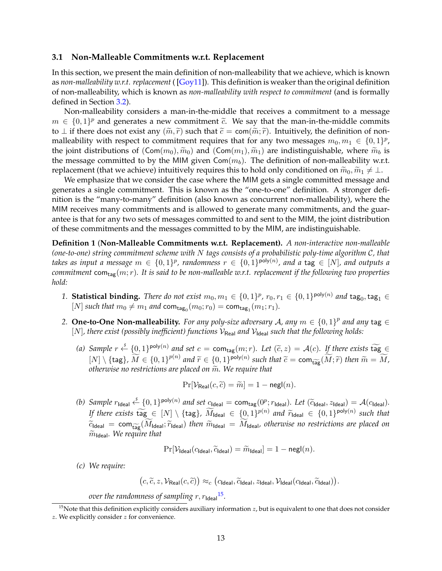### <span id="page-14-3"></span><span id="page-14-0"></span>**3.1 Non-Malleable Commitments w.r.t. Replacement**

In this section, we present the main definition of non-malleability that we achieve, which is known as *non-malleability w.r.t. replacement* ( [\[Goy11\]](#page-51-1)). This definition is weaker than the original definition of non-malleability, which is known as *non-malleability with respect to commitment* (and is formally defined in Section [3.2\)](#page-17-0).

Non-malleability considers a man-in-the-middle that receives a commitment to a message  $m \in \{0,1\}^p$  and generates a new commitment  $\tilde{c}$ . We say that the man-in-the-middle commits<br>to  $\pm$  if there does not evict any  $(\tilde{\infty}, \tilde{\infty})$  such that  $\tilde{\epsilon} = \text{com}(\tilde{\infty}, \tilde{\infty})$ . Intuitively, the definition of to  $\perp$  if there does not exist any  $(\widetilde{m}, \widetilde{r})$  such that  $\widetilde{c} = \text{com}(\widetilde{m}; \widetilde{r})$ . Intuitively, the definition of nonmalleability with respect to commitment requires that for any two messages  $m_0, m_1 \in \{0, 1\}^p$ , the joint distributions of  $(Com(m_0), \widetilde{m}_0)$  and  $(Com(m_1), \widetilde{m}_1)$  are indistinguishable, where  $\widetilde{m}_b$  is the message committed to by the MIM given  $Com(m_b)$ . The definition of non-malleability w.r.t. replacement (that we achieve) intuitively requires this to hold only conditioned on  $\widetilde{m}_0, \widetilde{m}_1 \neq \perp$ .

We emphasize that we consider the case where the MIM gets a single committed message and generates a single commitment. This is known as the "one-to-one" definition. A stronger definition is the "many-to-many" definition (also known as concurrent non-malleability), where the MIM receives many commitments and is allowed to generate many commitments, and the guarantee is that for any two sets of messages committed to and sent to the MIM, the joint distribution of these commitments and the messages committed to by the MIM, are indistinguishable.

<span id="page-14-2"></span>**Definition 1** (**Non-Malleable Commitments w.r.t. Replacement).** *A non-interactive non-malleable (one-to-one) string commitment scheme with* N *tags consists of a probabilistic poly-time algorithm* C*, that* takes as input a message  $m \in \{0,1\}^p$ , randomness  $r \in \{0,1\}^{\mathsf{poly}(n)}$ , and a  $\mathsf{tag} \in [N]$ , and outputs a *commitment* com<sub>tag</sub> $(m; r)$ *. It is said to be non-malleable w.r.t. replacement if the following two properties hold:*

- 1. **Statistical binding.** *There do not exist*  $m_0, m_1 \in \{0, 1\}^p$ ,  $r_0, r_1 \in \{0, 1\}^{\text{poly}(n)}$  and  $\text{tag}_0, \text{tag}_1 \in$ [*N*] *such that*  $m_0 \neq m_1$  *and* com<sub>tag<sub>0</sub></sub> $(m_0; r_0) = \text{com}_{\text{tag}_1}(m_1; r_1)$ *.*
- 2. **One-to-One Non-malleability.** For any poly-size adversary A, any  $m \in \{0,1\}^p$  and any tag  $\in$  $[N]$ , there exist (possibly inefficient) functions  $V_{\text{Real}}$  and  $V_{\text{Ideal}}$  such that the following holds:
	- (a) Sample  $r \stackrel{\text{{\ensuremath{\mathcal{S}}}}}{\longleftarrow} \{0,1\}^{\text{poly}(n)}$  and set  $c = \text{com}_{\text{tag}}(m;r)$ *. Let*  $(\tilde{c},z) = \mathcal{A}(c)$ *. If there exists*  $\widetilde{\text{tag}} \in \mathbb{R}$  $[N] \setminus \{\text{tag}\}, \widetilde{M} \in \{0,1\}^{p(n)}$  and  $\widetilde{r} \in \{0,1\}^{\text{poly}(n)}$  such that  $\widetilde{c} = \text{com}_{\widetilde{\text{tag}}}(M; \widetilde{r})$  then  $\widetilde{m} = \widetilde{M}$ , otherwise no restrictions are placed on  $\widetilde{m}$ . We require that *otherwise no restrictions are placed on*  $\widetilde{m}$ *. We require that*

$$
\Pr[\mathcal{V}_{\mathsf{Real}}(c, \widetilde{c}) = \widetilde{m}] = 1 - \mathsf{negl}(n).
$$

(b) Sample  $r_{\text{Ideal}} \stackrel{\$}{\leftarrow} \{0,1\}^{\text{poly}(n)}$  and set  $c_{\text{Ideal}} = \text{com}_{\text{tag}}(0^p; r_{\text{Ideal}})$ . Let  $(\widetilde{c}_{\text{Ideal}}, 2_{\text{Ideal}}) = \mathcal{A}(c_{\text{Ideal}})$ . *If there exists*  $\widetilde{\text{tag}} \in [N] \setminus \{\text{tag}\}, \widetilde{M}_{\text{ideal}} \in \{0, 1\}^{p(n)} \text{ and } \widetilde{r}_{\text{ideal}} \in \{0, 1\}^{p \text{oly}(n)} \text{ such that}$  $\widetilde{c}_{\text{Ideal}} = \text{com}_{\widetilde{\text{tag}}}(\widetilde{M}_{\text{Ideal}}; \widetilde{r}_{\text{Ideal}})$  *then*  $\widetilde{m}_{\text{Ideal}} = \widetilde{M}_{\text{Ideal}}$ , otherwise no restrictions are placed on  $\widetilde{m}_{\text{Ideal}}$ . We require that

$$
\Pr[\mathcal{V}_{\mathsf{Ideal}}(c_{\mathsf{Ideal}}, \widetilde{c}_{\mathsf{Ideal}}) = \widetilde{m}_{\mathsf{Ideal}}] = 1 - \mathsf{negl}(n).
$$

*(c) We require:*

 $(c, \widetilde{c}, z, \mathcal{V}_{\mathsf{Real}}(c, \widetilde{c})) \approx_c (c_{\mathsf{Ideal}}, \widetilde{c}_{\mathsf{Ideal}}, z_{\mathsf{Ideal}}, \mathcal{V}_{\mathsf{Ideal}}(c_{\mathsf{Ideal}}, \widetilde{c}_{\mathsf{Ideal}})).$ 

*over the randomness of sampling r, r*<sub>Ideal</sub> <sup>[15](#page-14-1)</sup>.

<span id="page-14-1"></span><sup>&</sup>lt;sup>15</sup>Note that this definition explicitly considers auxiliary information  $z$ , but is equivalent to one that does not consider z. We explicitly consider z for convenience.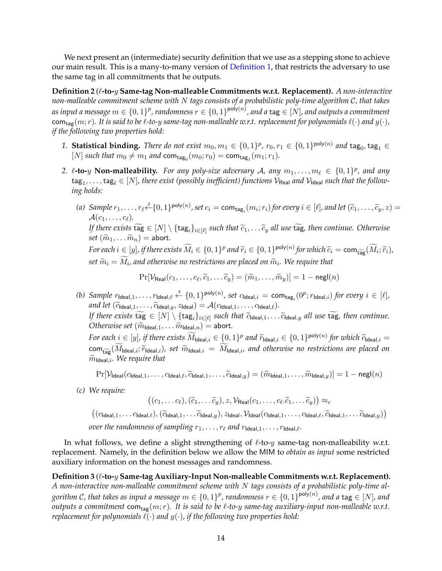We next present an (intermediate) security definition that we use as a stepping stone to achieve our main result. This is a many-to-many version of [Definition 1,](#page-14-2) that restricts the adversary to use the same tag in all commitments that he outputs.

<span id="page-15-1"></span>**Definition 2** ( $\ell$ -to- $y$  Same-tag Non-malleable Commitments w.r.t. Replacement). *A non-interactive non-malleable commitment scheme with* N *tags consists of a probabilistic poly-time algorithm* C*, that takes* as input a message  $m\in\{0,1\}^p$  , randomness  $r\in\{0,1\}^{\mathsf{poly}(n)}$  , and a  $\mathsf{tag}\in[N]$  , and outputs a commitment com<sub>tag</sub> $(m; r)$ *. It is said to be*  $\ell$ *-to-y same-tag non-malleable w.r.t. replacement for polynomials*  $\ell(\cdot)$  *and*  $y(\cdot)$ *, if the following two properties hold:*

- 1. **Statistical binding.** *There do not exist*  $m_0, m_1 \in \{0, 1\}^p$ ,  $r_0, r_1 \in \{0, 1\}^{\text{poly}(n)}$  and  $\text{tag}_0, \text{tag}_1 \in$ [*N*] *such that*  $m_0 \neq m_1$  *and* com<sub>tag<sub>0</sub></sub> $(m_0; r_0) = \text{com}_{\text{tag}_1}(m_1; r_1)$ *.*
- 2.  $\ell$ -to-y **Non-malleability.** For any poly-size adversary A, any  $m_1, \ldots, m_\ell \in \{0, 1\}^p$ , and any  $\deg_1,\ldots,\deg_\ell\in [N]$ , there exist (possibly inefficient) functions  $\mathcal{V}_{\sf Real}$  and  $\mathcal{V}_{\sf Ideal}$  such that the follow*ing holds:*
	- (a)  $\text{Sample } r_1, \ldots, r_\ell \stackrel{\text{s}}{\leftarrow} \{0, 1\}^{\text{poly}(n)}$ , set  $c_i = \text{com}_{\text{tag}_i}(m_i; r_i)$  for every  $i \in [\ell]$ , and let  $(\widetilde{c}_1, \ldots, \widetilde{c}_y, z) =$  $\mathcal{A}(c_1,\ldots,c_\ell)$ . *If there exists* tag  $\in [N] \setminus \{ \text{tag}_i \}_{i \in [\ell]}$  such that  $\widetilde{c}_1, \ldots \widetilde{c}_y$  all use tag, then continue. Otherwise *set*  $(\widetilde{m}_1, \ldots \widetilde{m}_n)$  = abort.  $\widetilde{P}$  *For each*  $i \in [y]$ , if there exists  $\widetilde{M}_i \in \{0,1\}^p$  and  $\widetilde{r}_i \in \{0,1\}^{\text{poly}(n)}$  for which  $\widetilde{c}_i = \text{com}_{\widetilde{\text{tag}}}(\widetilde{M}_i; \widetilde{r}_i)$ ,  $\delta s$ et  $\widetilde{m}_i = M_i$ , and otherwise no restrictions are placed on  $\widetilde{m}_i$ . We require that

$$
\Pr[\mathcal{V}_{\mathsf{Real}}(c_1,\ldots,c_\ell,\widetilde{c}_1,\ldots\widetilde{c}_y)=(\widetilde{m}_1,\ldots,\widetilde{m}_y)]=1-\mathsf{negl}(n)
$$

(b) Sample  $r_{\mathsf{Ideal},1}, \ldots, r_{\mathsf{Ideal},\ell} \stackrel{\hspace{0.1em}\mathsf{\scriptscriptstyle\$}}{\leftarrow} \{0,1\}^{\mathsf{poly}(n)}$ , set  $c_{\mathsf{Ideal},i} = \mathsf{com}_{\mathsf{tag}_i}(0^p; r_{\mathsf{Ideal},i})$  for every  $i \in [\ell]$ , *and let*  $(\widetilde{c}_{\text{Ideal},1}, \ldots, \widetilde{c}_{\text{Ideal},y}, z_{\text{Ideal}}) = \mathcal{A}(c_{\text{Ideal},1}, \ldots, c_{\text{Ideal},\ell}).$ *If there exists*  $\text{tag } \in [N] \setminus \{\text{tag}_i\}_{i \in [\ell]}$  such that  $\widetilde{c}_{\text{ideal},1}, \ldots \widetilde{c}_{\text{ideal},y}$  all use tag, then continue. *Otherwise set*  $(\widetilde{m}_{\text{Ideal},1}, \ldots \widetilde{m}_{\text{Ideal},n}) =$  abort.

*For each*  $i \in [y]$ , if there exists  $\widetilde{M}_{\text{Ideal},i} \in \{0,1\}^p$  and  $\widetilde{r}_{\text{Ideal},i} \in \{0,1\}^{\text{poly}(n)}$  for which  $\widetilde{c}_{\text{Ideal},i} =$  $\text{com}_{\widetilde{\text{Lip}}}(\widetilde{M}_{\text{Ideal},i}; \widetilde{r}_{\text{Ideal},i})$ *, set*  $\widetilde{m}_{\text{Ideal},i} = \widetilde{M}_{\text{Ideal},i}$ *, and otherwise no restrictions are placed on*  $\widetilde{m}_{\text{Ideal},i}$ *. We require that* 

$$
\Pr[\mathcal{V}_{\mathsf{Ideal}}(c_{\mathsf{Ideal},1},\ldots,c_{\mathsf{Ideal},\ell},\widetilde{c}_{\mathsf{Ideal},1},\ldots,\widetilde{c}_{\mathsf{Ideal},y})=(\widetilde{m}_{\mathsf{Ideal},1},\ldots,\widetilde{m}_{\mathsf{Ideal},y})]=1-\mathsf{negl}(n)
$$

*(c) We require:*

 $((c_1, \ldots c_\ell),(\widetilde{c}_1, \ldots \widetilde{c}_y), z, \mathcal{V}_{\mathsf{Real}}(c_1, \ldots, c_\ell.\widetilde{c}_1, \ldots \widetilde{c}_y)) \approx_c$ 

 $((c_{\text{Ideal},1}, \ldots c_{\text{Ideal},\ell}),(\widetilde{c}_{\text{Ideal},1}, \ldots \widetilde{c}_{\text{Ideal},y}), z_{\text{Ideal}}, \mathcal{V}_{\text{Ideal}}(c_{\text{Ideal},1}, \ldots, c_{\text{Ideal},\ell}, \widetilde{c}_{\text{Ideal},1}, \ldots \widetilde{c}_{\text{Ideal},y}))$ 

*over the randomness of sampling*  $r_1, \ldots, r_\ell$  *and*  $r_{\text{Ideal},1}, \ldots, r_{\text{Ideal},\ell}$ *.* 

In what follows, we define a slight strengthening of  $\ell$ -to-y same-tag non-malleability w.r.t. replacement. Namely, in the definition below we allow the MIM to *obtain as input* some restricted auxiliary information on the honest messages and randomness.

<span id="page-15-0"></span>Definition 3 ( $\ell$ -to- $y$  Same-tag Auxiliary-Input Non-malleable Commitments w.r.t. Replacement). *A non-interactive non-malleable commitment scheme with* N *tags consists of a probabilistic poly-time al*gorithm C, that takes as input a message  $m\in\{0,1\}^p$ , randomness  $r\in\{0,1\}^{\mathsf{poly}(n)}$ , and a  $\mathsf{tag}\in[N]$ , and *outputs a commitment* com<sub>tag</sub> $(m; r)$ *. It is said to be*  $\ell$ *-to-y same-tag auxiliary-input non-malleable w.r.t. replacement for polynomials*  $\ell(\cdot)$  *and*  $y(\cdot)$ *, if the following two properties hold:*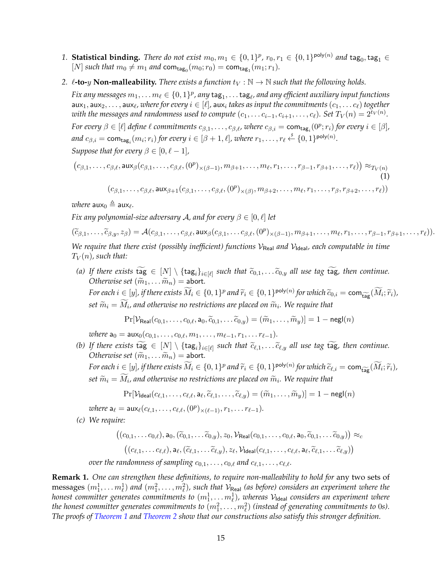- 1. **Statistical binding.** *There do not exist*  $m_0, m_1 \in \{0,1\}^p$ *,*  $r_0, r_1 \in \{0,1\}^{\mathsf{poly}(n)}$  *and*  $\mathsf{tag}_0, \mathsf{tag}_1 \in$ [*N*] *such that*  $m_0 \neq m_1$  *and* com<sub>tag<sub>0</sub></sub> $(m_0; r_0) = \text{com}_{\text{tag}_1}(m_1; r_1)$ *.*
- 2.  $\ell$ **-to-**y **Non-malleability.** *There exists a function*  $t_V : \mathbb{N} \to \mathbb{N}$  *such that the following holds.*

 $Fix$  any messages  $m_1, \ldots m_\ell \in \{0,1\}^p$ , any  $\mathsf{tag}_1, \ldots$   $\mathsf{tag}_\ell$ , and any efficient auxiliary input functions  $\mathsf{aux}_1, \mathsf{aux}_2, \ldots, \mathsf{aux}_\ell$ , where for every  $i \in [\ell]$ ,  $\mathsf{aux}_i$  *takes as input the commitments*  $(c_1, \ldots c_\ell)$  *together*  $w$ ith the messages and randomness used to compute  $(c_1, \ldots c_{i-1}, c_{i+1}, \ldots, c_\ell)$ . Set  $T_V(n) = 2^{t_V(n)}.$ *For every*  $\beta \in [\ell]$  *define*  $\ell$  *commitments*  $c_{\beta,1}, \ldots, c_{\beta,\ell}$ *, where*  $c_{\beta,i} = \textsf{com}_{\textsf{tag}_i}(0^p; r_i)$  *for every*  $i \in [\beta]$ *, and*  $c_{\beta,i} = \text{com}_{\text{tag}_i}(m_i; r_i)$  *for every*  $i \in [\beta + 1, \ell]$ *, where*  $r_1, \ldots, r_\ell \stackrel{s}{\leftarrow} \{0, 1\}^{\text{poly}(n)}$ *. Suppose that for every*  $\beta \in [0, \ell - 1]$ *,* 

$$
(c_{\beta,1},\ldots,c_{\beta,\ell},\mathsf{aux}_{\beta}(c_{\beta,1},\ldots,c_{\beta,\ell},(0^p)_{\times(\beta-1)},m_{\beta+1},\ldots,m_{\ell},r_1,\ldots,r_{\beta-1},r_{\beta+1},\ldots,r_{\ell})) \approx_{T_V(n)}(1)
$$

<span id="page-16-0"></span> $(c_{\beta,1}, \ldots, c_{\beta,\ell}, \textsf{aux}_{\beta+1}(c_{\beta,1}, \ldots, c_{\beta,\ell}, (0^p)_{\times(\beta)}, m_{\beta+2}, \ldots, m_{\ell}, r_1, \ldots, r_{\beta}, r_{\beta+2}, \ldots, r_{\ell}))$ 

where  $\mathsf{aux}_0 \triangleq \mathsf{aux}_\ell$ .

*Fix any polynomial-size adversary* A, and for every  $\beta \in [0, \ell]$  *let* 

 $(\widetilde{c}_{\beta,1},\ldots,\widetilde{c}_{\beta,y},z_{\beta})=\mathcal{A}(c_{\beta,1},\ldots,c_{\beta,\ell},\mathsf{aux}_{\beta}(c_{\beta,1},\ldots c_{\beta,\ell},(0^p)_{\times(\beta-1)},m_{\beta+1},\ldots,m_{\ell},r_1,\ldots,r_{\beta-1},r_{\beta+1},\ldots,r_{\ell})).$ 

*We require that there exist (possibly inefficient) functions*  $V_{\text{Real}}$  *and*  $V_{\text{Ideal}}$ *, each computable in time*  $T_V(n)$ , such that:

*(a)* If there exists tag  $\in [N] \setminus \{\text{tag}_i\}_{i \in [\ell]}$  such that  $\widetilde{c}_{0,1}, \ldots, \widetilde{c}_{0,y}$  all use tag tag, then continue.<br>Otherwise set  $(\widetilde{\mathfrak{m}})$  and  $\mathfrak{m}$  is the such that  $\widetilde{c}_{0,1}, \ldots, \widetilde{c}_{0,y}$  all use tag *Otherwise set*  $(\widetilde{m}_1, \ldots \widetilde{m}_n) =$  abort.  $\widetilde{F}$  *For each*  $i \in [y]$ , if there exists  $\widetilde{M}_i \in \{0,1\}^p$  and  $\widetilde{r}_i \in \{0,1\}^{\text{poly}(n)}$  for which  $\widetilde{c}_{0,i} = \text{com}_{\widetilde{\text{tag}}}(\widetilde{M}_i; \widetilde{r}_i)$ ,  $\delta s$ et  $\widetilde{m}_i = M_i$ , and otherwise no restrictions are placed on  $\widetilde{m}_i$ . We require that

 $Pr[\mathcal{V}_{\text{Real}}(c_{0,1}, \ldots, c_{0,\ell}, a_0, \widetilde{c}_{0,1}, \ldots, \widetilde{c}_{0,u}) = (\widetilde{m}_1, \ldots, \widetilde{m}_u)] = 1 - negl(n)$ 

*where*  $a_0 = aux_0(c_{0,1}, \ldots, c_{0,\ell}, m_1, \ldots, m_{\ell-1}, r_1, \ldots r_{\ell-1}).$ 

*(b)* If there exists tag  $\in [N] \setminus \{\text{tag}_i\}_{i \in [\ell]}$  such that  $\widetilde{c}_{\ell,1}, \ldots, \widetilde{c}_{\ell,y}$  all use tag tag, then continue.<br>Otherwise set  $(\widetilde{\mathfrak{m}})$  and  $\mathfrak{m}$  is the such that  $\widetilde{c}_{\ell,1}, \ldots, \widetilde{c}_{\ell,y}$  all use *Otherwise set*  $(\widetilde{m}_1, \ldots \widetilde{m}_n) =$  abort.  $\widetilde{P}$  *For each*  $i \in [y]$ , if there exists  $\widetilde{M}_i \in \{0,1\}^p$  and  $\widetilde{r}_i \in \{0,1\}^{\text{poly}(n)}$  for which  $\widetilde{c}_{\ell,i} = \text{com}_{\widetilde{\text{tag}}}(\widetilde{M}_i; \widetilde{r}_i)$ ,  $\delta s$ et  $\widetilde{m}_i = M_i$ , and otherwise no restrictions are placed on  $\widetilde{m}_i$ . We require that

$$
\Pr[\mathcal{V}_{\mathsf{Ideal}}(c_{\ell,1},\ldots,c_{\ell,\ell},\mathsf{a}_{\ell},\widetilde{c}_{\ell,1},\ldots,\widetilde{c}_{\ell,y})=(\widetilde{m}_1,\ldots,\widetilde{m}_y)]=1-\mathsf{negl}(n)
$$

*where*  $a_{\ell} = \text{aux}_{\ell}(c_{\ell,1}, \ldots, c_{\ell,\ell}, (0^p)_{\times (\ell-1)}, r_1, \ldots r_{\ell-1}).$ 

*(c) We require:*

$$
((c_{0,1},\ldots c_{0,\ell}),\mathsf{a}_0,(\widetilde{c}_{0,1},\ldots\widetilde{c}_{0,y}),z_0,\mathcal{V}_{\mathsf{Real}}(c_{0,1},\ldots,c_{0,\ell},\mathsf{a}_0,\widetilde{c}_{0,1},\ldots\widetilde{c}_{0,y})) \approx_c ((c_{\ell,1},\ldots c_{\ell,\ell}),\mathsf{a}_{\ell},(\widetilde{c}_{\ell,1},\ldots\widetilde{c}_{\ell,y}),z_{\ell},\mathcal{V}_{\mathsf{Ideal}}(c_{\ell,1},\ldots,c_{\ell,\ell},\mathsf{a}_{\ell},\widetilde{c}_{\ell,1},\ldots\widetilde{c}_{\ell,y}))
$$

*over the randomness of sampling*  $c_{0,1}, \ldots, c_{0,\ell}$  *and*  $c_{\ell,1}, \ldots, c_{\ell,\ell}$ *.* 

**Remark 1.** *One can strengthen these definitions, to require non-malleability to hold for* any two sets of  ${\rm messages}~(m_1^1,\ldots m_\ell^1)$  and  $(m_1^2,\ldots,m_\ell^2)$ , such that  $\mathcal{V}_{\sf Real}$  *(as before) considers an experiment where the* honest committer generates commitments to  $(m^1_1, \dots m^1_\ell)$ , whereas V<sub>Ideal</sub> considers an experiment where the honest committer generates commitments to  $(m_1^2,\ldots,m_\ell^2)$  (instead of generating commitments to 0s). *The proofs of [Theorem 1](#page-21-0) and [Theorem 2](#page-25-1) show that our constructions also satisfy this stronger definition.*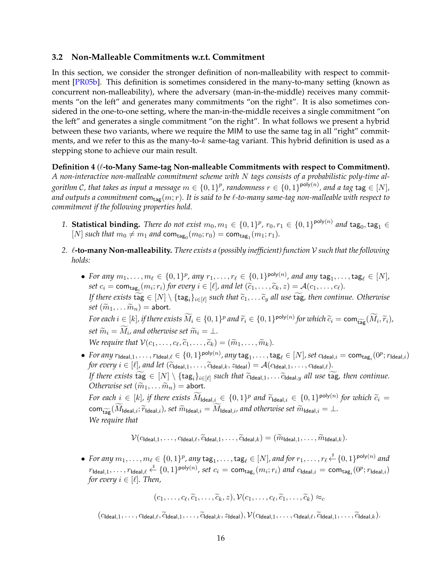## <span id="page-17-2"></span><span id="page-17-0"></span>**3.2 Non-Malleable Commitments w.r.t. Commitment**

In this section, we consider the stronger definition of non-malleability with respect to commitment [\[PR05b\]](#page-52-13). This definition is sometimes considered in the many-to-many setting (known as concurrent non-malleability), where the adversary (man-in-the-middle) receives many commitments "on the left" and generates many commitments "on the right". It is also sometimes considered in the one-to-one setting, where the man-in-the-middle receives a single commitment "on the left" and generates a single commitment "on the right". In what follows we present a hybrid between these two variants, where we require the MIM to use the same tag in all "right" commitments, and we refer to this as the many-to- $k$  same-tag variant. This hybrid definition is used as a stepping stone to achieve our main result.

<span id="page-17-1"></span>**Definition 4** ( $\ell$ -to-Many Same-tag Non-malleable Commitments with respect to Commitment). *A non-interactive non-malleable commitment scheme with* N *tags consists of a probabilistic poly-time al*gorithm C, that takes as input a message  $m\in\{0,1\}^p$ , randomness  $r\in\{0,1\}^{\mathsf{poly}(n)}$ , and a tag  $\mathsf{tag}\in[N]$ , and outputs a commitment  $com_{tag}(m; r)$ *. It is said to be*  $\ell$ *-to-many same-tag non-malleable with respect to commitment if the following properties hold.*

- 1. **Statistical binding.** *There do not exist*  $m_0, m_1 \in \{0,1\}^p$ *,*  $r_0, r_1 \in \{0,1\}^{\mathsf{poly}(n)}$  *and*  $\mathsf{tag}_0, \mathsf{tag}_1 \in$ [*N*] *such that*  $m_0 \neq m_1$  *and* com<sub>tag<sub>0</sub></sub> $(m_0; r_0) = \text{com}_{\text{tag}_1}(m_1; r_1)$ *.*
- *2.* `**-to-many Non-malleability.** *There exists a (possibly inefficient) function* V *such that the following holds:*
	- For any  $m_1, \ldots, m_\ell \in \{0, 1\}^p$ , any  $r_1, \ldots, r_\ell \in \{0, 1\}^{\text{poly}(n)}$ , and any  $\text{tag}_1, \ldots, \text{tag}_\ell \in [N]$ ,  $set\ c_i = \text{com}_{\text{tag}_i}(m_i; r_i)$  *for every*  $i \in [\ell]$ *, and let*  $(\widetilde{c}_1, \ldots, \widetilde{c}_k, z) = \mathcal{A}(c_1, \ldots, c_\ell)$ *. If there exists* tag  $\in [N] \setminus \{ \text{tag}_i \}_{i \in [\ell]}$  such that  $\widetilde{c}_1, \ldots \widetilde{c}_y$  all use tag, then continue. Otherwise *set*  $(\widetilde{m}_1, \ldots \widetilde{m}_n)$  = abort.  $\widetilde{P}$  *For each*  $i \in [k]$ , if there exists  $\widetilde{M}_i \in \{0,1\}^p$  and  $\widetilde{r}_i \in \{0,1\}^{\text{poly}(n)}$  for which  $\widetilde{c}_i = \text{com}_{\widetilde{\text{tag}}}(M_i, \widetilde{r}_i)$ ,  $\epsilon$  *set*  $\widetilde{m}_i = M_i$ , and otherwise set  $\widetilde{m}_i = \bot$ . *We require that*  $V(c_1, \ldots, c_\ell, \widetilde{c}_1, \ldots, \widetilde{c}_k) = (\widetilde{m}_1, \ldots, \widetilde{m}_k)$ .
	- $\bullet$  For any  $r_{\mathsf{Ideal},1}, \ldots, r_{\mathsf{Ideal},\ell} \in \{0,1\}^{\mathsf{poly}(n)}$ , any  $\mathsf{tag}_1, \ldots, \mathsf{tag}_\ell \in [N]$ , set  $c_{\mathsf{Ideal},i} = \mathsf{com}_{\mathsf{tag}_i}(0^p; r_{\mathsf{Ideal},i})$ *for every*  $i \in [\ell]$ *, and let*  $(\widetilde{c}_{\text{Ideal},1}, \ldots, \widetilde{c}_{\text{Ideal},k}, z_{\text{Ideal}}) = \mathcal{A}(c_{\text{Ideal},1}, \ldots, c_{\text{Ideal},\ell}).$ *If there exists*  $\text{tag } \in [N] \setminus \{\text{tag}_i\}_{i \in [\ell]}$  such that  $\widetilde{c}_{\text{ideal},1}, \ldots \widetilde{c}_{\text{ideal},y}$  all use  $\text{tag}$ , then continue. *Otherwise set*  $(\widetilde{m}_1, \ldots \widetilde{m}_n) =$  abort.

 $\tilde{P}$ *For each*  $i \in [k]$ *, if there exists*  $\widetilde{M}_{\text{ideal},i} \in \{0,1\}^p$  and  $\widetilde{r}_{\text{ideal},i} \in \{0,1\}^{\text{poly}(n)}$  for which  $\widetilde{c}_i =$  $\text{com}_{\text{tar}}(\widetilde{M}_{\text{Ideal},i}; \widetilde{r}_{\text{Ideal},i})$ *, set*  $\widetilde{m}_{\text{Ideal},i} = \widetilde{M}_{\text{Ideal},i}$ *, and otherwise set*  $\widetilde{m}_{\text{Ideal},i} = \bot$ *. We require that*

$$
\mathcal{V}(c_{\text{Ideal},1},\ldots,c_{\text{Ideal},\ell},\widetilde{c}_{\text{Ideal},1},\ldots,\widetilde{c}_{\text{Ideal},k})=(\widetilde{m}_{\text{Ideal},1},\ldots,\widetilde{m}_{\text{Ideal},k}).
$$

• For any  $m_1, \ldots, m_\ell \in \{0, 1\}^p$ , any  $\texttt{tag}_1, \ldots, \texttt{tag}_\ell \in [N]$ , and for  $r_1, \ldots, r_\ell \stackrel{s}{\leftarrow} \{0, 1\}^{\textsf{poly}(n)}$  and  $r_{\mathsf{Ideal},1},\ldots,r_{\mathsf{Ideal},\ell} \stackrel{\hspace{0.1em}\mathsf{\scriptscriptstyle\$}}{\leftarrow} \{0,1\}^{\mathsf{poly}(n)}$ , set  $c_i = \mathsf{com}_{\mathsf{tag}_i}(m_i;r_i)$  and  $c_{\mathsf{Ideal},i} = \mathsf{com}_{\mathsf{tag}_i}(0^p;r_{\mathsf{Ideal},i})$ *for every*  $i \in [\ell]$ *. Then,* 

$$
(c_1,\ldots,c_\ell,\widetilde{c}_1,\ldots,\widetilde{c}_k,z),\mathcal{V}(c_1,\ldots,c_\ell,\widetilde{c}_1,\ldots,\widetilde{c}_k)\approx_c
$$

 $(c_{\text{Ideal},1}, \ldots, c_{\text{Ideal},\ell}, \widetilde{c}_{\text{Ideal},1}, \ldots, \widetilde{c}_{\text{Ideal},k}, z_{\text{Ideal}}), \mathcal{V}(c_{\text{Ideal},1}, \ldots, c_{\text{Ideal},\ell}, \widetilde{c}_{\text{Ideal},1}, \ldots, \widetilde{c}_{\text{Ideal},k}).$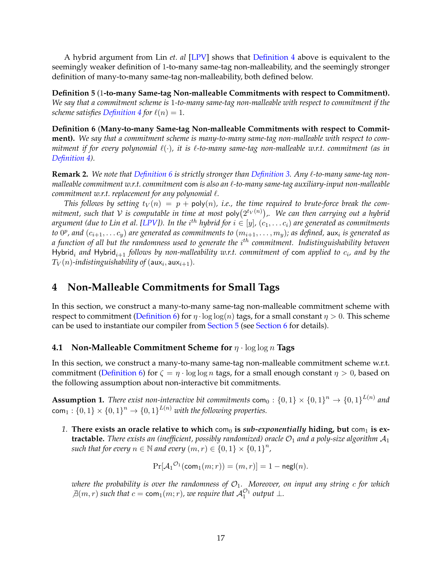<span id="page-18-6"></span>A hybrid argument from Lin *et. al* [\[LPV\]](#page-52-2) shows that [Definition 4](#page-17-1) above is equivalent to the seemingly weaker definition of 1-to-many same-tag non-malleability, and the seemingly stronger definition of many-to-many same-tag non-malleability, both defined below.

<span id="page-18-4"></span>**Definition 5** (1**-to-many Same-tag Non-malleable Commitments with respect to Commitment).** *We say that a commitment scheme is* 1*-to-many same-tag non-malleable with respect to commitment if the scheme satisfies [Definition 4](#page-17-1) for*  $\ell(n) = 1$ *.* 

<span id="page-18-2"></span>**Definition 6** (**Many-to-many Same-tag Non-malleable Commitments with respect to Commitment).** *We say that a commitment scheme is many-to-many same-tag non-malleable with respect to commitment if for every polynomial*  $\ell(\cdot)$ *, it is*  $\ell$ *-to-many same-tag non-malleable w.r.t. commitment (as in [Definition 4\)](#page-17-1).*

<span id="page-18-5"></span>**Remark 2.** We note that [Definition 6](#page-18-2) is strictly stronger than [Definition 3.](#page-15-0) Any  $\ell$ -to-many same-tag non*malleable commitment w.r.t. commitment* com *is also an* `*-to-many same-tag auxiliary-input non-malleable commitment w.r.t. replacement for any polynomial*  $\ell$ *.* 

*This follows by setting*  $t_V(n) = p + \text{poly}(n)$ , *i.e.*, the time required to brute-force break the com $m$ itment, such that  $V$  is computable in time at most  $\mathsf{poly}(2^{t_V(n)})$ ,. We can then carrying out a hybrid argument (due to Lin et al. [\[LPV\]](#page-52-2)). In the  $i^{th}$  hybrid for  $i \in [y]$ ,  $(c_1, \ldots c_i)$  are generated as commitments to  $0^p$ , and  $(c_{i+1}, \ldots c_y)$  are generated as commitments to  $(m_{i+1}, \ldots, m_y)$ ; as defined,  $\textsf{aux}_i$  is generated as *a function of all but the randomness used to generate the* i th *commitment. Indistinguishability between* Hybrid<sub>i</sub> and Hybrid<sub>i+1</sub> follows by non-malleability w.r.t. commitment of com applied to  $c_i$ , and by the  $T_V(n)$ -indistinguishability of  $(\mathsf{aux}_i, \mathsf{aux}_{i+1}).$ 

# <span id="page-18-0"></span>**4 Non-Malleable Commitments for Small Tags**

In this section, we construct a many-to-many same-tag non-malleable commitment scheme with respect to commitment [\(Definition 6\)](#page-18-2) for  $\eta \cdot \log \log(n)$  tags, for a small constant  $\eta > 0$ . This scheme can be used to instantiate our compiler from [Section 5](#page-25-0) (see [Section 6](#page-48-0) for details).

## <span id="page-18-1"></span>**4.1 Non-Malleable Commitment Scheme for** η · log log n **Tags**

In this section, we construct a many-to-many same-tag non-malleable commitment scheme w.r.t. commitment [\(Definition 6\)](#page-18-2) for  $\zeta = \eta \cdot \log \log n$  tags, for a small enough constant  $\eta > 0$ , based on the following assumption about non-interactive bit commitments.

<span id="page-18-3"></span>**Assumption 1.** There exist non-interactive bit commitments  $\mathsf{com}_0: \{0,1\} \times \{0,1\}^n \to \{0,1\}^{L(n)}$  and  $\mathsf{com}_1: \{0,1\} \times \{0,1\}^n \to \{0,1\}^{L(n)}$  with the following properties.

*1.* There exists an oracle relative to which  $com_0$  is *sub-exponentially* hiding, but  $com_1$  is ex**tractable.** There exists an (inefficient, possibly randomized) oracle  $\mathcal{O}_1$  and a poly-size algorithm  $\mathcal{A}_1$ such that for every  $n \in \mathbb{N}$  and every  $(m, r) \in \{0, 1\} \times \{0, 1\}^n$ ,

$$
\Pr[\mathcal{A}_1^{\mathcal{O}_1}(\mathsf{com}_1(m;r)) = (m,r)] = 1 - \mathsf{negl}(n).
$$

*where the probability is over the randomness of*  $\mathcal{O}_1$ . Moreover, on input any string c for which  $\exists (m, r)$  *such that*  $c = \text{com}_1(m; r)$ *, we require that*  $\mathcal{A}_1^{\mathcal{O}_1}$  *output*  $\bot$ *.*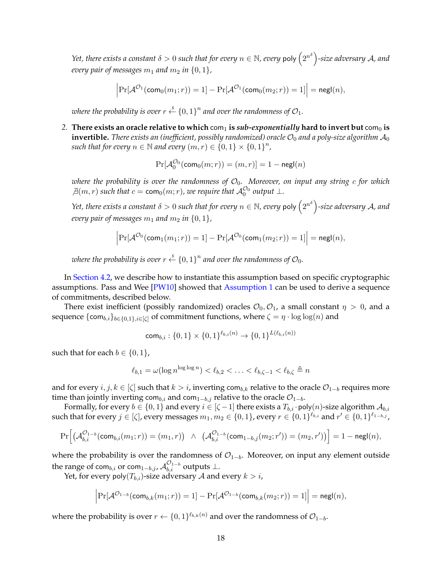<span id="page-19-0"></span>*Yet, there exists a constant*  $\delta > 0$  *such that for every*  $n \in \mathbb{N}$ *, every <code>poly</code>*  $\left( 2^{n^{\delta}} \right)$ *-size adversary*  $\mathcal{A}$ *, and every pair of messages*  $m_1$  *and*  $m_2$  *in*  $\{0, 1\}$ *,* 

$$
\left|\Pr[\mathcal{A}^{\mathcal{O}_1}(\mathsf{com}_0(m_1;r))=1]-\Pr[\mathcal{A}^{\mathcal{O}_1}(\mathsf{com}_0(m_2;r))=1]\right|=\mathsf{negl}(n),
$$

where the probability is over  $r \stackrel{\hspace{0.1em}\mathsf{\scriptscriptstyle\$}}{\leftarrow} \{0,1\}^n$  and over the randomness of  $\mathcal{O}_1.$ 

2. **There exists an oracle relative to which** com<sub>1</sub> is *sub-exponentially* hard to invert but com<sub>0</sub> is **invertible.** *There exists an (inefficient, possibly randomized) oracle*  $\mathcal{O}_0$  *and a poly-size algorithm*  $\mathcal{A}_0$ such that for every  $n \in \mathbb{N}$  and every  $(m, r) \in \{0, 1\} \times \{0, 1\}^n$ ,

$$
\Pr[\mathcal{A}_0^{\mathcal{O}_0}(\mathsf{com}_0(m;r))=(m,r)]=1-\mathsf{negl}(n)
$$

*where the probability is over the randomness of*  $\mathcal{O}_0$ . Moreover, on input any string c for which  $\mathcal{A}(m,r)$  *such that*  $c = \text{com}_0(m;r)$ *, we require that*  $\mathcal{A}_0^{\mathcal{O}_0}$  *output*  $\perp$ *.* 

*Yet, there exists a constant*  $\delta > 0$  *such that for every*  $n \in \mathbb{N}$ *, every <code>poly</code>*  $\left( 2^{n^{\delta}} \right)$ *-size adversary*  $\mathcal{A}$ *, and every pair of messages*  $m_1$  *and*  $m_2$  *in*  $\{0, 1\}$ *,* 

$$
\left|\Pr[\mathcal{A}^{\mathcal{O}_0}(\mathsf{com}_1(m_1;r))=1]-\Pr[\mathcal{A}^{\mathcal{O}_0}(\mathsf{com}_1(m_2;r))=1]\right|=\mathsf{negl}(n),
$$

where the probability is over  $r \stackrel{\hspace{0.1em}\mathsf{\scriptscriptstyle\$}}{\leftarrow} \{0,1\}^n$  and over the randomness of  $\mathcal{O}_0.$ 

In [Section 4.2,](#page-24-0) we describe how to instantiate this assumption based on specific cryptographic assumptions. Pass and Wee [\[PW10\]](#page-52-6) showed that [Assumption 1](#page-18-3) can be used to derive a sequence of commitments, described below.

There exist inefficient (possibly randomized) oracles  $\mathcal{O}_0$ ,  $\mathcal{O}_1$ , a small constant  $\eta > 0$ , and a sequence  $\{\textsf{com}_{b,i}\}_{b\in\{0,1\},i\in[\zeta]}$  of commitment functions, where  $\zeta = \eta \cdot \log \log(n)$  and

$$
\mathsf{com}_{b,i} : \{0,1\} \times \{0,1\}^{\ell_{b,i}(n)} \to \{0,1\}^{L(\ell_{b,i}(n))}
$$

such that for each  $b \in \{0, 1\}$ ,

$$
\ell_{b,1} = \omega(\log n^{\log \log n}) < \ell_{b,2} < \ldots < \ell_{b,\zeta-1} < \ell_{b,\zeta} \triangleq n
$$

and for every  $i, j, k \in [\zeta]$  such that  $k > i$ , inverting com<sub>b,k</sub> relative to the oracle  $\mathcal{O}_{1-b}$  requires more time than jointly inverting com<sub>b,i</sub> and com<sub>1−b,j</sub> relative to the oracle  $\mathcal{O}_{1-b}$ .

Formally, for every  $b \in \{0, 1\}$  and every  $i \in [\zeta - 1]$  there exists a  $T_{b,i}$  · poly $(n)$ -size algorithm  $\mathcal{A}_{b,i}$ such that for every  $j\in [\zeta]$ , every messages  $m_1,m_2\in \{0,1\}$ , every  $r\in \{0,1\}^{\ell_{b,i}}$  and  $r'\in \{0,1\}^{\ell_{1-b,j}}$ ,

$$
\Pr\Big[\big(\mathcal{A}_{b,i}^{\mathcal{O}_{1-b}}(\mathsf{com}_{b,i}(m_1;r)) = (m_1,r)\big) \ \wedge \ \ \big(\mathcal{A}_{b,i}^{\mathcal{O}_{1-b}}(\mathsf{com}_{1-b,j}(m_2;r')) = (m_2,r')\big)\Big] = 1 - \mathsf{negl}(n),
$$

where the probability is over the randomness of  $O_{1-b}$ . Moreover, on input any element outside the range of com $_{b,i}$  or com $_{1-b,j}$ ,  $\mathcal{A}_{b,i}^{\mathcal{O}_{1-b}}$  outputs  $\bot.$ 

Yet, for every poly $(T_{b,i})$ -size adversary A and every  $k > i$ ,

$$
\left|\Pr[\mathcal{A}^{\mathcal{O}_{1-b}}(\mathsf{com}_{b,k}(m_1;r))=1]-\Pr[\mathcal{A}^{\mathcal{O}_{1-b}}(\mathsf{com}_{b,k}(m_2;r))=1]\right|=\mathsf{negl}(n),
$$

where the probability is over  $r \leftarrow \{0,1\}^{\ell_{b,k}(n)}$  and over the randomness of  $\mathcal{O}_{1-b}.$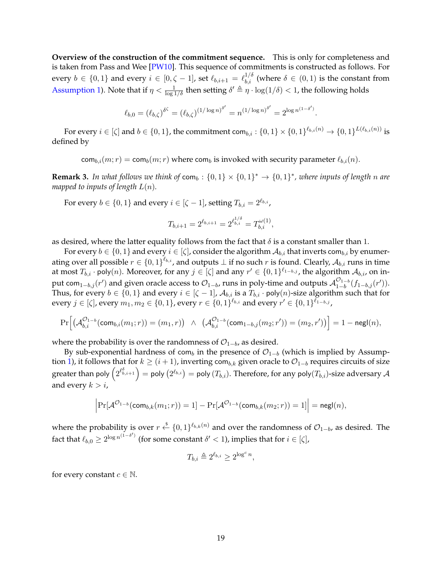<span id="page-20-0"></span>**Overview of the construction of the commitment sequence.** This is only for completeness and is taken from Pass and Wee [\[PW10\]](#page-52-6). This sequence of commitments is constructed as follows. For every  $b \in \{0,1\}$  and every  $i \in [0,\zeta-1]$ , set  $\ell_{b,i+1} = \ell_{b,i}^{1/\delta}$  (where  $\delta \in (0,1)$  is the constant from [Assumption 1\)](#page-18-3). Note that if  $\eta < \frac{1}{\log 1/\delta}$  then setting  $\delta' \triangleq \eta \cdot \log(1/\delta) < 1$ , the following holds

$$
\ell_{b,0} = (\ell_{b,\zeta})^{\delta^{\zeta}} = (\ell_{b,\zeta})^{(1/\log n)^{\delta'}} = n^{(1/\log n)^{\delta'}} = 2^{\log n^{(1-\delta')}}.
$$

For every  $i\in[\zeta]$  and  $b\in\{0,1\}$ , the commitment com $_{b,i}:\{0,1\}\times\{0,1\}^{\ell_{b,i}(n)}\to\{0,1\}^{L(\ell_{b,i}(n))}$  is defined by

 $\text{com}_{b,i}(m;r) = \text{com}_b(m;r)$  where  $\text{com}_b$  is invoked with security parameter  $\ell_{b,i}(n)$ .

**Remark 3.** In what follows we think of  $com_b: \{0,1\} \times \{0,1\}^* \rightarrow \{0,1\}^*$ , where inputs of length n are *mapped to inputs of length*  $L(n)$ *.* 

For every  $b \in \{0,1\}$  and every  $i \in [\zeta -1]$ , setting  $T_{b,i} = 2^{\ell_{b,i}}$ ,

$$
T_{b,i+1} = 2^{\ell_{b,i+1}} = 2^{\ell_{b,i}^{1/\delta}} = T_{b,i}^{\omega(1)},
$$

as desired, where the latter equality follows from the fact that  $\delta$  is a constant smaller than 1.

For every  $b \in \{0,1\}$  and every  $i \in [\zeta]$ , consider the algorithm  $\mathcal{A}_{b,i}$  that inverts com $_{b,i}$  by enumerating over all possible  $r\in\{0,1\}^{\ell_{b,i}}$ , and outputs  $\perp$  if no such  $r$  is found. Clearly,  $\mathcal{A}_{b,i}$  runs in time at most  $T_{b,i}$  · poly $(n)$ . Moreover, for any  $j \in [\zeta]$  and any  $r' \in \{0,1\}^{\ell_{1-b,j}}$ , the algorithm  $\mathcal{A}_{b,i}$ , on input com $_{1-b,j}(r')$  and given oracle access to  $\mathcal{O}_{1-b}$ , runs in poly-time and outputs  $\mathcal{A}_{1-b}^{\mathcal{O}_{1-b}}$  $_{1-b}^{\mathcal{O}_{1-b}}(f_{1-b,j}(r')).$ Thus, for every  $b \in \{0,1\}$  and every  $i \in [\zeta - 1]$ ,  $\mathcal{A}_{b,i}$  is a  $T_{b,i}$  · poly $(n)$ -size algorithm such that for every  $j\in [\zeta]$ , every  $m_1,m_2\in \{0,1\}$ , every  $r\in \{0,1\}^{\ell_{b,i}}$  and every  $r'\in \{0,1\}^{\ell_{1-b,j}}$ ,

$$
\Pr\Big[\big(\mathcal{A}_{b,i}^{\mathcal{O}_{1-b}}(\mathsf{com}_{b,i}(m_1;r)) = (m_1,r)\big) \ \wedge \ \ \big(\mathcal{A}_{b,i}^{\mathcal{O}_{1-b}}(\mathsf{com}_{1-b,j}(m_2;r')) = (m_2,r')\big)\Big] = 1 - \mathsf{negl}(n),
$$

where the probability is over the randomness of  $\mathcal{O}_{1-b}$ , as desired.

By sub-exponential hardness of com<sub>b</sub> in the presence of  $\mathcal{O}_{1-b}$  (which is implied by Assump-tion [1\)](#page-18-3), it follows that for  $k \geq (i+1)$ , inverting com<sub>b,k</sub> given oracle to  $\mathcal{O}_{1-b}$  requires circuits of size greater than poly  $\left(2^{\ell_{b,i+1}^s}\right)=$  poly  $(2^{\ell_{b,i}})=$  poly  $(T_{b,i}).$  Therefore, for any poly $(T_{b,i})$ -size adversary  ${\cal A}$ and every  $k > i$ ,

$$
\Big|\mathrm{Pr}[\mathcal{A}^{\mathcal{O}_{1-b}}(\mathrm{com}_{b,k}(m_1;r))=1]-\mathrm{Pr}[\mathcal{A}^{\mathcal{O}_{1-b}}(\mathrm{com}_{b,k}(m_2;r))=1]\Big|=\mathrm{negl}(n),
$$

where the probability is over  $r \stackrel{\$}{\leftarrow} \{0,1\}^{\ell_{b,k}(n)}$  and over the randomness of  $\mathcal{O}_{1-b}$ , as desired. The fact that  $\ell_{b,0} \geq 2^{\log n^{(1-\delta')}}$  (for some constant  $\delta' < 1$ ), implies that for  $i \in [\zeta]$ ,

$$
T_{b,i} \triangleq 2^{\ell_{b,i}} \ge 2^{\log^c n},
$$

for every constant  $c \in \mathbb{N}$ .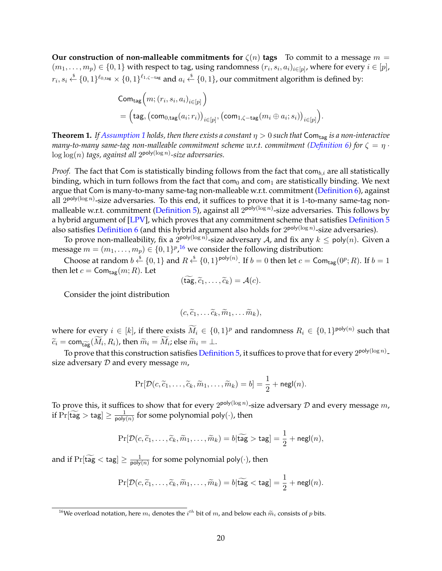<span id="page-21-2"></span>**Our construction of non-malleable commitments for**  $\zeta(n)$  **tags To commit to a message**  $m =$  $(m_1,\ldots,m_p)\in\{0,1\}$  with respect to tag, using randomness  $(r_i,s_i,a_i)_{i\in[p]}$ , where for every  $i\in[p]$ ,  $r_i,s_i\stackrel{\hspace{0.1em}\mathsf{\scriptscriptstyle\$}}{\leftarrow}\{0,1\}^{\ell_{0,\mathsf{tag}}}\times\{0,1\}^{\ell_{1,\zeta-\mathsf{tag}}}$  and  $a_i\stackrel{\hspace{0.1em}\mathsf{\scriptscriptstyle\$}}{\leftarrow}\{0,1\}$ , our commitment algorithm is defined by:

$$
\begin{aligned} &\mathsf{Com}_\mathsf{tag}\Big(m; (r_i, s_i, a_i)_{i \in [p]}\Big)\\ &= \Big(\mathsf{tag}, \big(\mathsf{com}_{0,\mathsf{tag}}(a_i;r_i)\big)_{i \in [p]}, \big(\mathsf{com}_{1,\zeta-\mathsf{tag}}(m_i \oplus a_i;s_i)\big)_{i \in [p]}\Big). \end{aligned}
$$

<span id="page-21-0"></span>**Theorem 1.** If [Assumption 1](#page-18-3) holds, then there exists a constant  $\eta > 0$  such that Com<sub>tag</sub> is a non-interactive *many-to-many same-tag non-malleable commitment scheme w.r.t. commitment [\(Definition 6\)](#page-18-2)* for  $\zeta = \eta$ . log log(n) *tags, against all* 2 poly(log n) *-size adversaries.*

*Proof.* The fact that Com is statistically binding follows from the fact that  $com_{b,i}$  are all statistically binding, which in turn follows from the fact that com<sub>0</sub> and com<sub>1</sub> are statistically binding. We next argue that Com is many-to-many same-tag non-malleable w.r.t. commitment [\(Definition 6\)](#page-18-2), against all  $2^{\mathsf{poly}(\log n)}$ -size adversaries. To this end, it suffices to prove that it is 1-to-many same-tag non-malleable w.r.t. commitment [\(Definition 5\)](#page-18-4), against all  $2^{poly(\log n)}$ -size adversaries. This follows by a hybrid argument of [\[LPV\]](#page-52-2), which proves that any commitment scheme that satisfies [Definition 5](#page-18-4) also satisfies <del>[Definition 6](#page-18-2)</del> (and this hybrid argument also holds for  $2^{\mathsf{poly}(\log n)}$ -size adversaries).

To prove non-malleability, fix a  $2^{poly(\log n)}$ -size adversary  $\mathcal A$ , and fix any  $k\leq \mathsf{poly}(n).$  Given a message  $m = (m_1, \ldots, m_p) \in \{0,1\}^{p}$ , <sup>[16](#page-21-1)</sup> we consider the following distribution:

Choose at random  $b \stackrel{\$}{\leftarrow} \{0,1\}$  and  $R \stackrel{\$}{\leftarrow} \{0,1\}^{\text{poly}(n)}$ . If  $b=0$  then let  $c = \mathsf{Com}_{\mathsf{tag}}(0^p;R)$ . If  $b=1$ then let  $c = \textsf{Com}_{\textsf{tag}}(m; R)$ . Let

$$
(\mathsf{tag}, \widetilde{c}_1, \ldots, \widetilde{c}_k) = \mathcal{A}(c).
$$

Consider the joint distribution

$$
(c,\widetilde{c}_1,\ldots \widetilde{c}_k,\widetilde{m}_1,\ldots \widetilde{m}_k),
$$

where for every  $i \in [k]$ , if there exists  $M_i \in \{0,1\}^p$  and randomness  $R_i \in \{0,1\}^{\text{poly}(n)}$  such that  $\widetilde{c}_i = \textsf{com}_{\widetilde{\textsf{tag}}}(M_i, R_i)$ , then  $\widetilde{m}_i = M_i$ ; else  $\widetilde{m}_i = \bot$ .

To prove that this construction satisfies [Definition 5,](#page-18-4) it suffices to prove that for every  $2^{\mathsf{poly}(\log n)}$ size adversary  $D$  and every message  $m$ ,

$$
\Pr[\mathcal{D}(c, \widetilde{c}_1, \dots, \widetilde{c}_k, \widetilde{m}_1, \dots, \widetilde{m}_k) = b] = \frac{1}{2} + \mathsf{negl}(n).
$$

To prove this, it suffices to show that for every  $2^{\mathsf{poly}(\log n)}$ -size adversary  ${\mathcal D}$  and every message  $m$ , if  $Pr[\widetilde{\text{tag}} > \text{tag}] \ge \frac{1}{\text{poly}}$  $\frac{1}{\text{poly}(n)}$  for some polynomial poly $(\cdot)$ , then

$$
\Pr[\mathcal{D}(c, \widetilde{c}_1, \dots, \widetilde{c}_k, \widetilde{m}_1, \dots, \widetilde{m}_k) = b | \widetilde{\text{tag}} > \text{tag} = \frac{1}{2} + \text{negl}(n),
$$

and if  $\Pr[\mathsf{tag} < \mathsf{tag}] \geq \frac{1}{\mathsf{poly}}$  $\frac{1}{\text{poly}(n)}$  for some polynomial poly $(\cdot)$ , then

$$
\Pr[\mathcal{D}(c, \widetilde{c}_1, \dots, \widetilde{c}_k, \widetilde{m}_1, \dots, \widetilde{m}_k) = b | \widetilde{\text{tag}} < \text{tag} | = \frac{1}{2} + \text{negl}(n).
$$

<span id="page-21-1"></span><sup>&</sup>lt;sup>16</sup>We overload notation, here  $m_i$  denotes the  $i^{th}$  bit of  $m$ , and below each  $\widetilde{m}_i$  consists of  $p$  bits.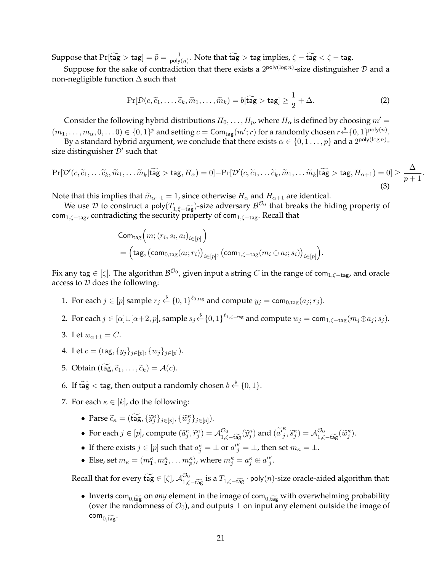Suppose that  $Pr[\widetilde{\text{tag}} > \text{tag}] = \widehat{p} = \frac{1}{\text{poly}}$  $\frac{1}{\text{poly}(n)}$ . Note that tag  $>$  tag implies,  $\zeta$  – tag  $< \zeta$  – tag.

Suppose for the sake of contradiction that there exists a  $2^{poly(\log n)}$ -size distinguisher  ${\cal D}$  and a non-negligible function ∆ such that

$$
\Pr[\mathcal{D}(c,\widetilde{c}_1,\ldots,\widetilde{c}_k,\widetilde{m}_1,\ldots,\widetilde{m}_k)=b|\widetilde{\text{tag}}> \text{tag}]\geq \frac{1}{2}+\Delta. \tag{2}
$$

Consider the following hybrid distributions  $H_0, \ldots, H_p$ , where  $H_\alpha$  is defined by choosing  $m' =$  $(m_1,\ldots,m_\alpha,0,\ldots 0)\in\{0,1\}^p$  and setting  $c=\mathsf{Com}_\mathsf{tag}(m';r)$  for a randomly chosen  $r \xleftarrow{\$} \{0,1\}^{\mathsf{poly}(n)}.$ 

By a standard hybrid argument, we conclude that there exists  $\alpha\in\{0,1\ldots,p\}$  and a  $2^{\mathsf{poly}(\log n)}$ size distinguisher  $\mathcal{D}'$  such that

<span id="page-22-0"></span>
$$
\Pr[\mathcal{D}'(c,\widetilde{c}_1,\ldots,\widetilde{c}_k,\widetilde{m}_1,\ldots,\widetilde{m}_k|\widetilde{\mathsf{tag}} > \mathsf{tag},H_\alpha) = 0] - \Pr[\mathcal{D}'(c,\widetilde{c}_1,\ldots,\widetilde{c}_k,\widetilde{m}_1,\ldots,\widetilde{m}_k|\widetilde{\mathsf{tag}} > \mathsf{tag},H_{\alpha+1}) = 0] \ge \frac{\Delta}{p+1}.
$$
\n(3)

Note that this implies that  $\widetilde{m}_{\alpha+1} = 1$ , since otherwise  $H_{\alpha}$  and  $H_{\alpha+1}$  are identical.

We use  $\mathcal D$  to construct a poly $(T_{1,\xi-\tilde{\text{tag}}})$ -size adversary  $\mathcal B^{\mathcal O_0}$  that breaks the hiding property of com<sub>1, $\zeta$ -tag, contradicting the security property of com<sub>1, $\zeta$ -tag</sub>. Recall that</sub>

$$
\begin{aligned} &\mathsf{Com}_{\mathsf{tag}}\Big(m; (r_i, s_i, a_i)_{i \in [p]}\Big)\\ &= \Big(\mathsf{tag}, \big(\mathsf{com}_{0,\mathsf{tag}}(a_i;r_i)\big)_{i \in [p]}, \big(\mathsf{com}_{1,\zeta-\mathsf{tag}}(m_i \oplus a_i;s_i)\big)_{i \in [p]}\Big). \end{aligned}
$$

Fix any tag  $\in$  [ $\zeta]$ . The algorithm  $\mathcal{B}^{\mathcal{O}_0}$ , given input a string  $C$  in the range of com $_{1,\zeta-\textsf{tag}}$ , and oracle access to  $D$  does the following:

- 1. For each  $j \in [p]$  sample  $r_j \stackrel{\$}{\leftarrow} \{0,1\}^{\ell_{0,\text{tag}}}$  and compute  $y_j = \text{com}_{0,\text{tag}}(a_j; r_j)$ .
- 2. For each  $j \in [\alpha] \cup [\alpha+2, p]$ , sample  $s_j \xleftarrow{\$} \{0,1\}^{\ell_{1,\zeta-\text{tag}}}$  and compute  $w_j = \text{com}_{1,\zeta-\text{tag}}(m_j \oplus a_j; s_j)$ .
- 3. Let  $w_{\alpha+1} = C$ .
- 4. Let  $c = (\text{tag}, \{y_j\}_{j \in [p]}, \{w_j\}_{j \in [p]}).$
- 5. Obtain  $(\widetilde{\mathsf{tag}}, \widetilde{c}_1, \ldots, \widetilde{c}_k) = \mathcal{A}(c)$ .
- 6. If  $\widetilde{\mathsf{tag}} < \mathsf{tag}$ , then output a randomly chosen  $b \overset{\$}{\leftarrow} \{0,1\}.$
- 7. For each  $\kappa \in [k]$ , do the following:
	- Parse  $\widetilde{c}_\kappa = (\widetilde{\text{tag}}, {\{\widetilde{y}_j^{\kappa}\}_{j \in [p]}}, {\{\widetilde{w}_j^{\kappa}\}_{j \in [p]}}).$
	- For each  $j \in [p]$ , compute  $(\widetilde{a}_j^{\kappa}, \widetilde{r}_j^{\kappa}) = \mathcal{A}_{1,\zeta \widetilde{\mathsf{tag}}}^{\mathcal{O}_0}(\widetilde{y}_j^{\kappa})$  and  $(\widetilde{a'}_j^{\kappa})$  $\left(\begin{matrix} \beta_j^{\kappa} , \widetilde{\delta}_j^{\kappa} \end{matrix}\right) = \mathcal{A}^{\mathcal{O}_0}_{1, \zeta - \widetilde{\mathsf{tag}}}(\widetilde{w}_j^{\kappa}).$
	- If there exists  $j \in [p]$  such that  $a_j^k = \perp$  or  $a_j'^k = \perp$ , then set  $m_k = \perp$ .
	- Else, set  $m_{\kappa} = (m_1^{\kappa}, m_2^{\kappa}, \dots m_p^{\kappa})$ , where  $m_j^{\kappa} = a_j^{\kappa} \oplus a_j^{\kappa}$ .

Recall that for every tag  $\in [\zeta]$ ,  $\mathcal{A}_{1,\zeta-\widetilde{\mathfrak{tag}}}^{O_0}$  is a  $T_{1,\zeta-\widetilde{\mathfrak{tag}}}$  · poly $(n)$ -size oracle-aided algorithm that:

• Inverts com<sub>0,tag</sub> on *any* element in the image of com<sub>0,tag</sub> with overwhelming probability (over the randomness of  $\mathcal{O}_0$ ), and outputs  $\perp$  on input any element outside the image of  $\mathsf{com}_{0,\widetilde{\mathsf{tag}}}.$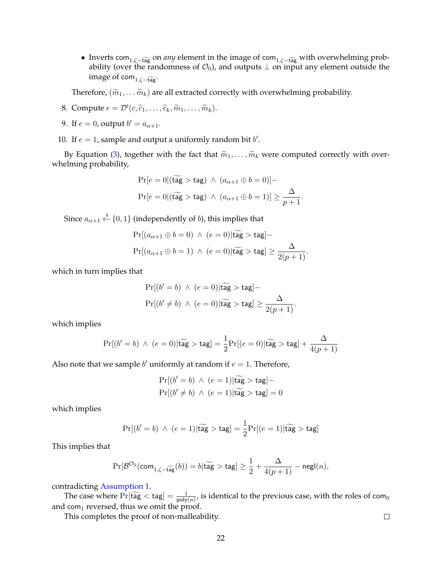• Inverts com<sub>1, $\zeta$ –tag</sub> on *any* element in the image of com<sub>1, $\zeta$ –tage with overwhelming prob-</sub> ability (over the randomness of  $\mathcal{O}_0$ ), and outputs  $\perp$  on input any element outside the image of com $_{1,\zeta-\widetilde{\mathfrak{tag}}^*}$ .

Therefore,  $(\widetilde{m}_1, \ldots \widetilde{m}_k)$  are all extracted correctly with overwhelming probability.

- 8. Compute  $e = \mathcal{D}'(c, \widetilde{c}_1, \ldots, \widetilde{c}_k, \widetilde{m}_1, \ldots, \widetilde{m}_k).$
- 9. If  $e = 0$ , output  $b' = a_{\alpha+1}$ .
- 10. If  $e = 1$ , sample and output a uniformly random bit  $b'$ .

By Equation [\(3\)](#page-22-0), together with the fact that  $\widetilde{m}_1, \ldots, \widetilde{m}_k$  were computed correctly with overwhelming probability,

$$
\Pr[e = 0 | (\widetilde{\text{tag}} > \text{tag}) \wedge (a_{\alpha+1} \oplus b = 0)] -
$$

$$
\Pr[e = 0 | (\widetilde{\text{tag}} > \text{tag}) \wedge (a_{\alpha+1} \oplus b = 1)] \ge \frac{\Delta}{p+1}
$$

.

Since  $a_{\alpha+1}\overset{\hspace{0.1em}\mathsf{\scriptscriptstyle\$}}{\leftarrow}\{0,1\}$  (independently of  $b$ ), this implies that

$$
\Pr[(a_{\alpha+1} \oplus b = 0) \land (e = 0)|\widehat{\text{tag}} > \text{tag}] -
$$
  

$$
\Pr[(a_{\alpha+1} \oplus b = 1) \land (e = 0)|\widehat{\text{tag}} > \text{tag}] \ge \frac{\Delta}{2(p+1)}.
$$

which in turn implies that

$$
\Pr[(b'=b) \land (e=0)|\widetilde{\text{tag}} > \text{tag}] -
$$
  

$$
\Pr[(b' \neq b) \land (e=0)|\widetilde{\text{tag}} > \text{tag}] \ge \frac{\Delta}{2(p+1)}.
$$

which implies

$$
\Pr[(b'=b) ~\wedge~ (e=0)|\widetilde{\text{tag}} > \text{tag}] = \frac{1}{2}\Pr[(e=0)|\widetilde{\text{tag}} > \text{tag}] + \frac{\Delta}{4(p+1)}
$$

Also note that we sample  $b'$  uniformly at random if  $e = 1$ . Therefore,

$$
Pr[(b' = b) \land (e = 1)|\widetilde{\mathsf{tag}} > \mathsf{tag}] -
$$
  

$$
Pr[(b' \neq b) \land (e = 1)|\widetilde{\mathsf{tag}} > \mathsf{tag}] = 0
$$

which implies

$$
\Pr[(b'=b) \ \land \ (e=1)|\widetilde{\text{tag}} > \text{tag}] = \frac{1}{2}\Pr[(e=1)|\widetilde{\text{tag}} > \text{tag}]
$$

This implies that

$$
\Pr[\mathcal{B}^{\mathcal{O}_0}(\mathsf{com}_{1, \zeta - \widehat{\mathsf{tag}}}(b)) = b | \widetilde{\mathsf{tag}} > \mathsf{tag}] \ge \frac{1}{2} + \frac{\Delta}{4(p+1)} - \mathsf{negl}(n),
$$

contradicting [Assumption 1.](#page-18-3)

The case where  $Pr[\widetilde{\text{tag}} < \text{tag}] = \frac{1}{\text{poly}(n)}$ , is identical to the previous case, with the roles of com<sub>0</sub> and com<sub>1</sub> reversed, thus we omit the proof.

This completes the proof of non-malleability.

 $\Box$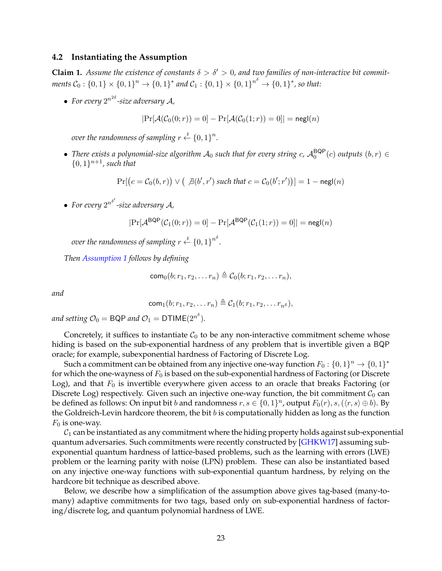## <span id="page-24-1"></span><span id="page-24-0"></span>**4.2 Instantiating the Assumption**

**Claim 1.** Assume the existence of constants  $\delta > \delta' > 0$ , and two families of non-interactive bit commit $ments C_0: \{0,1\}\times \{0,1\}^n \rightarrow \{0,1\}^*$  and  $\mathcal{C}_1: \{0,1\}\times \{0,1\}^{n^\delta} \rightarrow \{0,1\}^*$ , so that:

• For every  $2^{n^{2\delta}}$ -size adversary A,

$$
|\Pr[\mathcal{A}(\mathcal{C}_0(0;r))=0]-\Pr[\mathcal{A}(\mathcal{C}_0(1;r))=0]|=\mathsf{negl}(n)
$$

*over the randomness of sampling r*  $\overset{\hspace{0.1em}\mathsf{\scriptscriptstyle\$}}{\leftarrow} \{0,1\}^n.$ 

• There exists a polynomial-size algorithm  $A_0$  such that for every string  $c$ ,  $A_0^{\text{BQP}}(c)$  outputs  $(b, r) \in$  $\{0,1\}^{n+1}$ , such that

$$
\Pr[(c = C_0(b, r)) \vee (\exists (b', r') \text{ such that } c = C_0(b'; r'))] = 1 - \text{negl}(n)
$$

• For every  $2^{n^{\delta'}}$ -size adversary A,

$$
|\Pr[\mathcal{A}^{\mathsf{BQP}}(\mathcal{C}_1(0;r))=0]-\Pr[\mathcal{A}^{\mathsf{BQP}}(\mathcal{C}_1(1;r))=0]|=\mathsf{negl}(n)
$$

*over the randomness of sampling*  $r \overset{\hspace{0.1em}\mathsf{\scriptscriptstyle\$}}{\leftarrow} \{0,1\}^{n^{\delta}}.$ 

*Then [Assumption 1](#page-18-3) follows by defining*

$$
com_0(b; r_1, r_2, \ldots r_n) \triangleq C_0(b; r_1, r_2, \ldots r_n),
$$

*and*

$$
com_1(b; r_1, r_2, \ldots r_n) \triangleq C_1(b; r_1, r_2, \ldots r_n)
$$

and setting  $\mathcal{O}_0 = \mathsf{BQP}$  and  $\mathcal{O}_1 = \mathsf{DTIME}(2^{n^{\delta}}).$ 

Concretely, it suffices to instantiate  $C_0$  to be any non-interactive commitment scheme whose hiding is based on the sub-exponential hardness of any problem that is invertible given a BQP oracle; for example, subexponential hardness of Factoring of Discrete Log.

Such a commitment can be obtained from any injective one-way function  $F_0: \{0,1\}^n \rightarrow \{0,1\}^*$ for which the one-wayness of  $F_0$  is based on the sub-exponential hardness of Factoring (or Discrete Log), and that  $F_0$  is invertible everywhere given access to an oracle that breaks Factoring (or Discrete Log) respectively. Given such an injective one-way function, the bit commitment  $C_0$  can be defined as follows: On input bit b and randomness  $r, s \in \{0,1\}^n$ , output  $F_0(r), s, (\langle r, s \rangle \oplus b)$ . By the Goldreich-Levin hardcore theorem, the bit  $b$  is computationally hidden as long as the function  $F_0$  is one-way.

 $C_1$  can be instantiated as any commitment where the hiding property holds against sub-exponential quantum adversaries. Such commitments were recently constructed by [\[GHKW17\]](#page-51-8) assuming subexponential quantum hardness of lattice-based problems, such as the learning with errors (LWE) problem or the learning parity with noise (LPN) problem. These can also be instantiated based on any injective one-way functions with sub-exponential quantum hardness, by relying on the hardcore bit technique as described above.

Below, we describe how a simplification of the assumption above gives tag-based (many-tomany) adaptive commitments for two tags, based only on sub-exponential hardness of factoring/discrete log, and quantum polynomial hardness of LWE.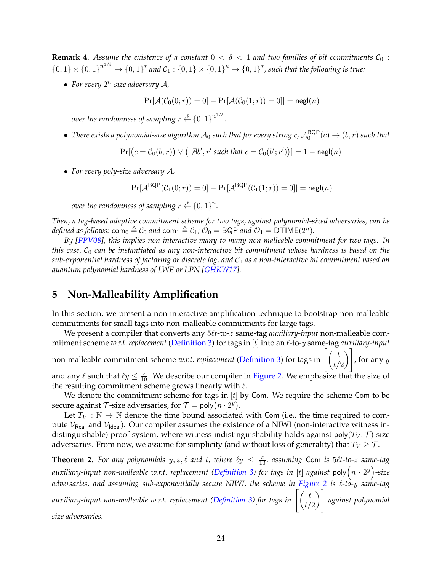<span id="page-25-2"></span>**Remark 4.** Assume the existence of a constant  $0 < \delta < 1$  and two families of bit commitments  $C_0$ :  $\{0,1\}\times \{0,1\}^{n^{1/\delta}} \to \{0,1\}^*$  and  $\mathcal{C}_1:\{0,1\}\times \{0,1\}^n \to \{0,1\}^*$ , such that the following is true:

• For every  $2^n$ -size adversary  $A$ ,

 $|\Pr[\mathcal{A}(\mathcal{C}_0(0; r)) = 0] - \Pr[\mathcal{A}(\mathcal{C}_0(1; r)) = 0]| = {\sf negl}(n)$ 

*over the randomness of sampling*  $r \overset{\hspace{0.1em}\mathsf{\scriptscriptstyle\$}}{\leftarrow} \{0,1\}^{n^{1/\delta}}.$ 

• There exists a polynomial-size algorithm  $\mathcal{A}_0$  such that for every string  $c$ ,  $\mathcal{A}_0^{\sf BQP}(c)\to(b,r)$  such that

 $Pr[(c = C_0(b, r)) \vee (\exists b', r' \text{ such that } c = C_0(b'; r'))] = 1 - negl(n)$ 

• *For every poly-size adversary* A*,*

$$
|\Pr[\mathcal{A}^{\mathsf{BQP}}(\mathcal{C}_1(0;r)) = 0] - \Pr[\mathcal{A}^{\mathsf{BQP}}(\mathcal{C}_1(1;r)) = 0]| = \mathsf{negl}(n)
$$

*over the randomness of sampling*  $r \stackrel{\hspace{0.1em}\mathsf{\scriptscriptstyle\$}}{\leftarrow} \{0,1\}^n.$ 

*Then, a tag-based adaptive commitment scheme for two tags, against polynomial-sized adversaries, can be defined as follows:*  $\text{com}_0 \triangleq C_0$  *and*  $\text{com}_1 \triangleq C_1$ ;  $\mathcal{O}_0 = \text{BQP}$  *and*  $\mathcal{O}_1 = \text{DTIME}(2^n)$ *.* 

*By [\[PPV08\]](#page-52-3), this implies non-interactive many-to-many non-malleable commitment for two tags. In this case,*  $C_0$  *can be instantiated as any non-interactive bit commitment whose hardness is based on the sub-exponential hardness of factoring or discrete log, and* C<sup>1</sup> *as a non-interactive bit commitment based on quantum polynomial hardness of LWE or LPN [\[GHKW17\]](#page-51-8).*

# <span id="page-25-0"></span>**5 Non-Malleability Amplification**

In this section, we present a non-interactive amplification technique to bootstrap non-malleable commitments for small tags into non-malleable commitments for large tags.

We present a compiler that converts any  $5\ell t$ -to-z same-tag *auxiliary-input* non-malleable commitment scheme *w.r.t. replacement* [\(Definition 3\)](#page-15-0) for tags in [t] into an  $\ell$ -to-y same-tag *auxiliary-input* non-malleable commitment scheme *w.r.t. replacement* [\(Definition 3\)](#page-15-0) for tags in  $\begin{bmatrix} t \end{bmatrix}$  $t/2$  $\setminus$ , for any  $y$ 

and any  $\ell$  such that  $\ell y \leq \frac{z}{10}$ . We describe our compiler in [Figure 2.](#page-26-0) We emphasize that the size of the resulting commitment scheme grows linearly with  $\ell$ .

We denote the commitment scheme for tags in  $[t]$  by Com. We require the scheme Com to be secure against  $\mathcal T$ -size adversaries, for  $\mathcal T = \mathsf{poly}(n \cdot 2^y).$ 

Let  $T_V : \mathbb{N} \to \mathbb{N}$  denote the time bound associated with Com (i.e., the time required to compute  $V_{\text{Real}}$  and  $V_{\text{Ideal}}$ ). Our compiler assumes the existence of a NIWI (non-interactive witness indistinguishable) proof system, where witness indistinguishability holds against poly $(T_V, \mathcal{T})$ -size adversaries. From now, we assume for simplicity (and without loss of generality) that  $T_V \geq \mathcal{T}$ .

<span id="page-25-1"></span>**Theorem 2.** For any polynomials  $y, z, \ell$  and  $t$ , where  $\ell y \leq \frac{z}{10}$ , assuming Com is  $5\ell t$ -to-z same-tag auxiliary-input non-malleable w.r.t. replacement [\(Definition 3\)](#page-15-0) for tags in [t] against poly $\left(n\cdot2^{y}\right)$ -size *adversaries, and assuming sub-exponentially secure NIWI, the scheme in [Figure 2](#page-26-0) is* `*-to-*y *same-tag* auxiliary-input non-malleable w.r.t. replacement [\(Definition 3\)](#page-15-0) for tags in  $\left[\binom{t}{t}\right]$  $t/2$  $\setminus$ *against polynomial size adversaries.*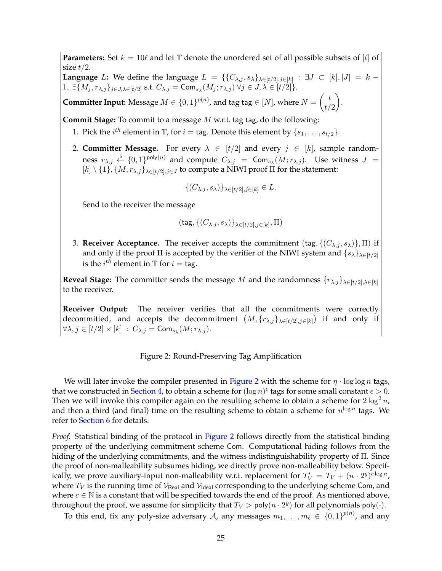<span id="page-26-0"></span>**Parameters:** Set  $k = 10\ell$  and let  $\mathbb{T}$  denote the unordered set of all possible subsets of  $[t]$  of size  $t/2$ .

**Language** L: We define the language  $L = \{ \{C_{\lambda,j}, s_{\lambda}\}_{\lambda \in [t/2], j \in [k]} : \exists J \subset [k], |J| = k - 1\}$  $1, \ \exists \{M_j, r_{\lambda,j}\}_{j\in J, \lambda\in [t/2]}$  s.t.  $C_{\lambda,j} = \mathsf{Com}_{s_\lambda}(M_j; r_{\lambda,j}) \ \forall j\in J, \lambda\in [t/2] \}.$ 

.

**Committer Input:** Message  $M \in \{0,1\}^{p(n)}$ , and tag tag  $\in [N]$ , where  $N = \begin{pmatrix} t & t \\ t & t \end{pmatrix}$  $t/2$  $\setminus$ 

**Commit Stage:** To commit to a message M w.r.t. tag tag, do the following:

- 1. Pick the  $i^{th}$  element in  $\mathbb{T}$ , for  $i = \text{tag.}$  Denote this element by  $\{s_1, \ldots, s_{t/2}\}.$
- 2. **Committer Message.** For every  $\lambda \in [t/2]$  and every  $j \in [k]$ , sample randomness  $r_{\lambda,j} \stackrel{\hspace{0.1em}\mathsf{\scriptscriptstyle\$}}{\leftarrow} \{0,1\}^{\mathsf{poly}(n)}$  and compute  $C_{\lambda,j}$  = Com $_{s_{\lambda}}(M;r_{\lambda,j})$ . Use witness  $J$  =  $[k] \setminus \{1\}$ ,  $\{M, r_{\lambda,j}\}_{\lambda \in [t/2], j \in J}$  to compute a NIWI proof  $\Pi$  for the statement:

$$
\{(C_{\lambda,j},s_{\lambda})\}_{\lambda\in[t/2],j\in[k]}\in L.
$$

Send to the receiver the message

$$
(\mathsf{tag}, \{(C_{\lambda,j}, s_\lambda)\}_{\lambda \in [t/2], j \in [k]}, \Pi)
$$

3. **Receiver Acceptance.** The receiver accepts the commitment  $(\text{tag}, \{ (C_{\lambda,i}, s_{\lambda}) \}, \Pi)$  if and only if the proof  $\Pi$  is accepted by the verifier of the NIWI system and  $\{s_{\lambda}\}_{\lambda \in [t/2]}$ is the  $i^{th}$  element in  $\mathbb T$  for  $i = \mathsf{tag}.$ 

**Reveal Stage:** The committer sends the message M and the randomness  $\{r_{\lambda,j}\}_{\lambda \in [t/2], \lambda \in [k]}$ to the receiver.

**Receiver Output:** The receiver verifies that all the commitments were correctly decommitted, and accepts the decommitment  $(M, \{r_{\lambda,j}\}_{\lambda \in [t/2], j \in [k]})$  if and only if  $\forall \lambda,j\in [t/2]\times [k] \ : \ C_{\lambda,j} = \mathsf{Com}_{s_\lambda}(M;r_{\lambda,j}).$ 

## Figure 2: Round-Preserving Tag Amplification

We will later invoke the compiler presented in [Figure 2](#page-26-0) with the scheme for  $\eta \cdot \log \log n$  tags, that we constructed in [Section 4,](#page-18-0) to obtain a scheme for  $(\log n)^{\epsilon}$  tags for some small constant  $\epsilon > 0$ . Then we will invoke this compiler again on the resulting scheme to obtain a scheme for  $2 \log^2 n$ , and then a third (and final) time on the resulting scheme to obtain a scheme for  $n^{\log n}$  tags. We refer to [Section 6](#page-48-0) for details.

*Proof.* Statistical binding of the protocol in [Figure 2](#page-26-0) follows directly from the statistical binding property of the underlying commitment scheme Com. Computational hiding follows from the hiding of the underlying commitments, and the witness indistinguishability property of Π. Since the proof of non-malleability subsumes hiding, we directly prove non-malleability below. Specifically, we prove auxiliary-input non-malleability w.r.t. replacement for  $T_V' = T_V + (n \cdot 2^y)^{c \log n}$ , where  $T_V$  is the running time of  $V_{\text{Real}}$  and  $V_{\text{Ideal}}$  corresponding to the underlying scheme Com, and where  $c \in \mathbb{N}$  is a constant that will be specified towards the end of the proof. As mentioned above, throughout the proof, we assume for simplicity that  $T_V > \mathsf{poly}(n \cdot 2^y)$  for all polynomials  $\mathsf{poly}(\cdot)$ .

To this end, fix any poly-size adversary  ${\cal A}$ , any messages  $m_1,\ldots,m_\ell \, \in \, \{0, 1\}^{p(n)}$ , and any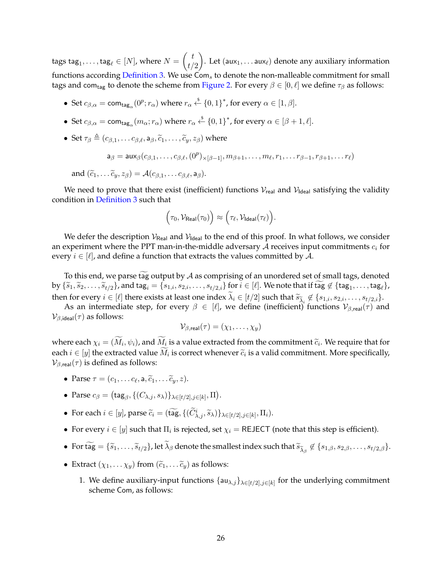tags tag $_1,\ldots,$  tag $_\ell \in [N]$ , where  $N = \left(\frac{t}{t}\right)$  $t/2$ ). Let  $(aux_1, ...aux_\ell)$  denote any auxiliary information functions according [Definition 3.](#page-15-0) We use  $Com<sub>s</sub>$  to denote the non-malleable commitment for small tags and com<sub>tag</sub> to denote the scheme from [Figure 2.](#page-26-0) For every  $\beta \in [0, \ell]$  we define  $\tau_\beta$  as follows:

- Set  $c_{\beta,\alpha} = \text{com}_{\text{tag}_\alpha}(0^p; r_\alpha)$  where  $r_\alpha \stackrel{\$}{\leftarrow} \{0,1\}^*$ , for every  $\alpha \in [1,\beta]$ .
- Set  $c_{\beta,\alpha} = \text{com}_{\text{tag}_\alpha}(m_\alpha; r_\alpha)$  where  $r_\alpha \stackrel{\$}{\leftarrow} \{0,1\}^*$ , for every  $\alpha \in [\beta + 1, \ell]$ .
- Set  $\tau_{\beta} \triangleq (c_{\beta,1}, \ldots c_{\beta,\ell}, a_{\beta}, \tilde{c}_1, \ldots, \tilde{c}_v, z_{\beta})$  where

$$
\mathsf{a}_{\beta} = \mathsf{aux}_{\beta}(c_{\beta,1},\ldots,c_{\beta,\ell},(0^p)_{\times[\beta-1]},m_{\beta+1},\ldots,m_{\ell},r_1,\ldots r_{\beta-1},r_{\beta+1},\ldots r_{\ell})
$$

and 
$$
(\tilde{c}_1, \ldots \tilde{c}_y, z_\beta) = \mathcal{A}(c_{\beta,1}, \ldots c_{\beta,\ell}, a_\beta).
$$

We need to prove that there exist (inefficient) functions  $V_{\text{real}}$  and  $V_{\text{ideal}}$  satisfying the validity condition in [Definition 3](#page-15-0) such that

$$
\Big(\tau_0, \mathcal{V}_{\mathsf{Real}}(\tau_0)\Big) \approx \Big(\tau_\ell, \mathcal{V}_{\mathsf{Ideal}}(\tau_\ell)\Big).
$$

We defer the description  $V_{\text{Real}}$  and  $V_{\text{Ideal}}$  to the end of this proof. In what follows, we consider an experiment where the PPT man-in-the-middle adversary  $A$  receives input commitments  $c_i$  for every  $i \in [\ell]$ , and define a function that extracts the values committed by A.

To this end, we parse tag output by  $A$  as comprising of an unordered set of small tags, denoted by  $\{\widetilde{s}_1, \widetilde{s}_2, \ldots, \widetilde{s}_{t/2}\}$ , and  $\text{tag}_i = \{s_{1,i}, s_{2,i}, \ldots, s_{t/2,i}\}$  for  $i \in [\ell]$ . We note that if  $\text{tag}_i \notin \{\text{tag}_1, \ldots, \text{tag}_\ell\}$ ,

then for every  $i \in [\ell]$  there exists at least one index  $\lambda_i \in [t/2]$  such that  $\widetilde{s}_{\widetilde{\lambda}_i} \notin \{s_{1,i}, s_{2,i}, \ldots, s_{t/2,i}\}$ . As an intermediate step, for every  $\beta \in [\ell]$ , we define (inefficient) functions  $\mathcal{V}_{\beta,\text{real}}(\tau)$  and  $\mathcal{V}_{\beta,\text{ideal}}(\tau)$  as follows:

$$
\mathcal{V}_{\beta,\text{real}}(\tau)=(\chi_1,\ldots,\chi_y)
$$

where each  $\chi_i = (M_i, \psi_i)$ , and  $M_i$  is a value extracted from the commitment  $\tilde{c}_i$ . We require that for each  $i \in [y]$  the extracted value  $M_i$  is correct whenever  $\widetilde{c}_i$  is a valid commitment. More specifically,<br> $\mathcal{C}_{i,j}$  is defined as follows:  $\mathcal{V}_{\beta, \text{real}}(\tau)$  is defined as follows:

- Parse  $\tau = (c_1, \ldots c_\ell, \mathsf{a}, \widetilde{c}_1, \ldots \widetilde{c}_y, z).$
- Parse  $c_{\beta} = (\mathsf{tag}_{\beta}, \{(C_{\lambda,j}, s_{\lambda})\}_{\lambda \in [t/2], j \in [k]}, \Pi).$
- For each  $i \in [y]$ , parse  $\widetilde{c}_i = (\widetilde{\text{tag}}, \{(\widetilde{C}_{\lambda,j}^i, \widetilde{s}_\lambda)\}_{\lambda \in [t/2], j \in [k]}, \Pi_i)$ .
- For every  $i \in [y]$  such that  $\Pi_i$  is rejected, set  $\chi_i = \mathsf{REJECT}$  (note that this step is efficient).
- For tag  $= \{\widetilde{s}_1,\ldots,\widetilde{s}_{t/2}\}$ , let  $\lambda_\beta$  denote the smallest index such that  $\widetilde{s}_{\widetilde{\lambda}_\beta}\not\in \{s_{1,\beta},s_{2,\beta},\ldots,s_{t/2,\beta}\}.$
- Extract  $(\chi_1, \ldots \chi_n)$  from  $(\widetilde{c}_1, \ldots \widetilde{c}_n)$  as follows:
	- 1. We define auxiliary-input functions  $\{au_{\lambda,j}\}_{\lambda \in [t/2], j \in [k]}$  for the underlying commitment scheme Com, as follows: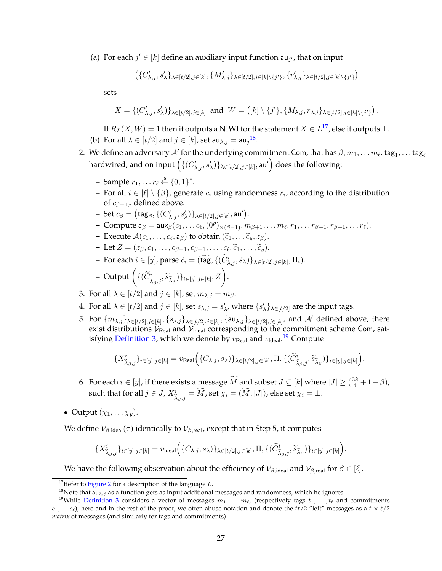(a) For each  $j' \in [k]$  define an auxiliary input function  $\mathsf{au}_{j'}$ , that on input

$$
\left(\{C'_{\lambda,j},s'_\lambda\}_{\lambda\in[t/2],j\in[k]},\{M'_{\lambda,j}\}_{\lambda\in[t/2],j\in[k]\backslash\{j'\}},\{r'_{\lambda,j}\}_{\lambda\in[t/2],j\in[k]\backslash\{j'\}}\right)
$$

sets

$$
X = \{(C'_{\lambda,j}, s'_\lambda)\}_{\lambda \in [t/2], j \in [k]} \text{ and } W = \left( [k] \setminus \{j'\}, \{M_{\lambda,j}, r_{\lambda,j}\}_{\lambda \in [t/2], j \in [k] \setminus \{j'\}} \right).
$$

If  $R_L(X,W)=1$  then it outputs a NIWI for the statement  $X\in L^{17}$  $X\in L^{17}$  $X\in L^{17}$ , else it outputs  $\bot.$ 

- (b) For all  $\lambda \in [t/2]$  and  $j \in [k]$ , set au $_{\lambda,j} =$  au $_j{}^{18}$  $_j{}^{18}$  $_j{}^{18}$ .
- 2. We define an adversary  $\mathcal{A}'$  for the underlying commitment Com, that has  $\beta, m_1, \ldots m_\ell,$  tag $_1, \ldots$  tag $_\ell$ hardwired, and on input  $\left(\{(C'_{\lambda,j},s'_\lambda)\}_{\lambda\in[t/2],j\in[k]},$  au $'\right)$  does the following:
	- **–** Sample  $r_1, \ldots r_\ell \overset{\hspace{0.1em}\mathsf{\scriptscriptstyle\$}}{\leftarrow} \{0, 1\}^*.$
	- **−** For all  $i \in [\ell] \setminus {\beta}$ , generate  $c_i$  using randomness  $r_i$ , according to the distribution of  $c_{\beta-1,i}$  defined above.
	- $\,$  Set  $c_{\beta} = \bigl( \mathsf{tag}_\beta, \{(C'_{\lambda,j}, s'_\lambda)\}_{\lambda \in [t/2], j \in [k]}, \mathsf{au}' \bigr).$
	- $-$  Compute  ${\sf a}_\beta = \mathsf{aux}_\beta(c_1, \ldots c_\ell, (0^p)_{\times (\beta-1)}, m_{\beta+1}, \ldots m_\ell, r_1, \ldots r_{\beta-1}, r_{\beta+1}, \ldots r_\ell).$
	- **–** Execute  $\mathcal{A}(c_1, \ldots, c_\ell, \mathsf{a}_\beta)$  to obtain  $(\widetilde{c}_1, \ldots, \widetilde{c}_y, z_\beta)$ .
	- **–** Let  $Z = (z_{\beta}, c_1, \ldots, c_{\beta-1}, c_{\beta+1}, \ldots, c_{\ell}, \tilde{c}_1, \ldots, \tilde{c}_y).$
	- **–** For each  $i \in [y]$ , parse  $\widetilde{c}_i = (\widetilde{\text{tag}}, \{(\widetilde{C}_{\lambda,j}^i, \widetilde{s}_\lambda)\}_{\lambda \in [t/2], j \in [k]}, \Pi_i).$
	- $-$  Output  $(\{(\widetilde{C}_{\widetilde{\lambda}_{\beta},j}^i, \widetilde{s}_{\widetilde{\lambda}_{\beta}})\}_{i \in [y], j \in [k]}, Z\Big).$
- 3. For all  $\lambda \in [t/2]$  and  $j \in [k]$ , set  $m_{\lambda,i} = m_{\beta}$ .
- 4. For all  $\lambda \in [t/2]$  and  $j \in [k]$ , set  $s_{\lambda,j} = s'_{\lambda}$ , where  $\{s'_\lambda\}_{\lambda \in [t/2]}$  are the input tags.
- 5. For  $\{m_{\lambda,j}\}_{\lambda\in[t/2],j\in[k]},\{s_{\lambda,j}\}_{\lambda\in[t/2],j\in[k]},\{a\mathsf{u}_{\lambda,j}\}_{\lambda\in[t/2],j\in[k]}$ , and  $\mathcal{A}'$  defined above, there exist distributions  $\mathcal{V}_{\text{Real}}$  and  $\mathcal{V}_{\text{Ideal}}$  corresponding to the commitment scheme Com, satisfying <mark>Definition</mark> 3, which we denote by  $v_\mathsf{Real}$  and  $v_\mathsf{Ideal}$ . $^{19}$  $^{19}$  $^{19}$  Compute

$$
\{X_{\widetilde{\lambda}_{\beta},j}^i\}_{i\in[y],j\in[k]}=v_{\mathsf{Real}}\Big(\{C_{\lambda,j},s_{\lambda})\}_{\lambda\in[t/2],j\in[k]},\Pi,\{(\widetilde{C}_{\widetilde{\lambda}_{\beta},j}^i,\widetilde{s}_{\widetilde{\lambda}_{\beta}})\}_{i\in[y],j\in[k]}\Big).
$$

- 6. For each  $i \in [y]$ , if there exists a message  $\widetilde{M}$  and subset  $J \subseteq [k]$  where  $|J| \geq (\frac{3k}{4} + 1 \beta)$ , such that for all  $j \in J$ ,  $X^i_{\widetilde{\lambda}_\beta,j} = \widetilde{M}$ , set  $\chi_i = (\widetilde{M},|J|)$ , else set  $\chi_i = \bot$ .
- Output  $(\chi_1, \ldots \chi_u)$ .

We define  $V_{\beta,\text{ideal}}(\tau)$  identically to  $V_{\beta,\text{real}}$ , except that in Step 5, it computes

$$
\{X_{\widetilde{\lambda}_{\beta},j}^i\}_{i\in[y],j\in[k]}=v_{\text{Ideal}}\Big(\{C_{\lambda,j},s_{\lambda})\}_{\lambda\in[t/2],j\in[k]},\Pi,\{(\widetilde{C}_{\widetilde{\lambda}_{\beta},j}^i,\widetilde{s}_{\widetilde{\lambda}_{\beta}})\}_{i\in[y],j\in[k]}\Big).
$$

We have the following observation about the efficiency of  $\mathcal{V}_{\beta,\text{ideal}}$  and  $\mathcal{V}_{\beta,\text{real}}$  for  $\beta \in [\ell].$ 

<span id="page-28-0"></span><sup>&</sup>lt;sup>17</sup>Refer to [Figure 2](#page-26-0) for a description of the language  $L$ .

<span id="page-28-2"></span><span id="page-28-1"></span><sup>&</sup>lt;sup>18</sup>Note that  $au_{\lambda,j}$  as a function gets as input additional messages and randomness, which he ignores.

<sup>&</sup>lt;sup>19</sup>While [Definition 3](#page-15-0) considers a vector of messages  $m_1, \ldots, m_\ell$ , (respectively tags  $t_1, \ldots, t_\ell$  and commitments  $c_1, \ldots c_\ell$ ), here and in the rest of the proof, we often abuse notation and denote the  $t\ell/2$  "left" messages as a  $t \times \ell/2$ *matrix* of messages (and similarly for tags and commitments).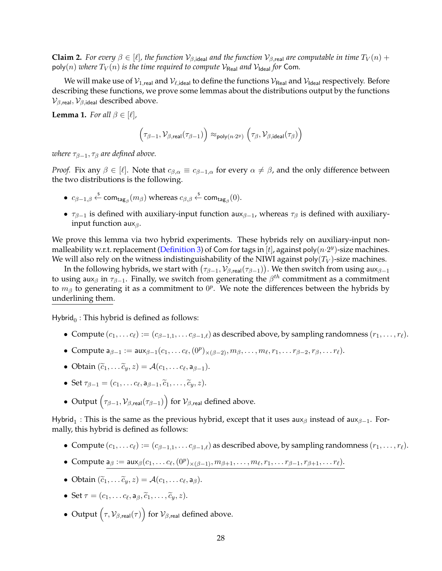**Claim 2.** *For every*  $\beta \in [\ell]$ , the function  $V_{\beta, \text{ideal}}$  and the function  $V_{\beta, \text{real}}$  are computable in time  $T_V(n)$  + poly(n) *where*  $T_V(n)$  *is the time required to compute*  $V_{\text{Real}}$  *and*  $V_{\text{Ideal}}$  *for* Com.

We will make use of  $\mathcal{V}_{1,real}$  and  $\mathcal{V}_{\ell,ideal}$  to define the functions  $\mathcal{V}_{Real}$  and  $\mathcal{V}_{Ideal}$  respectively. Before describing these functions, we prove some lemmas about the distributions output by the functions  $\mathcal{V}_{\beta, \text{real}}, \mathcal{V}_{\beta, \text{ideal}}$  described above.

<span id="page-29-0"></span>**Lemma 1.** *For all*  $\beta \in [\ell]$ *,* 

$$
\Big(\tau_{\beta-1},\mathcal{V}_{\beta,\text{real}}(\tau_{\beta-1})\Big) \approx_{\text{poly}(n\cdot 2^{y})} \Big(\tau_{\beta},\mathcal{V}_{\beta,\text{ideal}}(\tau_{\beta})\Big)
$$

*where*  $\tau_{\beta-1}, \tau_{\beta}$  *are defined above.* 

*Proof.* Fix any  $\beta \in [\ell]$ . Note that  $c_{\beta,\alpha} \equiv c_{\beta-1,\alpha}$  for every  $\alpha \neq \beta$ , and the only difference between the two distributions is the following.

- $c_{\beta-1,\beta} \stackrel{\$}{\leftarrow} \mathsf{com}_{\mathsf{tag}_\beta}(m_\beta)$  whereas  $c_{\beta,\beta} \stackrel{\$}{\leftarrow} \mathsf{com}_{\mathsf{tag}_\beta}(0)$ .
- $\tau_{\beta-1}$  is defined with auxiliary-input function aux $_{\beta-1}$ , whereas  $\tau_{\beta}$  is defined with auxiliaryinput function aux $\beta$ .

We prove this lemma via two hybrid experiments. These hybrids rely on auxiliary-input non-malleability w.r.t. replacement [\(Definition 3\)](#page-15-0) of Com for tags in [t], against poly $(n \cdot 2^y)$ -size machines. We will also rely on the witness indistinguishability of the NIWI against poly $(T_V)$ -size machines.

In the following hybrids, we start with  $(\tau_{\beta-1},\mathcal{V}_{\beta,\mathsf{real}}(\tau_{\beta-1})).$  We then switch from using aux $_{\beta-1}$ to using aux<sub>β</sub> in  $\tau_{\beta-1}$ . Finally, we switch from generating the  $\beta^{th}$  commitment as a commitment to  $m_\beta$  to generating it as a commitment to  $0^p$ . We note the differences between the hybrids by underlining them.

Hybrid $_0$ : This hybrid is defined as follows:

- Compute  $(c_1, \ldots c_\ell) := (c_{\beta-1,1}, \ldots c_{\beta-1,\ell})$  as described above, by sampling randomness  $(r_1, \ldots, r_\ell)$ .
- Compute  $a_{\beta-1} := \text{aux}_{\beta-1}(c_1, \ldots c_\ell, (0^p)_{\times (\beta-2)}, m_\beta, \ldots, m_\ell, r_1, \ldots r_{\beta-2}, r_\beta, \ldots r_\ell).$
- Obtain  $(\tilde{c}_1, \ldots \tilde{c}_y, z) = \mathcal{A}(c_1, \ldots c_\ell, a_{\beta-1}).$
- Set  $\tau_{\beta-1} = (c_1, \ldots c_\ell, a_{\beta-1}, \widetilde{c}_1, \ldots, \widetilde{c}_y, z).$
- Output  $(\tau_{\beta-1}, \mathcal{V}_{\beta, \text{real}}(\tau_{\beta-1}))$  for  $\mathcal{V}_{\beta, \text{real}}$  defined above.

Hybrid<sub>1</sub>: This is the same as the previous hybrid, except that it uses aux<sub>β</sub> instead of aux<sub>β-1</sub>. Formally, this hybrid is defined as follows:

- Compute  $(c_1, \ldots c_\ell) := (c_{\beta-1,1}, \ldots c_{\beta-1,\ell})$  as described above, by sampling randomness  $(r_1, \ldots, r_\ell)$ .
- Compute  $a_{\beta} := \text{aux}_{\beta}(c_1, \ldots c_{\ell}, (\theta^p)_{\times (\beta-1)}, m_{\beta+1}, \ldots, m_{\ell}, r_1, \ldots r_{\beta-1}, r_{\beta+1}, \ldots r_{\ell}).$
- Obtain  $(\widetilde{c}_1, \ldots \widetilde{c}_y, z) = \mathcal{A}(c_1, \ldots c_\ell, a_\beta).$
- Set  $\tau = (c_1, \ldots c_\ell, a_\beta, \widetilde{c}_1, \ldots, \widetilde{c}_y, z).$
- Output  $(\tau, \mathcal{V}_{\beta, \text{real}}(\tau))$  for  $\mathcal{V}_{\beta, \text{real}}$  defined above.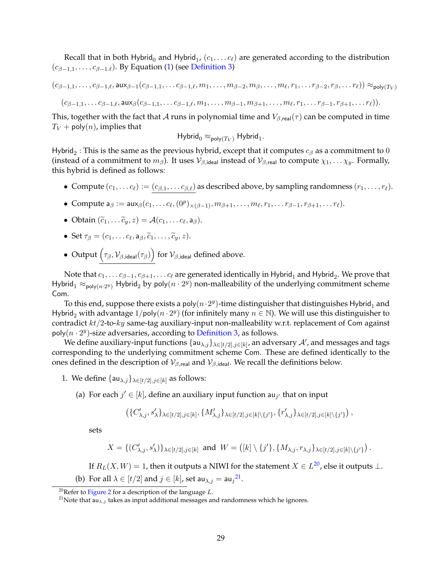Recall that in both Hybrid<sub>0</sub> and Hybrid<sub>1</sub>,  $(c_1, \ldots c_\ell)$  are generated according to the distribution  $(c_{\beta-1,1}, \ldots, c_{\beta-1,\ell})$ . By Equation [\(1\)](#page-16-0) (see [Definition 3\)](#page-15-0)

 $(c_{\beta-1,1},\ldots,c_{\beta-1,\ell},\mathsf{aux}_{\beta-1}(c_{\beta-1,1},\ldots c_{\beta-1,\ell},m_1,\ldots,m_{\beta-2},m_\beta,\ldots,m_\ell,r_1,\ldots r_{\beta-2},r_\beta,\ldots r_\ell))\approx_{\mathsf{poly}(T_V)}$  $(c_{\beta-1,1}, \ldots c_{\beta-1,\ell}, \mathsf{aux}_\beta(c_{\beta-1,1}, \ldots c_{\beta-1,\ell}, m_1, \ldots, m_{\beta-1}, m_{\beta+1}, \ldots, m_\ell, r_1, \ldots r_{\beta-1}, r_{\beta+1}, \ldots r_\ell)).$ 

This, together with the fact that A runs in polynomial time and  $V_{\beta,real}(\tau)$  can be computed in time  $T_V$  + poly(*n*), implies that

$$
\mathsf{Hybrid}_{0} \approx_{\mathsf{poly}(T_V)} \mathsf{Hybrid}_{1}.
$$

Hybrid $_2$  : This is the same as the previous hybrid, except that it computes  $c_\beta$  as a commitment to  $0$ (instead of a commitment to  $m_\beta$ ). It uses  $\mathcal{V}_{\beta, \text{ideal}}$  instead of  $\mathcal{V}_{\beta, \text{real}}$  to compute  $\chi_1, \dots \chi_y$ . Formally, this hybrid is defined as follows:

- Compute  $(c_1, \ldots c_\ell) := (c_{\beta,1}, \ldots c_{\beta,\ell})$  as described above, by sampling randomness  $(r_1, \ldots, r_\ell)$ .
- Compute  $a_{\beta} := \text{aux}_{\beta}(c_1, \ldots c_{\ell}, (\theta^p)_{\times (\beta-1)}, m_{\beta+1}, \ldots, m_{\ell}, r_1, \ldots r_{\beta-1}, r_{\beta+1}, \ldots r_{\ell}).$
- Obtain  $(\widetilde{c}_1, \ldots \widetilde{c}_y, z) = \mathcal{A}(c_1, \ldots c_\ell, a_\beta).$
- Set  $\tau_{\beta} = (c_1, \ldots c_{\ell}, a_{\beta}, \tilde{c}_1, \ldots, \tilde{c}_y, z).$
- Output  $(\tau_\beta,\mathcal{V}_{\beta,\text{ideal}}(\tau_\beta))$  for  $\mathcal{V}_{\beta,\text{ideal}}$  defined above.

Note that  $c_1, \ldots c_{\beta-1}, c_{\beta+1}, \ldots c_\ell$  are generated identically in Hybrid $_1$  and Hybrid $_2.$  We prove that Hybrid<sub>1</sub>  $\approx_{\text{poly}(n\cdot 2^y)}$  Hybrid<sub>2</sub> by poly $(n\cdot 2^y)$  non-malleability of the underlying commitment scheme Com.

To this end, suppose there exists a poly $(n \cdot 2^y)$ -time distinguisher that distinguishes Hybrid<sub>1</sub> and Hybrid<sub>2</sub> with advantage  $1/\text{poly}(n \cdot 2^y)$  (for infinitely many  $n \in \mathbb{N}$ ). We will use this distinguisher to contradict  $kt/2$ -to- $ky$  same-tag auxiliary-input non-malleability w.r.t. replacement of Com against poly $(n \cdot 2^y)$ -size adversaries, according to [Definition 3,](#page-15-0) as follows.

We define auxiliary-input functions  $\{au_{\lambda,j}\}_{\lambda\in[t/2],j\in[k]}$ , an adversary  $\mathcal{A}'$ , and messages and tags corresponding to the underlying commitment scheme Com. These are defined identically to the ones defined in the description of  $\mathcal{V}_{\beta,real}$  and  $\mathcal{V}_{\beta,ideal}$ . We recall the definitions below.

- 1. We define  $\{au_{\lambda,j}\}_{\lambda \in [t/2], j \in [k]}$  as follows:
	- (a) For each  $j' \in [k]$ , define an auxiliary input function au<sub>j</sub> that on input

$$
\left(\{C'_{\lambda,j},s'_\lambda\}_{\lambda\in[t/2],j\in[k]},\{M'_{\lambda,j}\}_{\lambda\in[t/2],j\in[k]\backslash\{j'\}},\{r'_{\lambda,j}\}_{\lambda\in[t/2],j\in[k]\backslash\{j'\}}\right),
$$

sets

$$
X=\{(C'_{\lambda,j},s'_\lambda)\}_{\lambda\in[t/2],j\in[k]} \text{ and } W=\left([k]\setminus\{j'\},\{M_{\lambda,j},r_{\lambda,j}\}_{\lambda\in[t/2],j\in[k]\setminus\{j'\}}\right).
$$

If  $R_L(X,W)=1$ , then it outputs a NIWI for the statement  $X\in L^{20}$  $X\in L^{20}$  $X\in L^{20}$ , else it outputs  $\bot.$ 

(b) For all  $\lambda \in [t/2]$  and  $j \in [k]$ , set au $\lambda, j = \text{au}_j^{21}$  $\lambda, j = \text{au}_j^{21}$  $\lambda, j = \text{au}_j^{21}$ .

<span id="page-30-0"></span><sup>&</sup>lt;sup>20</sup>Refer to [Figure 2](#page-26-0) for a description of the language  $L$ .

<span id="page-30-1"></span><sup>&</sup>lt;sup>21</sup>Note that  $au_{\lambda,j}$  takes as input additional messages and randomness which he ignores.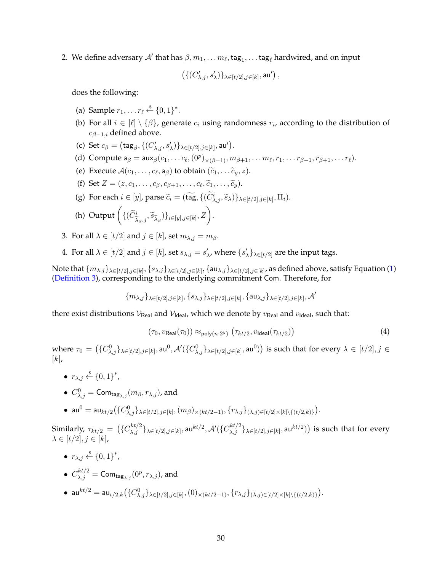2. We define adversary  $\mathcal{A}'$  that has  $\beta, m_1, \ldots m_\ell,$  tag $_1, \ldots$  tag $_\ell$  hardwired, and on input

$$
\left(\{(C'_{\lambda,j},s'_\lambda)\}_{\lambda\in[t/2],j\in[k]},\mathsf{au}'\right),
$$

does the following:

- (a) Sample  $r_1, \ldots r_\ell \stackrel{\$}{\leftarrow} \{0, 1\}^*$ .
- (b) For all  $i \in [\ell] \setminus \{\beta\}$ , generate  $c_i$  using randomness  $r_i$ , according to the distribution of  $c_{\beta-1,i}$  defined above.
- (c) Set  $c_{\beta} = (\text{tag}_{\beta}, \{(C'_{\lambda,j}, s'_{\lambda})\}_{\lambda \in [t/2], j \in [k]}, \text{au}')$ .
- (d) Compute  $a_{\beta} = \mathsf{aux}_{\beta}(c_1, \ldots c_{\ell}, (0^p)_{\times (\beta-1)}, m_{\beta+1}, \ldots m_{\ell}, r_1, \ldots r_{\beta-1}, r_{\beta+1}, \ldots r_{\ell}).$
- (e) Execute  $\mathcal{A}(c_1, \ldots, c_\ell, a_\beta)$  to obtain  $(\widetilde{c}_1, \ldots, \widetilde{c}_y, z)$ .
- (f) Set  $Z = (z, c_1, \ldots, c_\beta, c_{\beta+1}, \ldots, c_\ell, \widetilde{c}_1, \ldots, \widetilde{c}_y).$
- (g) For each  $i \in [y]$ , parse  $\widetilde{c}_i = (\widetilde{\text{tag}}, \{(\widetilde{C}^i_{\lambda,j}, \widetilde{s}_\lambda)\}_{\lambda \in [t/2], j \in [k]}, \Pi_i)$ .
- (h) Output  $(\{(\widetilde{C}_{\widetilde{\lambda}_{\beta},j}^i, \widetilde{s}_{\widetilde{\lambda}_{\beta}})\}_{i \in [y], j \in [k]}, Z).$
- 3. For all  $\lambda \in [t/2]$  and  $j \in [k]$ , set  $m_{\lambda,j} = m_{\beta}$ .
- 4. For all  $\lambda \in [t/2]$  and  $j \in [k]$ , set  $s_{\lambda,j} = s'_{\lambda}$ , where  $\{s'_{\lambda}\}_{\lambda \in [t/2]}$  are the input tags.

Note that  $\{m_{\lambda,j}\}_{\lambda\in[t/2],j\in[k]},\{s_{\lambda,j}\}_{\lambda\in[t/2],j\in[k]},\{ \sf{au}_{\lambda,j}\}_{\lambda\in[t/2],j\in[k]}$ , as defined above, satisfy Equation [\(1\)](#page-16-0) [\(Definition 3\)](#page-15-0), corresponding to the underlying commitment Com. Therefore, for

$$
\{m_{\lambda,j}\}_{\lambda\in[t/2],j\in[k]},\{s_{\lambda,j}\}_{\lambda\in[t/2],j\in[k]},\{\mathsf{au}_{\lambda,j}\}_{\lambda\in[t/2],j\in[k]},\mathcal{A}'
$$

there exist distributions  $V_{\text{Real}}$  and  $V_{\text{Ideal}}$ , which we denote by  $v_{\text{Real}}$  and  $v_{\text{Ideal}}$ , such that:

<span id="page-31-0"></span>
$$
(\tau_0, v_{\text{Real}}(\tau_0)) \approx_{\text{poly}(n \cdot 2^y)} (\tau_{kt/2}, v_{\text{Ideal}}(\tau_{kt/2}))
$$
\n(4)

where  $\tau_0=\left(\{C_{\lambda,j}^0\}_{\lambda\in[t/2],j\in[k]},\mathsf{au}^0,\mathcal{A}'(\{C_{\lambda,j}^0\}_{\lambda\in[t/2],j\in[k]},\mathsf{au}^0)\right)$  is such that for every  $\lambda\in[t/2],j\in[k]$  $[k]$ ,

- $r_{\lambda,j} \stackrel{\$}{\leftarrow} \{0,1\}^*$ ,
- $\bullet \ \ C^0_{\lambda,j}= \mathsf{Com}_{\mathsf{tag}_{\lambda,j}}(m_\beta,r_{\lambda,j}),$  and
- $\bullet$  au<sup>0</sup> = au<sub>kt/2</sub> ({C<sup>0</sup><sub>λ,j</sub>}<sub>λ∈[t/2],j∈[k]</sub>, (m<sub>β</sub>)<sub>×(kt/2−1)</sub>, {r<sub>λ,j</sub>}<sub>(λ,j)∈[t/2]×[k]\{(t/2,k)}).</sub>

 $\text{Similarly, } \tau_{kt/2} \ = \ \big(\{C^{kt/2}_{\lambda,j}\}_{\lambda \in [t/2], j \in [k]}, \mathsf{au}^{kt/2}, \mathcal{A}'(\{C^{kt/2}_{\lambda,j}\}_{\lambda \in [t/2], j \in [k]}, \mathsf{au}^{kt/2})\big) \text{ is such that for every }$  $\lambda \in [t/2], j \in [k],$ 

- $r_{\lambda,j} \stackrel{\$}{\leftarrow} \{0,1\}^*$ ,
- $\bullet \enspace C_{\lambda,j}^{kt/2} = \mathsf{Com}_{\mathsf{tag}_{\lambda,j}}(0^p, r_{\lambda,j}),$  and
- $\bullet$  au $^{kt/2} =$  au $_{t/2,k}(\{C^0_{\lambda,j}\}_{\lambda \in [t/2], j \in [k]}, (0)_{\times (kt/2-1)}, \{r_{\lambda,j}\}_{(\lambda,j) \in [t/2] \times [k] \setminus \{(t/2,k)\}}).$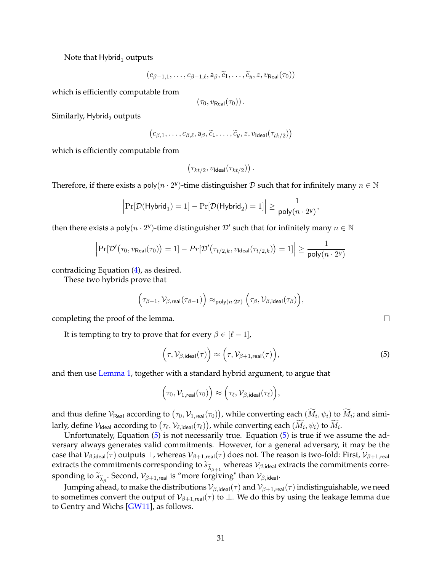<span id="page-32-1"></span>Note that  $Hybrid<sub>1</sub>$  outputs

$$
(c_{\beta-1,1},\ldots,c_{\beta-1,\ell},a_{\beta},\widetilde{c}_1,\ldots,\widetilde{c}_y,z,v_{\mathsf{Real}}(\tau_0))
$$

which is efficiently computable from

$$
(\tau_0, v_{\mathsf{Real}}(\tau_0))\,.
$$

Similarly,  $Hybrid<sub>2</sub>$  outputs

$$
(c_{\beta,1},\ldots,c_{\beta,\ell},\mathsf{a}_{\beta},\widetilde{c}_1,\ldots,\widetilde{c}_y,z,v_{\mathsf{Ideal}}(\tau_{tk/2})
$$

which is efficiently computable from

$$
\big(\tau_{kt/2},v_{\mathsf{Ideal}}(\tau_{kt/2})\big)\,.
$$

Therefore, if there exists a poly $(n \cdot 2^y)$ -time distinguisher  $\mathcal D$  such that for infinitely many  $n \in \mathbb N$ 

$$
\Big\vert \mathrm{Pr}[\mathcal{D}(\mathsf{Hybrid}_1) = 1] - \mathrm{Pr}[\mathcal{D}(\mathsf{Hybrid}_2) = 1] \Big\vert \geq \frac{1}{\mathsf{poly}(n \cdot 2^y)},
$$

then there exists a poly $(n \cdot 2^y)$ -time distinguisher  $\mathcal{D}'$  such that for infinitely many  $n \in \mathbb{N}$ 

$$
\Big|\Pr[\mathcal{D}'\big(\tau_0, v_{\mathsf{Real}}(\tau_0)\big) = 1] - \Pr[\mathcal{D}'\big(\tau_{t/2,k}, v_{\mathsf{Ideal}}(\tau_{t/2,k})\big) = 1]\Big| \ge \frac{1}{\mathsf{poly}(n \cdot 2^y)}
$$

contradicing Equation [\(4\)](#page-31-0), as desired.

These two hybrids prove that

$$
\Big(\tau_{\beta-1},\mathcal{V}_{\beta,\text{real}}(\tau_{\beta-1})\Big)\approx_{\text{poly}(n\cdot 2^y)}\Big(\tau_{\beta},\mathcal{V}_{\beta,\text{ideal}}(\tau_{\beta})\Big),
$$

completing the proof of the lemma.

It is tempting to try to prove that for every  $\beta \in [\ell - 1]$ ,

<span id="page-32-0"></span>
$$
\left(\tau, \mathcal{V}_{\beta, \text{ideal}}(\tau)\right) \approx \left(\tau, \mathcal{V}_{\beta+1, \text{real}}(\tau)\right),\tag{5}
$$

and then use [Lemma 1,](#page-29-0) together with a standard hybrid argument, to argue that

$$
\Big(\tau_0,\mathcal{V}_{1,\mathsf{real}}(\tau_0)\Big) \approx \Big(\tau_\ell,\mathcal{V}_{\beta,\mathsf{ideal}}(\tau_\ell)\Big),
$$

and thus define  $\mathcal{V}_{\mathsf{Real}}$  according to  $(\tau_0, \mathcal{V}_{1,\mathsf{real}}(\tau_0))$ , while converting each  $(M_i, \psi_i)$  to  $\overline{M}_i$ ; and similarly, define  $V_{\text{Ideal}}$  according to  $(\tau_\ell, \mathcal{V}_{\ell, \text{ideal}}(\tau_\ell))$ , while converting each  $(\bar{M}_i, \psi_i)$  to  $\bar{M}_i$ .

Unfortunately, Equation [\(5\)](#page-32-0) is not necessarily true. Equation [\(5\)](#page-32-0) is true if we assume the adversary always generates valid commitments. However, for a general adversary, it may be the case that  $\mathcal{V}_{\beta,\text{ideal}}(\tau)$  outputs  $\bot$ , whereas  $\mathcal{V}_{\beta+1,\text{real}}(\tau)$  does not. The reason is two-fold: First,  $\mathcal{V}_{\beta+1,\text{real}}$ extracts the commitments corresponding to  $\widetilde{s}_{\lambda_{\beta+1}}$  whereas  $\mathcal{V}_{\beta,\text{ideal}}$  extracts the commitments corresponding to  $\widetilde{s}_{\widetilde{\lambda}_{\beta}}$ . Second,  $\mathcal{V}_{\beta+1, \text{real}}$  is "more forgiving" than  $\mathcal{V}_{\beta, \text{ideal}}$ .

Jumping ahead, to make the distributions  $\mathcal{V}_{\beta,\text{ideal}}(\tau)$  and  $\mathcal{V}_{\beta+1,\text{real}}(\tau)$  indistinguishable, we need to sometimes convert the output of  $\mathcal{V}_{\beta+1,real}(\tau)$  to  $\perp$ . We do this by using the leakage lemma due to Gentry and Wichs [\[GW11\]](#page-51-7), as follows.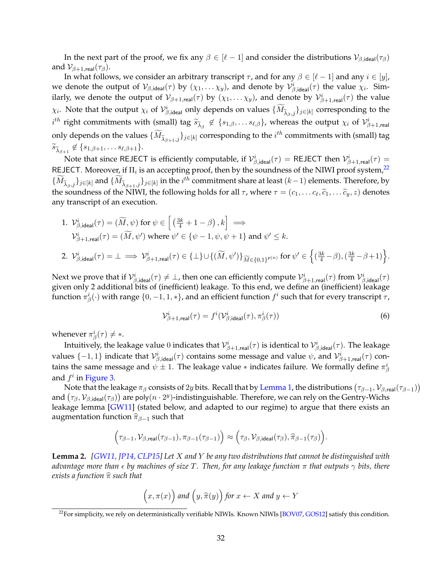<span id="page-33-3"></span>In the next part of the proof, we fix any  $\beta \in [\ell - 1]$  and consider the distributions  $\mathcal{V}_{\beta,\text{ideal}}(\tau_{\beta})$ and  $\mathcal{V}_{\beta+1, \text{real}}(\tau_{\beta}).$ 

In what follows, we consider an arbitrary transcript  $\tau$ , and for any  $\beta \in [\ell - 1]$  and any  $i \in [y]$ , we denote the output of  $\mathcal{V}_{\beta,\text{ideal}}(\tau)$  by  $(\chi_1,\dots\chi_y)$ , and denote by  $\mathcal{V}_{\beta,\text{ideal}}^i(\tau)$  the value  $\chi_i$ . Similarly, we denote the output of  $\mathcal{V}_{\beta+1,real}(\tau)$  by  $(\chi_1,\ldots\chi_y)$ , and denote by  $\mathcal{V}_{\beta+1,real}^i(\tau)$  the value  $\chi_i$ . Note that the output  $\chi_i$  of  $\mathcal{V}_{\beta,\mathsf{ideal}}^i$  only depends on values  $\{\widetilde{M}_{\widetilde{\lambda}_{\beta},j}\}_{j\in[k]}$  corresponding to the  $i^{th}$  right commitments with (small) tag  $\widetilde{s}_{\widetilde{\lambda}_{\beta}} \notin \{s_{1,\beta}, \ldots s_{\ell,\beta}\}$ , whereas the output  $\chi_i$  of  $\mathcal{V}_{\beta+1, \mathsf{real}}^i$ only depends on the values  $\{\widetilde{M}_{\widetilde{\lambda}_{\beta+1},j}\}_{j\in[k]}$  corresponding to the  $i^{th}$  commitments with (small) tag  $\widetilde{s}_{\widetilde{\lambda}_{\beta+1}} \notin \{s_{1,\beta+1}, \ldots s_{\ell,\beta+1}\}.$ 

Note that since REJECT is efficiently computable, if  $\mathcal{V}_{\beta,\text{ideal}}^i(\tau) = \text{REJECT }$  then  $\mathcal{V}_{\beta+1,\text{real}}^i(\tau) =$ REJECT. Moreover, if  $\Pi_i$  is an accepting proof, then by the soundness of the NIWI proof system, $^{22}$  $^{22}$  $^{22}$  $\{\widetilde{M}_{\widetilde{\lambda}_{\beta},j}\}_{j\in[k]}$  and  $\{\widetilde{M}_{\widetilde{\lambda}_{\beta+1},j}\}_{j\in[k]}$  in the  $i^{th}$  commitment share at least  $(k-1)$  elements. Therefore, by the soundness of the NIWI, the following holds for all  $\tau$ , where  $\tau = (c_1, \dots c_\ell, \widetilde{c}_1, \dots \widetilde{c}_y, z)$  denotes any transcript of an execution.

1. 
$$
V_{\beta,\text{ideal}}^i(\tau) = (\widetilde{M}, \psi) \text{ for } \psi \in \left[ \left( \frac{3k}{4} + 1 - \beta \right), k \right] \implies
$$
  
\n $V_{\beta+1,\text{real}}^i(\tau) = (\widetilde{M}, \psi') \text{ where } \psi' \in \{\psi - 1, \psi, \psi + 1\} \text{ and } \psi' \leq k.$   
\n2.  $V_{\beta,\text{ideal}}^i(\tau) = \bot \implies V_{\beta+1,\text{real}}^i(\tau) \in \{\bot\} \cup \{(\widetilde{M}, \psi')\}_{\widetilde{M} \in \{0,1\}^{p(n)}} \text{ for } \psi' \in \left\{(\frac{3k}{4} - \beta), (\frac{3k}{4} - \beta + 1)\right\}.$ 

Next we prove that if  $\mathcal{V}_{\beta,\mathsf{ideal}}^i(\tau)\neq \bot$ , then one can efficiently compute  $\mathcal{V}_{\beta+1,\mathsf{real}}^i(\tau)$  from  $\mathcal{V}_{\beta,\mathsf{ideal}}^i(\tau)$ given only 2 additional bits of (inefficient) leakage. To this end, we define an (inefficient) leakage function  $\pi^i_\beta(\cdot)$  with range  $\{0,-1,1,*\}$ , and an efficient function  $f^i$  such that for every transcript  $\tau$ ,

<span id="page-33-2"></span>
$$
\mathcal{V}_{\beta+1,\text{real}}^{i}(\tau) = f^{i}(\mathcal{V}_{\beta,\text{ideal}}^{i}(\tau), \pi_{\beta}^{i}(\tau))
$$
\n(6)

whenever  $\pi^i_\beta(\tau) \neq *$ .

Intuitively, the leakage value  $0$  indicates that  $\mathcal{V}_{\beta+1, \sf real}^i(\tau)$  is identical to  $\mathcal{V}_{\beta, \sf ideal}^i(\tau).$  The leakage values  $\{-1,1\}$  indicate that  $\mathcal{V}_{\beta,\mathsf{ideal}}^i(\tau)$  contains some message and value  $\psi$ , and  $\mathcal{V}_{\beta+1,\mathsf{real}}^i(\tau)$  contains the same message and  $\psi \pm 1$ . The leakage value  $*$  indicates failure. We formally define  $\pi^i_\beta$ and  $f^i$  in [Figure 3.](#page-34-0)

Note that the leakage  $\pi_\beta$  consists of  $2y$  bits. Recall that by [Lemma 1,](#page-29-0) the distributions  $(\tau_{\beta-1},\mathcal{V}_{\beta,\mathsf{real}}(\tau_{\beta-1}))$ and  $(\tau_\beta, \mathcal{V}_{\beta,{\sf ideal}}(\tau_\beta))$  are poly $(n\cdot 2^y)$ -indistinguishable. Therefore, we can rely on the Gentry-Wichs leakage lemma [\[GW11\]](#page-51-7) (stated below, and adapted to our regime) to argue that there exists an augmentation function  $\widehat{\pi}_{\beta-1}$  such that

$$
\left(\tau_{\beta-1},\mathcal{V}_{\beta,\mathsf{real}}(\tau_{\beta-1}),\pi_{\beta-1}(\tau_{\beta-1})\right) \approx \left(\tau_{\beta},\mathcal{V}_{\beta,\mathsf{ideal}}(\tau_{\beta}),\widehat{\pi}_{\beta-1}(\tau_{\beta})\right).
$$

<span id="page-33-1"></span>**Lemma 2.** *[\[GW11,](#page-51-7) [JP14,](#page-51-12) [CLP15\]](#page-50-8) Let* X *and* Y *be any two distributions that cannot be distinguished with advantage more than by machines of size* T*. Then, for any leakage function* π *that outputs* γ *bits, there exists a function*  $\hat{\pi}$  *such that* 

$$
(x, \pi(x))
$$
 and  $(y, \hat{\pi}(y))$  for  $x \leftarrow X$  and  $y \leftarrow Y$ 

<span id="page-33-0"></span><sup>&</sup>lt;sup>22</sup>For simplicity, we rely on deterministically verifiable NIWIs. Known NIWIs [\[BOV07,](#page-50-4) [GOS12\]](#page-51-10) satisfy this condition.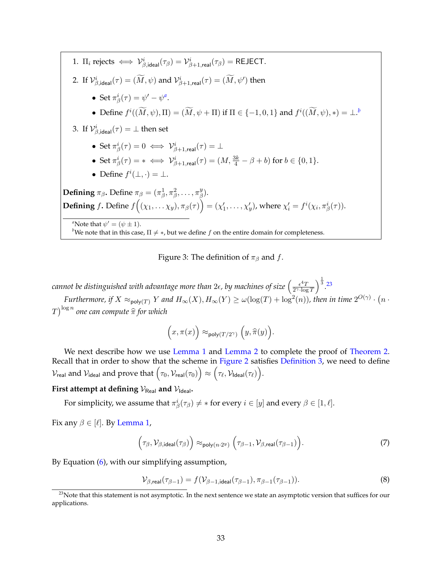<span id="page-34-0"></span>1. 
$$
\Pi_i
$$
 rejects  $\iff \mathcal{V}_{\beta, \text{ideal}}^i(\tau_{\beta}) = \mathcal{V}_{\beta+1, \text{real}}^i(\tau_{\beta}) = \text{REJECT.}$   
\n2. If  $\mathcal{V}_{\beta, \text{ideal}}^i(\tau) = (\widetilde{M}, \psi)$  and  $\mathcal{V}_{\beta+1, \text{real}}^i(\tau) = (\widetilde{M}, \psi')$  then  
\n• Set  $\pi_{\beta}^i(\tau) = \psi' - \psi^a$ .  
\n• Define  $f^i((\widetilde{M}, \psi), \Pi) = (\widetilde{M}, \psi + \Pi)$  if  $\Pi \in \{-1, 0, 1\}$  and  $f^i((\widetilde{M}, \psi), *) = \bot$ .<sup>b</sup>  
\n3. If  $\mathcal{V}_{\beta, \text{ideal}}^i(\tau) = \bot$  then set  
\n• Set  $\pi_{\beta}^i(\tau) = 0 \iff \mathcal{V}_{\beta+1, \text{real}}^i(\tau) = \bot$   
\n• Set  $\pi_{\beta}^i(\tau) = * \iff \mathcal{V}_{\beta+1, \text{real}}^i(\tau) = (M, \frac{3k}{4} - \beta + b)$  for  $b \in \{0, 1\}$ .  
\n• Define  $f^i(\bot, \cdot) = \bot$ .  
\n**Defining**  $\pi_{\beta}$ . Define  $\pi_{\beta} = (\pi_{\beta}^1, \pi_{\beta}^2, \ldots, \pi_{\beta}^y)$ .  
\n**Defining**  $f$ . Define  $f((\chi_1, \ldots \chi_y), \pi_{\beta}(\tau)) = (\chi'_1, \ldots, \chi'_y)$ , where  $\chi'_i = f^i(\chi_i, \pi_{\beta}^i(\tau))$ .  
\n" $\text{Note that } \psi' = (\psi \pm 1)$ .  
\n<sup>a</sup> Note that in this case,  $\Pi \neq *$ , but we define  $f$  on the entire domain for completeness.

Figure 3: The definition of  $\pi_\beta$  and f.

<span id="page-34-2"></span><span id="page-34-1"></span>cannot be distinguished with advantage more than 2 $\epsilon$ , by machines of size  $\left(\frac{\epsilon^4 T}{2\gamma\cdot \log T}\right)$  $\frac{\epsilon^4 T}{2^{\gamma} \cdot \log T}$ <sup> $\frac{1}{3}$ </sup>. [23](#page-34-3) *Furthermore, if*  $X \approx_{poly(T)} Y$  and  $H_{\infty}(X)$ ,  $H_{\infty}(Y) \ge \omega(\log(T) + \log^2(n))$ , then in time  $2^{O(\gamma)} \cdot (n \cdot y)$  $\int T\Big)^{\log n}$  one can compute  $\widehat{\pi }$  for which

$$
\Big(x, \pi(x)\Big)\approx_{\mathsf{poly}(T/2^{\gamma})} \Big(y, \widehat{\pi}(y)\Big).
$$

We next describe how we use [Lemma 1](#page-29-0) and [Lemma 2](#page-33-1) to complete the proof of [Theorem 2.](#page-25-1) Recall that in order to show that the scheme in [Figure 2](#page-26-0) satisfies [Definition 3,](#page-15-0) we need to define  $\mathcal{V}_{\mathsf{real}}$  and  $\mathcal{V}_{\mathsf{ideal}}$  and prove that  $\bigl(\tau_0,\mathcal{V}_{\mathsf{real}}(\tau_0)\bigr) \approx \bigl(\tau_\ell,\mathcal{V}_{\mathsf{Ideal}}(\tau_\ell)\bigr).$ 

## **First attempt at defining**  $V_{\text{Real}}$  and  $V_{\text{Ideal}}$ .

For simplicity, we assume that  $\pi^i_\beta(\tau_\beta) \neq *$  for every  $i \in [y]$  and every  $\beta \in [1, \ell].$ 

Fix any  $\beta \in [\ell]$ . By [Lemma 1,](#page-29-0)

<span id="page-34-4"></span>
$$
\left(\tau_{\beta}, \mathcal{V}_{\beta, \text{ideal}}(\tau_{\beta})\right) \approx_{\text{poly}(n \cdot 2^y)} \left(\tau_{\beta-1}, \mathcal{V}_{\beta, \text{real}}(\tau_{\beta-1})\right). \tag{7}
$$

By Equation [\(6\)](#page-33-2), with our simplifying assumption,

<span id="page-34-5"></span>
$$
\mathcal{V}_{\beta,\text{real}}(\tau_{\beta-1}) = f(\mathcal{V}_{\beta-1,\text{ideal}}(\tau_{\beta-1}), \pi_{\beta-1}(\tau_{\beta-1})).\tag{8}
$$

<span id="page-34-3"></span><sup>&</sup>lt;sup>23</sup>Note that this statement is not asymptotic. In the next sentence we state an asymptotic version that suffices for our applications.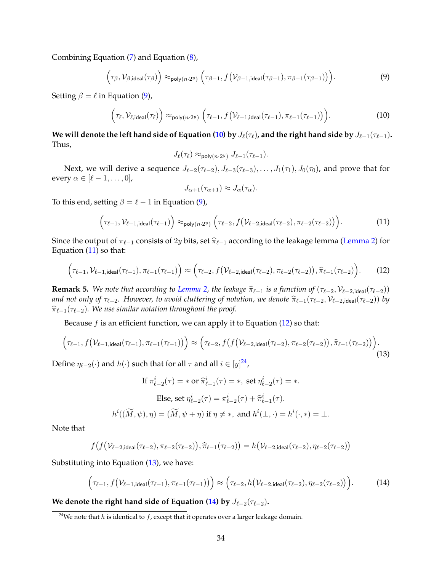Combining Equation [\(7\)](#page-34-4) and Equation [\(8\)](#page-34-5),

<span id="page-35-0"></span>
$$
\left(\tau_{\beta}, \mathcal{V}_{\beta, \text{ideal}}(\tau_{\beta})\right) \approx_{\text{poly}(n \cdot 2^y)} \left(\tau_{\beta-1}, f\left(\mathcal{V}_{\beta-1, \text{ideal}}(\tau_{\beta-1}), \pi_{\beta-1}(\tau_{\beta-1})\right)\right). \tag{9}
$$

Setting  $\beta = \ell$  in Equation [\(9\)](#page-35-0),

<span id="page-35-1"></span>
$$
\left(\tau_{\ell}, \mathcal{V}_{\ell, \text{ideal}}(\tau_{\ell})\right) \approx_{\text{poly}(n \cdot 2^y)} \left(\tau_{\ell-1}, f\left(\mathcal{V}_{\ell-1, \text{ideal}}(\tau_{\ell-1}), \pi_{\ell-1}(\tau_{\ell-1})\right)\right). \tag{10}
$$

**We will denote the left hand side of Equation [\(10\)](#page-35-1)** by  $J_{\ell}(\tau_{\ell})$ , and the right hand side by  $J_{\ell-1}(\tau_{\ell-1})$ . Thus,

$$
J_{\ell}(\tau_{\ell}) \approx_{\text{poly}(n\cdot 2^y)} J_{\ell-1}(\tau_{\ell-1}).
$$

Next, we will derive a sequence  $J_{\ell-2}(\tau_{\ell-2}), J_{\ell-3}(\tau_{\ell-3}), \ldots, J_1(\tau_1), J_0(\tau_0)$ , and prove that for every  $\alpha \in [\ell - 1, \ldots, 0],$ 

$$
J_{\alpha+1}(\tau_{\alpha+1}) \approx J_{\alpha}(\tau_{\alpha}).
$$

To this end, setting  $\beta = \ell - 1$  in Equation [\(9\)](#page-35-0),

<span id="page-35-2"></span>
$$
\left(\tau_{\ell-1}, \mathcal{V}_{\ell-1, \text{ideal}}(\tau_{\ell-1})\right) \approx_{\text{poly}(n\cdot 2^y)} \left(\tau_{\ell-2}, f(\mathcal{V}_{\ell-2, \text{ideal}}(\tau_{\ell-2}), \pi_{\ell-2}(\tau_{\ell-2}))\right). \tag{11}
$$

Since the output of  $\pi_{\ell-1}$  consists of 2y bits, set  $\hat{\pi}_{\ell-1}$  according to the leakage lemma [\(Lemma 2\)](#page-33-1) for Equation [\(11\)](#page-35-2) so that:

<span id="page-35-3"></span>
$$
\left(\tau_{\ell-1},\mathcal{V}_{\ell-1,\text{ideal}}(\tau_{\ell-1}),\pi_{\ell-1}(\tau_{\ell-1})\right) \approx \left(\tau_{\ell-2},f\left(\mathcal{V}_{\ell-2,\text{ideal}}(\tau_{\ell-2}),\pi_{\ell-2}(\tau_{\ell-2})\right),\widehat{\pi}_{\ell-1}(\tau_{\ell-2})\right). \tag{12}
$$

**Remark 5.** *We note that according to [Lemma 2,](#page-33-1)* the leakage  $\hat{\pi}_{\ell-1}$  *is a function of* ( $\tau_{\ell-2}$ ,  $V_{\ell-2,ideal}(\tau_{\ell-2})$ ) *and not only of*  $\tau_{\ell-2}$ *. However, to avoid cluttering of notation, we denote*  $\hat{\pi}_{\ell-1}(\tau_{\ell-2}, \mathcal{V}_{\ell-2,ideal}(\tau_{\ell-2}))$  *by*  $\hat{\pi}_{\ell-1}(\tau_{\ell-2})$ . We use similar notation throughout the proof.

Because  $f$  is an efficient function, we can apply it to Equation [\(12\)](#page-35-3) so that:

<span id="page-35-5"></span>
$$
\left(\tau_{\ell-1}, f(\mathcal{V}_{\ell-1, \text{ideal}}(\tau_{\ell-1}), \pi_{\ell-1}(\tau_{\ell-1}))\right) \approx \left(\tau_{\ell-2}, f\left(f(\mathcal{V}_{\ell-2, \text{ideal}}(\tau_{\ell-2}), \pi_{\ell-2}(\tau_{\ell-2})\right), \widehat{\pi}_{\ell-1}(\tau_{\ell-2})\right). \tag{13}
$$

Define  $\eta_{\ell-2}(\cdot)$  and  $h(\cdot)$  such that for all  $\tau$  and all  $i\in[y]^{24}$  $i\in[y]^{24}$  $i\in[y]^{24}$ ,

If 
$$
\pi_{\ell-2}^i(\tau) = \ast
$$
 or  $\hat{\pi}_{\ell-1}^i(\tau) = \ast$ , set  $\eta_{\ell-2}^i(\tau) = \ast$ .  
\nElse, set  $\eta_{\ell-2}^i(\tau) = \pi_{\ell-2}^i(\tau) + \hat{\pi}_{\ell-1}^i(\tau)$ .  
\n $h^i((\widetilde{M}, \psi), \eta) = (\widetilde{M}, \psi + \eta)$  if  $\eta \neq \ast$ , and  $h^i(\bot, \cdot) = h^i(\cdot, \ast) = \bot$ .

Note that

$$
f(f(\mathcal{V}_{\ell-2,\text{ideal}}(\tau_{\ell-2}),\pi_{\ell-2}(\tau_{\ell-2})),\widehat{\pi}_{\ell-1}(\tau_{\ell-2}))=h(\mathcal{V}_{\ell-2,\text{ideal}}(\tau_{\ell-2}),\eta_{\ell-2}(\tau_{\ell-2}))
$$

Substituting into Equation [\(13\)](#page-35-5), we have:

<span id="page-35-6"></span>
$$
\left(\tau_{\ell-1}, f(\mathcal{V}_{\ell-1, \text{ideal}}(\tau_{\ell-1}), \pi_{\ell-1}(\tau_{\ell-1}))\right) \approx \left(\tau_{\ell-2}, h(\mathcal{V}_{\ell-2, \text{ideal}}(\tau_{\ell-2}), \eta_{\ell-2}(\tau_{\ell-2}))\right). \tag{14}
$$

**We denote the right hand side of Equation [\(14\)](#page-35-6) by**  $J_{\ell-2}(\tau_{\ell-2})$ **.** 

<span id="page-35-4"></span><sup>&</sup>lt;sup>24</sup>We note that h is identical to f, except that it operates over a larger leakage domain.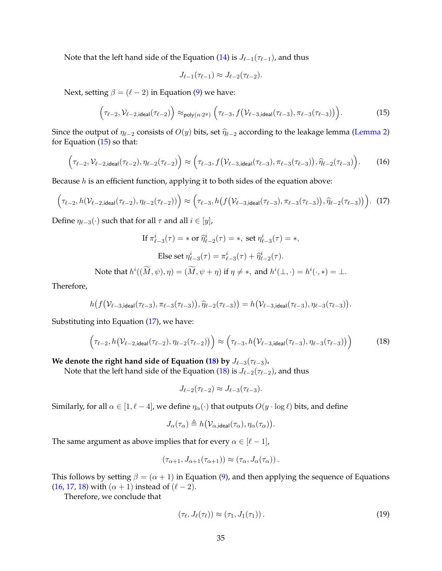Note that the left hand side of the Equation [\(14\)](#page-35-6) is  $J_{\ell-1}(\tau_{\ell-1})$ , and thus

$$
J_{\ell-1}(\tau_{\ell-1}) \approx J_{\ell-2}(\tau_{\ell-2}).
$$

Next, setting  $\beta = (\ell - 2)$  in Equation [\(9\)](#page-35-0) we have:

<span id="page-36-0"></span>
$$
\left(\tau_{\ell-2}, \mathcal{V}_{\ell-2, \text{ideal}}(\tau_{\ell-2})\right) \approx_{\text{poly}(n\cdot 2^y)} \left(\tau_{\ell-3}, f\left(\mathcal{V}_{\ell-3, \text{ideal}}(\tau_{\ell-3}), \pi_{\ell-3}(\tau_{\ell-3})\right)\right). \tag{15}
$$

Since the output of  $\eta_{\ell-2}$  consists of  $O(y)$  bits, set  $\hat{\eta}_{\ell-2}$  according to the leakage lemma [\(Lemma 2\)](#page-33-1) for Equation  $(15)$  so that:

<span id="page-36-3"></span>
$$
\left(\tau_{\ell-2},\mathcal{V}_{\ell-2,\text{ideal}}(\tau_{\ell-2}),\eta_{\ell-2}(\tau_{\ell-2})\right) \approx \left(\tau_{\ell-3},f\left(\mathcal{V}_{\ell-3,\text{ideal}}(\tau_{\ell-3}),\pi_{\ell-3}(\tau_{\ell-3})\right),\widehat{\eta}_{\ell-2}(\tau_{\ell-3})\right). \tag{16}
$$

Because  $h$  is an efficient function, applying it to both sides of the equation above:

<span id="page-36-1"></span>
$$
\left(\tau_{\ell-2}, h(\mathcal{V}_{\ell-2, \text{ideal}}(\tau_{\ell-2}), \eta_{\ell-2}(\tau_{\ell-2}))\right) \approx \left(\tau_{\ell-3}, h\left(f\left(\mathcal{V}_{\ell-3, \text{ideal}}(\tau_{\ell-3}), \pi_{\ell-3}(\tau_{\ell-3})\right), \widehat{\eta}_{\ell-2}(\tau_{\ell-3})\right)\right). (17)
$$

Define  $\eta_{\ell-3}(\cdot)$  such that for all  $\tau$  and all  $i \in [y]$ ,

$$
\text{If } \pi_{\ell-3}^i(\tau) = * \text{ or } \widehat{\eta}_{\ell-2}^i(\tau) = *, \text{ set } \eta_{\ell-3}^i(\tau) = *,
$$
\n
$$
\text{Else set } \eta_{\ell-3}^i(\tau) = \pi_{\ell-3}^i(\tau) + \widehat{\eta}_{\ell-2}^i(\tau).
$$
\n
$$
\text{At } h^i((\widetilde{M}, \psi), n) = (\widetilde{M}, \psi + n) \text{ if } n \neq * \text{ and } h^i(\psi) = h^i(\psi) \text{ for } i \neq n.
$$

Note that  $h^i((\widetilde{M}, \psi), \eta) = (\widetilde{M}, \psi + \eta)$  if  $\eta \neq *,$  and  $h^i(\bot, \cdot) = h^i(\cdot, *) = \bot$ .

Therefore,

$$
h(f(\mathcal{V}_{\ell-3,\text{ideal}}(\tau_{\ell-3}),\pi_{\ell-3}(\tau_{\ell-3})),\widehat{\eta}_{\ell-2}(\tau_{\ell-3}))=h(\mathcal{V}_{\ell-3,\text{ideal}}(\tau_{\ell-3}),\eta_{\ell-3}(\tau_{\ell-3})).
$$

Substituting into Equation [\(17\)](#page-36-1), we have:

<span id="page-36-2"></span>
$$
\left(\tau_{\ell-2}, h(\mathcal{V}_{\ell-2, \text{ideal}}(\tau_{\ell-2}), \eta_{\ell-2}(\tau_{\ell-2}))\right) \approx \left(\tau_{\ell-3}, h(\mathcal{V}_{\ell-3, \text{ideal}}(\tau_{\ell-3}), \eta_{\ell-3}(\tau_{\ell-3}))\right)
$$
(18)

**We denote the right hand side of Equation [\(18\)](#page-36-2) by**  $J_{\ell-3}(\tau_{\ell-3})$ **.** 

Note that the left hand side of the Equation [\(18\)](#page-36-2) is  $J_{\ell-2}(\tau_{\ell-2})$ , and thus

$$
J_{\ell-2}(\tau_{\ell-2}) \approx J_{\ell-3}(\tau_{\ell-3}).
$$

Similarly, for all  $\alpha \in [1, \ell - 4]$ , we define  $\eta_{\alpha}(\cdot)$  that outputs  $O(y \cdot \log \ell)$  bits, and define

$$
J_{\alpha}(\tau_{\alpha}) \triangleq h(\mathcal{V}_{\alpha,\text{ideal}}(\tau_{\alpha}), \eta_{\alpha}(\tau_{\alpha})).
$$

The same argument as above implies that for every  $\alpha \in [\ell - 1]$ ,

$$
(\tau_{\alpha+1}, J_{\alpha+1}(\tau_{\alpha+1})) \approx (\tau_{\alpha}, J_{\alpha}(\tau_{\alpha})).
$$

This follows by setting  $\beta = (\alpha + 1)$  in Equation [\(9\)](#page-35-0), and then applying the sequence of Equations [\(16,](#page-36-3) [17,](#page-36-1) [18\)](#page-36-2) with  $(\alpha + 1)$  instead of  $(\ell - 2)$ .

Therefore, we conclude that

<span id="page-36-4"></span>
$$
(\tau_{\ell}, J_{\ell}(\tau_{\ell})) \approx (\tau_1, J_1(\tau_1)). \tag{19}
$$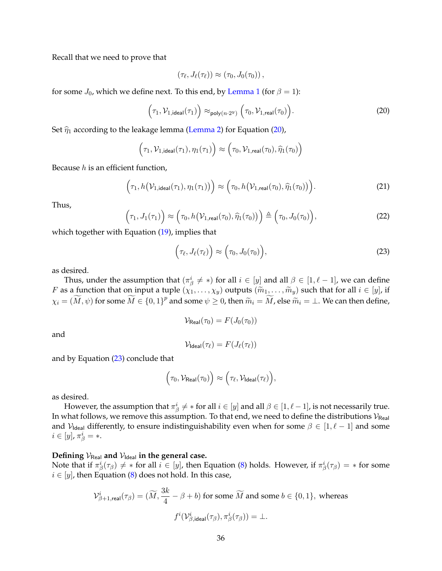Recall that we need to prove that

$$
(\tau_{\ell},J_{\ell}(\tau_{\ell}))\approx (\tau_0,J_0(\tau_0)),
$$

for some  $J_0$ , which we define next. To this end, by [Lemma 1](#page-29-0) (for  $\beta = 1$ ):

<span id="page-37-0"></span>
$$
(\tau_1, \mathcal{V}_{1, ideal}(\tau_1)) \approx_{\text{poly}(n \cdot 2^y)} (\tau_0, \mathcal{V}_{1, real}(\tau_0)).
$$
\n(20)

Set  $\hat{\eta}_1$  according to the leakage lemma [\(Lemma 2\)](#page-33-1) for Equation [\(20\)](#page-37-0),

$$
(\tau_1, \mathcal{V}_{1, \text{ideal}}(\tau_1), \eta_1(\tau_1)) \approx (\tau_0, \mathcal{V}_{1, \text{real}}(\tau_0), \widehat{\eta}_1(\tau_0))
$$

Because  $h$  is an efficient function,

$$
\left(\tau_1, h(\mathcal{V}_{1,ideal}(\tau_1), \eta_1(\tau_1))\right) \approx \left(\tau_0, h(\mathcal{V}_{1,real}(\tau_0), \widehat{\eta}_1(\tau_0))\right).
$$
\n(21)

Thus,

$$
\left(\tau_1, J_1(\tau_1)\right) \approx \left(\tau_0, h\big(\mathcal{V}_{1,\text{real}}(\tau_0), \widehat{\eta}_1(\tau_0)\big)\right) \triangleq \left(\tau_0, J_0(\tau_0)\right),\tag{22}
$$

which together with Equation  $(19)$ , implies that

<span id="page-37-1"></span>
$$
\left(\tau_{\ell}, J_{\ell}(\tau_{\ell})\right) \approx \left(\tau_0, J_0(\tau_0)\right),\tag{23}
$$

as desired.

Thus, under the assumption that  $(\pi_\beta^i \neq *)$  for all  $i \in [y]$  and all  $\beta \in [1, \ell - 1]$ , we can define *F* as a function that on input a tuple  $(\chi_1, \ldots, \chi_y)$  outputs  $(\widetilde{m}_1, \ldots, \widetilde{m}_y)$  such that for all  $i \in [y]$ , if  $\chi_i=(\widetilde{M},\psi)$  for some  $\widetilde{M}\in\{0,1\}^p$  and some  $\psi\geq 0$ , then  $\widetilde{m}_i=\widetilde{M}$ , else  $\widetilde{m}_i=\bot$ . We can then define,

$$
\mathcal{V}_{\mathsf{Real}}(\tau_0) = F(J_0(\tau_0))
$$

and

$$
\mathcal{V}_{\text{Ideal}}(\tau_{\ell}) = F(J_{\ell}(\tau_{\ell}))
$$

and by Equation [\(23\)](#page-37-1) conclude that

$$
\Big(\tau_0, \mathcal{V}_{\mathsf{Real}}(\tau_0)\Big) \approx \Big(\tau_\ell, \mathcal{V}_{\mathsf{Ideal}}(\tau_\ell)\Big),
$$

as desired.

However, the assumption that  $\pi^i_\beta\neq *$  for all  $i\in[y]$  and all  $\beta\in[1,\ell-1]$ , is not necessarily true. In what follows, we remove this assumption. To that end, we need to define the distributions  $\mathcal{V}_{\text{Real}}$ and  $V_{\text{Ideal}}$  differently, to ensure indistinguishability even when for some  $\beta \in [1, \ell - 1]$  and some  $i\in[y]$ ,  $\pi^i_\beta$  = \*.

## Defining  $V_{\text{Real}}$  and  $V_{\text{Ideal}}$  in the general case.

Note that if  $\pi^i_\beta(\tau_\beta)\neq *$  for all  $i\in[y]$ , then Equation [\(8\)](#page-34-5) holds. However, if  $\pi^i_\beta(\tau_\beta)=*$  for some  $i \in [y]$ , then Equation [\(8\)](#page-34-5) does not hold. In this case,

$$
\mathcal{V}_{\beta+1,\mathsf{real}}^i(\tau_{\beta}) = (\widetilde{M},\frac{3k}{4}-\beta+b) \text{ for some } \widetilde{M} \text{ and some } b \in \{0,1\}, \text{ whereas}
$$
  

$$
f^i(\mathcal{V}_{\beta,\mathsf{ideal}}^i(\tau_{\beta}),\pi_\beta^i(\tau_{\beta})) = \bot.
$$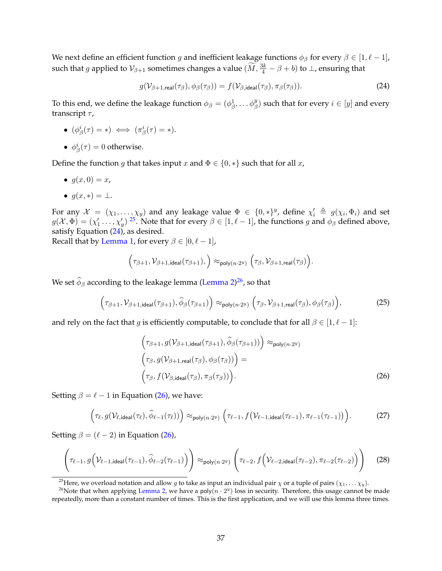We next define an efficient function g and inefficient leakage functions  $\phi_\beta$  for every  $\beta \in [1, \ell - 1]$ , such that  $g$  applied to  $\mathcal{V}_{\beta+1}$  sometimes changes a value  $(\widetilde{M}, \frac{3k}{4} - \beta + b)$  to  $\bot$ , ensuring that

<span id="page-38-1"></span>
$$
g(\mathcal{V}_{\beta+1,\text{real}}(\tau_{\beta}), \phi_{\beta}(\tau_{\beta})) = f(\mathcal{V}_{\beta,\text{ideal}}(\tau_{\beta}), \pi_{\beta}(\tau_{\beta})).
$$
\n(24)

To this end, we define the leakage function  $\phi_\beta=(\phi_\beta^1,\dots \phi_\beta^y)$  such that for every  $i\in[y]$  and every transcript  $\tau$ ,

- $\bullet \ \ (\phi^i_\beta(\tau) = \ast) \iff (\pi^i_\beta(\tau) = \ast).$
- $\phi^i_\beta(\tau) = 0$  otherwise.

Define the function g that takes input x and  $\Phi \in \{0,*\}$  such that for all x,

- $g(x, 0) = x$ ,
- $q(x, *) = \bot$ .

For any  $\mathcal{X} = (\chi_1, \ldots, \chi_y)$  and any leakage value  $\Phi \in \{0,*\}^y$ , define  $\chi'_i \triangleq g(\chi_i, \Phi_i)$  and set  $g(\mathcal{X},\Phi)=(\chi_1'\ldots,\chi_y')$  <sup>[25](#page-38-0)</sup>. Note that for every  $\beta\in[1,\ell-1]$ , the functions g and  $\phi_\beta$  defined above, satisfy Equation  $(24)$ , as desired.

Recall that by [Lemma 1,](#page-29-0) for every  $\beta \in [0, \ell - 1]$ ,

$$
\Big(\tau_{\beta+1},\mathcal{V}_{\beta+1,\mathsf{ideal}}({\tau_{\beta+1}}),\Big)\approx_{\mathsf{poly}(n\cdot 2^y)}\Big(\tau_{\beta},\mathcal{V}_{\beta+1,\mathsf{real}}({\tau_{\beta}})\Big).
$$

We set  $\widehat{\phi}_{\beta}$  according to the leakage lemma [\(Lemma 2\)](#page-33-1)<sup>[26](#page-38-2)</sup>, so that

<span id="page-38-5"></span>
$$
\left(\tau_{\beta+1}, \mathcal{V}_{\beta+1, \text{ideal}}(\tau_{\beta+1}), \widehat{\phi}_{\beta}(\tau_{\beta+1})\right) \approx_{\text{poly}(n\cdot 2^y)} \left(\tau_{\beta}, \mathcal{V}_{\beta+1, \text{real}}(\tau_{\beta}), \phi_{\beta}(\tau_{\beta})\right),\tag{25}
$$

and rely on the fact that g is efficiently computable, to conclude that for all  $\beta \in [1, \ell - 1]$ :

<span id="page-38-3"></span>
$$
\left(\tau_{\beta+1}, g(\mathcal{V}_{\beta+1,ideal}(\tau_{\beta+1}), \widehat{\phi}_{\beta}(\tau_{\beta+1}))\right) \approx_{\text{poly}(n\cdot 2^y)} \n\left(\tau_{\beta}, g(\mathcal{V}_{\beta+1,real}(\tau_{\beta}), \phi_{\beta}(\tau_{\beta}))\right) = \n\left(\tau_{\beta}, f(\mathcal{V}_{\beta,ideal}(\tau_{\beta}), \pi_{\beta}(\tau_{\beta}))\right).
$$
\n(26)

Setting  $\beta = \ell - 1$  in Equation [\(26\)](#page-38-3), we have:

$$
\left(\tau_{\ell}, g(\mathcal{V}_{\ell, \text{ideal}}(\tau_{\ell}), \widehat{\phi}_{\ell-1}(\tau_{\ell}))\right) \approx_{\text{poly}(n \cdot 2^y)} \left(\tau_{\ell-1}, f(\mathcal{V}_{\ell-1, \text{ideal}}(\tau_{\ell-1}), \pi_{\ell-1}(\tau_{\ell-1}))\right). \tag{27}
$$

Setting  $\beta = (\ell - 2)$  in Equation [\(26\)](#page-38-3),

<span id="page-38-4"></span>
$$
\left(\tau_{\ell-1}, g\left(\mathcal{V}_{\ell-1, \text{ideal}}(\tau_{\ell-1}), \widehat{\phi}_{\ell-2}(\tau_{\ell-1})\right)\right) \approx_{\text{poly}(n\cdot 2^y)} \left(\tau_{\ell-2}, f\left(\mathcal{V}_{\ell-2, \text{ideal}}(\tau_{\ell-2}), \pi_{\ell-2}(\tau_{\ell-2})\right)\right) \tag{28}
$$

<span id="page-38-2"></span><span id="page-38-0"></span><sup>&</sup>lt;sup>25</sup>Here, we overload notation and allow g to take as input an individual pair  $\chi$  or a tuple of pairs  $(\chi_1, \ldots \chi_y)$ .

<sup>&</sup>lt;sup>26</sup>Note that when applying [Lemma 2,](#page-33-1) we have a poly $(n \cdot 2^y)$  loss in security. Therefore, this usage cannot be made repeatedly, more than a constant number of times. This is the first application, and we will use this lemma three times.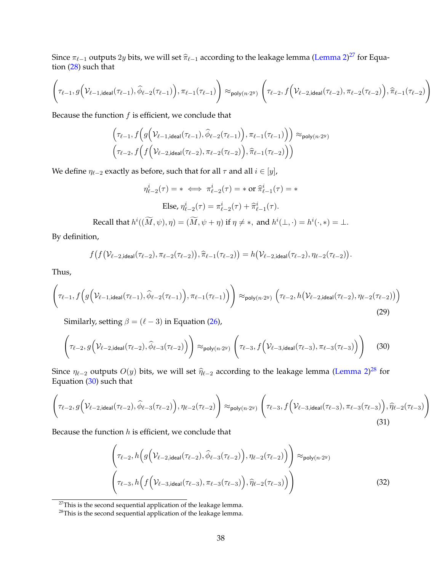Since  $\pi_{\ell-1}$  outputs  $2y$  bits, we will set  $\widehat{\pi}_{\ell-1}$  according to the leakage lemma [\(Lemma 2\)](#page-33-1) $^{27}$  $^{27}$  $^{27}$  for Equation [\(28\)](#page-38-4) such that

$$
\left(\tau_{\ell-1},g\Bigl(\mathcal V_{\ell-1,\text{ideal}}(\tau_{\ell-1}),\widehat{\phi}_{\ell-2}(\tau_{\ell-1})\Bigr),\pi_{\ell-1}(\tau_{\ell-1})\right)\approx_{\text{poly}(n\cdot 2^y)}\left(\tau_{\ell-2},f\Bigl(\mathcal V_{\ell-2,\text{ideal}}(\tau_{\ell-2}),\pi_{\ell-2}(\tau_{\ell-2})\Bigr),\widehat{\pi}_{\ell-1}(\tau_{\ell-2})\right)
$$

Because the function  $f$  is efficient, we conclude that

$$
\left(\tau_{\ell-1}, f\left(g\left(\mathcal{V}_{\ell-1,ideal}(\tau_{\ell-1}), \widehat{\phi}_{\ell-2}(\tau_{\ell-1})\right), \pi_{\ell-1}(\tau_{\ell-1})\right)\right) \approx_{\text{poly}(n\cdot 2^y)} \left(\tau_{\ell-2}, f\left(f\left(\mathcal{V}_{\ell-2,ideal}(\tau_{\ell-2}), \pi_{\ell-2}(\tau_{\ell-2})\right), \widehat{\pi}_{\ell-1}(\tau_{\ell-2})\right)\right)
$$

We define  $\eta_{\ell-2}$  exactly as before, such that for all  $\tau$  and all  $i \in [y]$ ,

$$
\eta_{\ell-2}^i(\tau) = * \iff \pi_{\ell-2}^i(\tau) = * \text{ or } \hat{\pi}_{\ell-1}^i(\tau) = *
$$
  
Else, 
$$
\eta_{\ell-2}^i(\tau) = \pi_{\ell-2}^i(\tau) + \hat{\pi}_{\ell-1}^i(\tau).
$$

Recall that  $h^i((\widetilde{M}, \psi), \eta) = (\widetilde{M}, \psi + \eta)$  if  $\eta \neq *,$  and  $h^i(\bot, \cdot) = h^i(\cdot, *) = \bot$ .

By definition,

$$
f(f(\mathcal{V}_{\ell-2,\text{ideal}}(\tau_{\ell-2}),\pi_{\ell-2}(\tau_{\ell-2})),\widehat{\pi}_{\ell-1}(\tau_{\ell-2})=h(\mathcal{V}_{\ell-2,\text{ideal}}(\tau_{\ell-2}),\eta_{\ell-2}(\tau_{\ell-2})).
$$

Thus,

$$
\left(\tau_{\ell-1}, f\left(g\left(\mathcal{V}_{\ell-1, \text{ideal}}(\tau_{\ell-1}), \widehat{\phi}_{\ell-2}(\tau_{\ell-1})\right), \pi_{\ell-1}(\tau_{\ell-1})\right)\right) \approx_{\text{poly}(n\cdot 2^y)} \left(\tau_{\ell-2}, h\left(\mathcal{V}_{\ell-2, \text{ideal}}(\tau_{\ell-2}), \eta_{\ell-2}(\tau_{\ell-2})\right)\right)
$$
\n(29)

Similarly, setting  $\beta = (\ell - 3)$  in Equation [\(26\)](#page-38-3),

<span id="page-39-2"></span>
$$
\left(\tau_{\ell-2}, g\left(\mathcal{V}_{\ell-2, \text{ideal}}(\tau_{\ell-2}), \widehat{\phi}_{\ell-3}(\tau_{\ell-2})\right)\right) \approx_{\text{poly}(n\cdot 2^y)} \left(\tau_{\ell-3}, f\left(\mathcal{V}_{\ell-3, \text{ideal}}(\tau_{\ell-3}), \pi_{\ell-3}(\tau_{\ell-3})\right)\right) \tag{30}
$$

Since  $\eta_{\ell-2}$  outputs  $O(y)$  bits, we will set  $\widehat{\eta}_{\ell-2}$  according to the leakage lemma [\(Lemma 2\)](#page-33-1)<sup>[28](#page-39-1)</sup> for Equation [\(30\)](#page-39-2) such that

<span id="page-39-3"></span>
$$
\left(\tau_{\ell-2}, g\left(\mathcal{V}_{\ell-2, \text{ideal}}(\tau_{\ell-2}), \widehat{\phi}_{\ell-3}(\tau_{\ell-2})\right), \eta_{\ell-2}(\tau_{\ell-2})\right) \approx_{\text{poly}(n\cdot 2^y)} \left(\tau_{\ell-3}, f\left(\mathcal{V}_{\ell-3, \text{ideal}}(\tau_{\ell-3}), \pi_{\ell-3}(\tau_{\ell-3})\right), \widehat{\eta}_{\ell-2}(\tau_{\ell-3})\right)
$$
\n(31)

Because the function  $h$  is efficient, we conclude that

<span id="page-39-4"></span>
$$
\left(\tau_{\ell-2}, h\left(g\left(\mathcal{V}_{\ell-2,ideal}(\tau_{\ell-2}), \widehat{\phi}_{\ell-3}(\tau_{\ell-2})\right), \eta_{\ell-2}(\tau_{\ell-2})\right)\right) \approx_{\text{poly}(n\cdot 2^y)} \left(\tau_{\ell-3}, h\left(f\left(\mathcal{V}_{\ell-3,ideal}(\tau_{\ell-3}), \pi_{\ell-3}(\tau_{\ell-3})\right), \widehat{\eta}_{\ell-2}(\tau_{\ell-3})\right)\right)
$$
\n(32)

<span id="page-39-0"></span> $27$ This is the second sequential application of the leakage lemma.

<span id="page-39-1"></span> $28$ This is the second sequential application of the leakage lemma.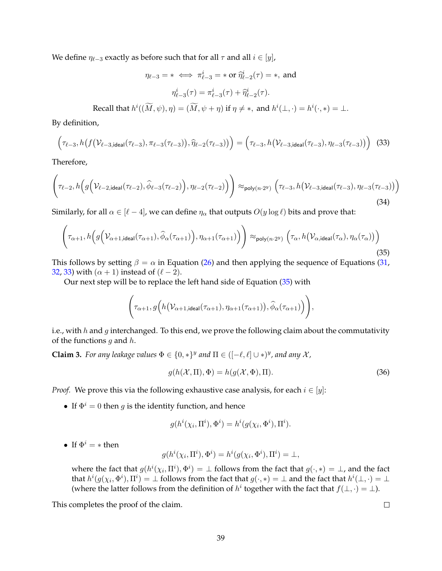We define  $\eta_{\ell-3}$  exactly as before such that for all  $\tau$  and all  $i \in [y]$ ,

$$
\eta_{\ell-3} = * \iff \pi_{\ell-3}^i = * \text{ or } \hat{\eta}_{\ell-2}^i(\tau) = *, \text{ and}
$$

$$
\eta_{\ell-3}^i(\tau) = \pi_{\ell-3}^i(\tau) + \hat{\eta}_{\ell-2}^i(\tau).
$$

Recall that  $h^i((\widetilde{M}, \psi), \eta) = (\widetilde{M}, \psi + \eta)$  if  $\eta \neq *,$  and  $h^i(\bot, \cdot) = h^i(\cdot, *) = \bot$ .

By definition,

<span id="page-40-0"></span>
$$
(\tau_{\ell-3}, h(f(\mathcal{V}_{\ell-3,ideal}(\tau_{\ell-3}), \pi_{\ell-3}(\tau_{\ell-3})), \widehat{\eta}_{\ell-2}(\tau_{\ell-3})) = (\tau_{\ell-3}, h(\mathcal{V}_{\ell-3,ideal}(\tau_{\ell-3}), \eta_{\ell-3}(\tau_{\ell-3}))
$$
(33)

Therefore,

$$
\left(\tau_{\ell-2}, h\Big(g\Big(\mathcal{V}_{\ell-2, \text{ideal}}(\tau_{\ell-2}), \widehat{\phi}_{\ell-3}(\tau_{\ell-2})\Big), \eta_{\ell-2}(\tau_{\ell-2})\Big)\right) \approx_{\text{poly}(n\cdot 2^y)} \left(\tau_{\ell-3}, h\big(\mathcal{V}_{\ell-3, \text{ideal}}(\tau_{\ell-3}), \eta_{\ell-3}(\tau_{\ell-3})\big)\right)
$$
\n(34)

Similarly, for all  $\alpha \in [\ell - 4]$ , we can define  $\eta_{\alpha}$  that outputs  $O(y \log \ell)$  bits and prove that:

<span id="page-40-1"></span>
$$
\left(\tau_{\alpha+1}, h\Big(g\Big(\mathcal{V}_{\alpha+1, \text{ideal}}(\tau_{\alpha+1}), \widehat{\phi}_{\alpha}(\tau_{\alpha+1})\Big), \eta_{\alpha+1}(\tau_{\alpha+1})\Big)\right) \approx_{\text{poly}(n\cdot 2^y)} \left(\tau_{\alpha}, h\Big(\mathcal{V}_{\alpha, \text{ideal}}(\tau_{\alpha}), \eta_{\alpha}(\tau_{\alpha})\Big)\right)
$$
\n(35)

This follows by setting  $\beta = \alpha$  in Equation [\(26\)](#page-38-3) and then applying the sequence of Equations [\(31,](#page-39-3) [32,](#page-39-4) [33\)](#page-40-0) with  $(\alpha + 1)$  instead of  $(\ell - 2)$ .

Our next step will be to replace the left hand side of Equation [\(35\)](#page-40-1) with

$$
\left(\tau_{\alpha+1},g\Big(h(\mathcal{V}_{\alpha+1,\text{ideal}}(\tau_{\alpha+1}),\eta_{\alpha+1}(\tau_{\alpha+1})\big),\widehat{\phi}_{\alpha}(\tau_{\alpha+1})\Big)\right),
$$

i.e., with h and g interchanged. To this end, we prove the following claim about the commutativity of the functions  $q$  and  $h$ .

**Claim 3.** For any leakage values  $\Phi \in \{0,*\}^y$  and  $\Pi \in ([-\ell, \ell] \cup *)^y$ , and any X,

$$
g(h(\mathcal{X}, \Pi), \Phi) = h(g(\mathcal{X}, \Phi), \Pi). \tag{36}
$$

*Proof.* We prove this via the following exhaustive case analysis, for each  $i \in [y]$ :

i

• If  $\Phi^i = 0$  then *g* is the identity function, and hence

$$
g(h^i(\chi_i, \Pi^i), \Phi^i) = h^i(g(\chi_i, \Phi^i), \Pi^i).
$$

• If  $\Phi^i = *$  then

$$
g(h^i(\chi_i, \Pi^i), \Phi^i) = h^i(g(\chi_i, \Phi^i), \Pi^i) = \bot,
$$

where the fact that  $g(h^i(\chi_i, \Pi^i), \Phi^i) = \bot$  follows from the fact that  $g(\cdot, *) = \bot$ , and the fact that  $h^i(g(\chi_i, \Phi^i), \Pi^i) = \bot$  follows from the fact that  $g(\cdot, *) = \bot$  and the fact that  $h^i(\bot, \cdot) = \bot$ (where the latter follows from the definition of  $h^i$  together with the fact that  $f(\bot, \cdot) = \bot$ ).

This completes the proof of the claim.

 $\Box$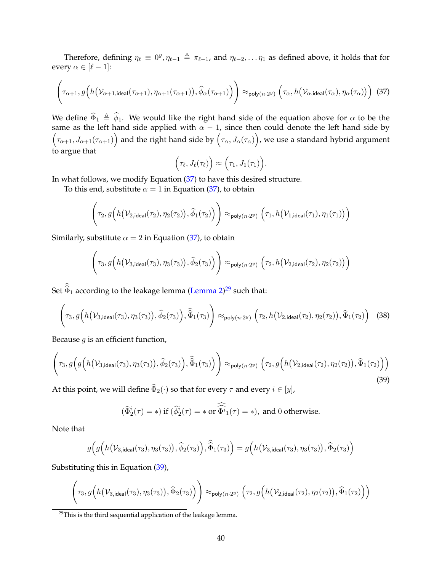Therefore, defining  $\eta_\ell \equiv 0^y, \eta_{\ell-1} \triangleq \pi_{\ell-1}$ , and  $\eta_{\ell-2}, \ldots \eta_1$  as defined above, it holds that for every  $\alpha \in [\ell - 1]$ :

<span id="page-41-0"></span>
$$
\left(\tau_{\alpha+1}, g\left(h(\mathcal{V}_{\alpha+1, \text{ideal}}(\tau_{\alpha+1}), \eta_{\alpha+1}(\tau_{\alpha+1})), \widehat{\phi}_{\alpha}(\tau_{\alpha+1})\right)\right) \approx_{\text{poly}(n\cdot 2^y)} \left(\tau_{\alpha}, h(\mathcal{V}_{\alpha, \text{ideal}}(\tau_{\alpha}), \eta_{\alpha}(\tau_{\alpha}))\right)
$$
(37)

We define  $\hat{\Phi}_1 \triangleq \hat{\phi}_1$ . We would like the right hand side of the equation above for  $\alpha$  to be the same as the left hand side applied with  $\alpha - 1$ , since then could denote the left hand side by  $(\tau_{\alpha+1},J_{\alpha+1}(\tau_{\alpha+1}))$  and the right hand side by  $(\tau_\alpha,J_\alpha(\tau_\alpha))$ , we use a standard hybrid argument to argue that

$$
(\tau_{\ell},J_{\ell}(\tau_{\ell})\big)\approx (\tau_1,J_1(\tau_1)).
$$

In what follows, we modify Equation [\(37\)](#page-41-0) to have this desired structure.

To this end, substitute  $\alpha = 1$  in Equation [\(37\)](#page-41-0), to obtain

$$
\left(\tau_2, g\Big(h(\mathcal V_{2,\text{ideal}}(\tau_2), \eta_2(\tau_2)), \widehat{\phi}_1(\tau_2)\Big)\right) \approx_{\text{poly}(n\cdot 2^y)} \left(\tau_1, h(\mathcal V_{1,\text{ideal}}(\tau_1), \eta_1(\tau_1))\right)
$$

Similarly, substitute  $\alpha = 2$  in Equation [\(37\)](#page-41-0), to obtain

$$
\left(\tau_3, g\Big(h(\mathcal V_{3,\text{ideal}}(\tau_3), \eta_3(\tau_3)), \widehat{\phi}_2(\tau_3)\Big)\right) \approx_{\text{poly}(n\cdot 2^y)} \left(\tau_2, h(\mathcal V_{2,\text{ideal}}(\tau_2), \eta_2(\tau_2))\right)
$$

Set  $\widehat{\Phi}_1$  according to the leakage lemma [\(Lemma 2\)](#page-33-1)<sup>[29](#page-41-1)</sup> such that:

<span id="page-41-3"></span>
$$
\left(\tau_3, g\Big(h(\mathcal{V}_{3,\text{ideal}}(\tau_3), \eta_3(\tau_3)), \widehat{\phi}_2(\tau_3)\Big), \widehat{\widehat{\Phi}}_1(\tau_3)\right) \approx_{\text{poly}(n\cdot 2^y)} \left(\tau_2, h(\mathcal{V}_{2,\text{ideal}}(\tau_2), \eta_2(\tau_2)), \widehat{\Phi}_1(\tau_2)\right) \tag{38}
$$

Because  $g$  is an efficient function,

<span id="page-41-2"></span>
$$
\left(\tau_3, g\Big(g\Big(h(\mathcal{V}_{3,\text{ideal}}(\tau_3), \eta_3(\tau_3)), \widehat{\phi}_2(\tau_3)\Big), \widehat{\widehat{\Phi}}_1(\tau_3)\Big)\right) \approx_{\text{poly}(n\cdot 2^y)} \left(\tau_2, g\Big(h(\mathcal{V}_{2,\text{ideal}}(\tau_2), \eta_2(\tau_2)), \widehat{\Phi}_1(\tau_2)\Big)\right)
$$
\n(39)

At this point, we will define  $\hat{\Phi}_2(\cdot)$  so that for every  $\tau$  and every  $i \in [y]$ ,

$$
(\widehat{\Phi}_{2}^{i}(\tau) = *)
$$
 if  $(\widehat{\phi}_{2}^{i}(\tau) = * \text{ or } \widehat{\widehat{\Phi}^{i}}_{1}(\tau) = *)$ , and 0 otherwise.

Note that

$$
g(g\Big(h(\mathcal{V}_{3,\text{ideal}}(\tau_3),\eta_3(\tau_3)),\widehat{\phi}_2(\tau_3)\Big),\widehat{\widehat{\Phi}}_1(\tau_3)\Big)=g\Big(h(\mathcal{V}_{3,\text{ideal}}(\tau_3),\eta_3(\tau_3)),\widehat{\Phi}_2(\tau_3)\Big)
$$

Substituting this in Equation [\(39\)](#page-41-2),

$$
\left(\tau_3, g\Big(h\big(\mathcal{V}_{3,\text{ideal}}(\tau_3), \eta_3(\tau_3)\big), \widehat{\Phi}_2(\tau_3)\Big)\right) \approx_{\text{poly}(n\cdot 2^y)} \Big(\tau_2, g\Big(h\big(\mathcal{V}_{2,\text{ideal}}(\tau_2), \eta_2(\tau_2)\big), \widehat{\Phi}_1(\tau_2)\Big)\Big)
$$

<span id="page-41-1"></span> $29$ This is the third sequential application of the leakage lemma.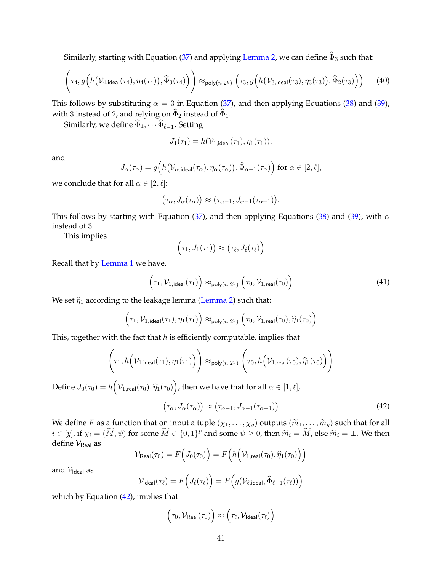Similarly, starting with Equation [\(37\)](#page-41-0) and applying [Lemma 2,](#page-33-1) we can define  $\hat{\Phi}_3$  such that:

$$
\left(\tau_4, g\Big(h(\mathcal{V}_{4,\text{ideal}}(\tau_4), \eta_4(\tau_4)), \widehat{\Phi}_3(\tau_4)\Big)\right) \approx_{\text{poly}(n\cdot 2^y)} \left(\tau_3, g\Big(h(\mathcal{V}_{3,\text{ideal}}(\tau_3), \eta_3(\tau_3)), \widehat{\Phi}_2(\tau_3)\Big)\right) \tag{40}
$$

This follows by substituting  $\alpha = 3$  in Equation [\(37\)](#page-41-0), and then applying Equations [\(38\)](#page-41-3) and [\(39\)](#page-41-2), with 3 instead of 2, and relying on  $\widehat{\Phi}_2$  instead of  $\widehat{\Phi}_1$ .

Similarly, we define  $\widehat{\Phi}_4, \cdots \widehat{\Phi}_{\ell-1}$ . Setting

$$
J_1(\tau_1) = h(\mathcal{V}_{1,\text{ideal}}(\tau_1), \eta_1(\tau_1)),
$$

and

$$
J_{\alpha}(\tau_{\alpha}) = g\Big(h\big(\mathcal{V}_{\alpha,\text{ideal}}(\tau_{\alpha}),\eta_{\alpha}(\tau_{\alpha})\big),\widehat{\Phi}_{\alpha-1}(\tau_{\alpha})\Big) \text{ for } \alpha \in [2,\ell],
$$

we conclude that for all  $\alpha \in [2, \ell]$ :

$$
(\tau_{\alpha}, J_{\alpha}(\tau_{\alpha})) \approx (\tau_{\alpha-1}, J_{\alpha-1}(\tau_{\alpha-1})).
$$

This follows by starting with Equation [\(37\)](#page-41-0), and then applying Equations [\(38\)](#page-41-3) and [\(39\)](#page-41-2), with  $\alpha$ instead of 3.

This implies

$$
(\tau_1, J_1(\tau_1)) \approx (\tau_\ell, J_\ell(\tau_\ell))
$$

Recall that by [Lemma 1](#page-29-0) we have,

<span id="page-42-1"></span>
$$
(\tau_1, \mathcal{V}_{1, \text{ideal}}(\tau_1)) \approx_{\text{poly}(n \cdot 2^y)} (\tau_0, \mathcal{V}_{1, \text{real}}(\tau_0))
$$
\n(41)

We set  $\hat{\eta}_1$  according to the leakage lemma [\(Lemma 2\)](#page-33-1) such that:

$$
\Big(\tau_1,\mathcal{V}_{1,\mathsf{ideal}}(\tau_1),\eta_1(\tau_1)\Big) \approx_{\mathsf{poly}(n\cdot 2^y)} \Big(\tau_0,\mathcal{V}_{1,\mathsf{real}}(\tau_0),\widehat{\eta}_1(\tau_0)\Big)
$$

This, together with the fact that  $h$  is efficiently computable, implies that

$$
\left(\tau_1, h\Big(\mathcal{V}_{1,\text{ideal}}(\tau_1), \eta_1(\tau_1)\Big)\right) \approx_{\text{poly}(n\cdot 2^y)} \left(\tau_0, h\Big(\mathcal{V}_{1,\text{real}}(\tau_0), \widehat{\eta}_1(\tau_0)\Big)\right)
$$

Define  $J_0(\tau_0) = h(\mathcal{V}_{1,\mathsf{real}}(\tau_0), \widehat{\eta}_1(\tau_0))$ , then we have that for all  $\alpha \in [1,\ell]$ ,

<span id="page-42-0"></span>
$$
(\tau_{\alpha}, J_{\alpha}(\tau_{\alpha})) \approx (\tau_{\alpha-1}, J_{\alpha-1}(\tau_{\alpha-1}))
$$
\n(42)

We define F as a function that on input a tuple  $(\chi_1, \ldots, \chi_y)$  outputs  $(\widetilde{m}_1, \ldots, \widetilde{m}_y)$  such that for all  $i \in [y]$ , if  $\chi_i = (\widetilde{M}, \psi)$  for some  $\widetilde{M} \in \{0, 1\}^p$  and some  $\psi \geq 0$ , then  $\widetilde{m}_i = \widetilde{M}$ , else  $\widetilde{m}_i = \bot$ . We then define  $V_{\text{Real}}$  as

$$
\mathcal{V}_{\mathsf{Real}}(\tau_0) = F\Big(J_0(\tau_0)\Big) = F\Big(h\Big(\mathcal{V}_{1,\mathsf{real}}(\tau_0),\widehat{\eta}_1(\tau_0)\Big)\Big)
$$

and  $V_{\text{Ideal}}$  as

$$
\mathcal{V}_{\text{Ideal}}(\tau_{\ell}) = F\Big(J_{\ell}(\tau_{\ell})\Big) = F\Big(g(\mathcal{V}_{\ell,\text{ideal}}, \widehat{\Phi}_{\ell-1}(\tau_{\ell}))\Big)
$$

which by Equation  $(42)$ , implies that

$$
\left(\tau_0, \mathcal{V}_{\mathsf{Real}}(\tau_0)\right) \approx \left(\tau_\ell, \mathcal{V}_{\mathsf{Ideal}}(\tau_\ell)\right)
$$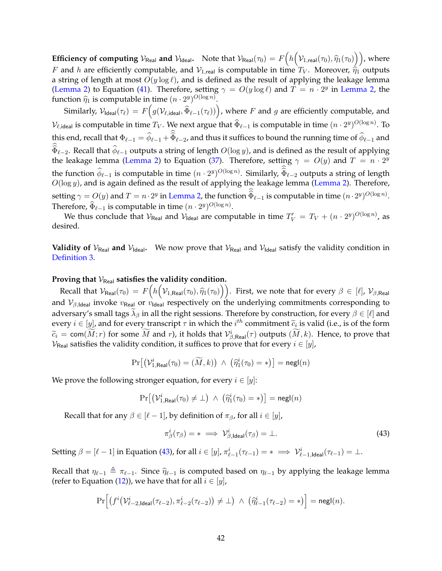**Efficiency of computing**  $V_{\text{Real}}$  and  $V_{\text{Ideal}}$ . Note that  $V_{\text{Real}}(\tau_0) = F\left(h\left(\mathcal{V}_{1,\text{real}}(\tau_0), \widehat{\eta}_1(\tau_0)\right)\right)$ , where F and h are efficiently computable, and  $V_{1,real}$  is computable in time  $T_V$ . Moreover,  $\hat{\eta}_1$  outputs a string of length at most  $O(y \log \ell)$ , and is defined as the result of applying the leakage lemma [\(Lemma 2\)](#page-33-1) to Equation [\(41\)](#page-42-1). Therefore, setting  $\gamma = O(y \log \ell)$  and  $T = n \cdot 2^y$  in [Lemma 2,](#page-33-1) the function  $\widehat{\eta}_1$  is computable in time  $(n \cdot 2^y)^{O(\log n)}$ .

Similarly,  $\mathcal{V}_{\sf{Ideal}}(\tau_\ell) = F\Big(g(\mathcal{V}_{\ell,\sf{ideal}},\widehat{\Phi}_{\ell-1}(\tau_\ell))\Big)$ , where  $F$  and  $g$  are efficiently computable, and  $\mathcal{V}_{\ell, \text{ideal}}$  is computable in time  $T_V$ . We next argue that  $\widehat{\Phi}_{\ell-1}$  is computable in time  $(n \cdot 2^y)^{O(\log n)}$ . To this end, recall that  $\Phi_{\ell-1} = \phi_{\ell-1} + \Phi_{\ell-2}$ , and thus it suffices to bound the running time of  $\phi_{\ell-1}$  and  $\Phi_{\ell-2}$ . Recall that  $\phi_{\ell-1}$  outputs a string of length  $O(\log y)$ , and is defined as the result of applying the leakage lemma [\(Lemma 2\)](#page-33-1) to Equation [\(37\)](#page-41-0). Therefore, setting  $\gamma = O(y)$  and  $T = n \cdot 2^y$ the function  $\hat{\phi}_{\ell-1}$  is computable in time  $(n \cdot 2^y)^{O(\log n)}$ . Similarly,  $\hat{\Phi}_{\ell-2}$  outputs a string of length  $O(\log y)$ , and is again defined as the result of applying the leakage lemma [\(Lemma 2\)](#page-33-1). Therefore, setting  $\gamma = O(y)$  and  $T = n \cdot 2^y$  in [Lemma 2,](#page-33-1) the function  $\widehat{\Phi}_{\ell-1}$  is computable in time  $(n \cdot 2^y)^{O(\log n)}$ . Therefore,  $\widehat{\Phi}_{\ell-1}$  is computable in time  $(n \cdot 2^y)^{O(\log n)}$ .

We thus conclude that  $\mathcal{V}_{\mathsf{Real}}$  and  $\mathcal{V}_{\mathsf{Ideal}}$  are computable in time  $T_V' = T_V + (n \cdot 2^y)^{O(\log n)}$ , as desired.

**Validity of**  $V_{\text{Real}}$  and  $V_{\text{Ideal}}$ . We now prove that  $V_{\text{Real}}$  and  $V_{\text{Ideal}}$  satisfy the validity condition in [Definition 3.](#page-15-0)

#### Proving that  $V_{\text{Real}}$  satisfies the validity condition.

Recall that  $\mathcal{V}_{\text{Real}}(\tau_0) = F\left(h\left(\mathcal{V}_{1,\text{Real}}(\tau_0), \widehat{\eta}_1(\tau_0)\right)\right)$ . First, we note that for every  $\beta \in [\ell], \mathcal{V}_{\beta,\text{Real}}$ and  $V_{\beta, \text{Ideal}}$  invoke  $v_{\text{Real}}$  or  $v_{\text{Ideal}}$  respectively on the underlying commitments corresponding to adversary's small tags  $\lambda_\beta$  in all the right sessions. Therefore by construction, for every  $\beta \in [\ell]$  and every  $i \in [y]$ , and for every transcript  $\tau$  in which the  $i^{th}$  commitment  $\widetilde{c}_i$  is valid (i.e., is of the form  $\widetilde{c}_i = \text{com}(\widetilde{M}; r)$  for some  $\widetilde{M}$  and  $r$ ), it holds that  $\mathcal{V}_{\beta, \text{Real}}^i(\tau)$  outputs  $(\widetilde{M}, k)$ . Hence, to prove that  $V_{\text{Real}}$  satisfies the validity condition, it suffices to prove that for every  $i \in [y]$ ,

$$
\Pr\big[\big(\mathcal{V}_{1,\text{Real}}^i(\tau_0)=(\widetilde{M},k)\big) \ \wedge \ \big(\widehat{\eta}_1^i(\tau_0)=*\big)\big]=\mathsf{negl}(n)
$$

We prove the following stronger equation, for every  $i \in [y]$ :

$$
\Pr\big[\big(\mathcal{V}_{1,\text{Real}}^{i}(\tau_0) \neq \bot\big) \ \wedge \ \big(\widehat{\eta}_1^{i}(\tau_0) = *\big)\big] = \mathsf{negl}(n)
$$

Recall that for any  $\beta \in [\ell - 1]$ , by definition of  $\pi_{\beta}$ , for all  $i \in [y]$ ,

<span id="page-43-0"></span>
$$
\pi_{\beta}^{i}(\tau_{\beta}) = * \implies \mathcal{V}_{\beta,\text{Ideal}}^{i}(\tau_{\beta}) = \bot.
$$
\n(43)

Setting  $\beta = [\ell - 1]$  in Equation [\(43\)](#page-43-0), for all  $i \in [y]$ ,  $\pi_{\ell-1}^i(\tau_{\ell-1}) = * \implies \mathcal{V}_{\ell-1,\text{Ideal}}^i(\tau_{\ell-1}) = \perp$ .

Recall that  $\eta_{\ell-1} \triangleq \pi_{\ell-1}$ . Since  $\hat{\eta}_{\ell-1}$  is computed based on  $\eta_{\ell-1}$  by applying the leakage lemma (refer to Equation [\(12\)](#page-35-3)), we have that for all  $i \in [y]$ ,

$$
\Pr\Big[\big(f^i\big(\mathcal{V}^i_{\ell-2,\mathsf{Ideal}}(\tau_{\ell-2}),\pi^i_{\ell-2}(\tau_{\ell-2})\big)\neq\bot\big) \ \wedge \ \big(\widehat{\eta}^i_{\ell-1}(\tau_{\ell-2})=\ast\big)\Big] = \mathsf{negl}(n).
$$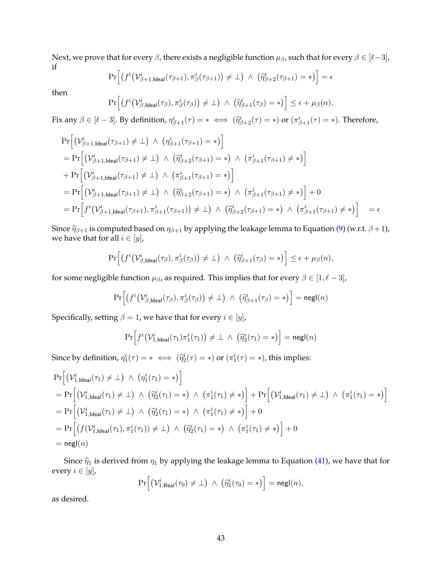Next, we prove that for every  $\beta$ , there exists a negligible function  $\mu_{\beta}$ , such that for every  $\beta \in [\ell-3]$ , if

$$
\Pr\Big[\big(f^i\big(\mathcal{V}_{\beta+1,\text{Ideal}}^i(\tau_{\beta+1}),\pi_\beta^i(\tau_{\beta+1})\big)\neq\bot\big) \ \wedge \ \left(\widehat{\eta}_{\beta+2}^i(\tau_{\beta+1})=\ast\right)\Big]=\epsilon
$$

then

$$
\Pr\Big[\big(f^i\big(\mathcal{V}_{\beta,\text{Ideal}}^i(\tau_{\beta}),\pi_{\beta}^i(\tau_{\beta})\big)\neq\bot\big) \ \wedge \ \big(\widehat{\eta}_{\beta+1}^i(\tau_{\beta})=\ast\big)\Big]\leq \epsilon+\mu_{\beta}(n).
$$

Fix any  $\beta \in [\ell - 3]$ . By definition,  $\eta_{\beta+1}^i(\tau) = * \iff (\widehat{\eta}_{\beta+2}^i(\tau) = *)$  or  $(\pi_{\beta+1}^i(\tau) = *)$ . Therefore,

$$
\Pr\left[\left(\mathcal{V}_{\beta+1,\text{ideal}}^{i}(\tau_{\beta+1})\neq\bot\right) \land \left(\eta_{\beta+1}^{i}(\tau_{\beta+1})=\ast\right)\right] \n= \Pr\left[\left(\mathcal{V}_{\beta+1,\text{ideal}}^{i}(\tau_{\beta+1})\neq\bot\right) \land \left(\widehat{\eta}_{\beta+2}^{i}(\tau_{\beta+1})=\ast\right) \land \left(\pi_{\beta+1}^{i}(\tau_{\beta+1})\neq\ast\right)\right] \n+ \Pr\left[\left(\mathcal{V}_{\beta+1,\text{ideal}}^{i}(\tau_{\beta+1})\neq\bot\right) \land \left(\pi_{\beta+1}^{i}(\tau_{\beta+1})=\ast\right)\right] \n= \Pr\left[\left(\mathcal{V}_{\beta+1,\text{ideal}}^{i}(\tau_{\beta+1})\neq\bot\right) \land \left(\widehat{\eta}_{\beta+2}^{i}(\tau_{\beta+1})=\ast\right) \land \left(\pi_{\beta+1}^{i}(\tau_{\beta+1})\neq\ast\right)\right] + 0 \n= \Pr\left[f^{i}\left(\mathcal{V}_{\beta+1,\text{ideal}}^{i}(\tau_{\beta+1}),\pi_{\beta+1}^{i}(\tau_{\beta+1})\right)\neq\bot\right) \land \left(\widehat{\eta}_{\beta+2}^{i}(\tau_{\beta+1})=\ast\right) \land \left(\pi_{\beta+1}^{i}(\tau_{\beta+1})\neq\ast\right)\right] = \epsilon
$$

Since  $\hat{\eta}_{\beta+1}$  is computed based on  $\eta_{\beta+1}$  by applying the leakage lemma to Equation [\(9\)](#page-35-0) (w.r.t.  $\beta$ +1), we have that for all  $i \in [y]$ ,

$$
\Pr\Big[\big(f^i\big(\mathcal{V}_{\beta,\mathsf{Ideal}}^i(\tau_{\beta}),\pi_{\beta}^i(\tau_{\beta})\big)\neq\bot\big) \ \wedge \ \big(\widehat{\eta}_{\beta+1}^i(\tau_{\beta})=\ast\big)\Big]\leq \epsilon+\mu_{\beta}(n),
$$

for some negligible function  $\mu_{\beta}$ , as required. This implies that for every  $\beta \in [1, \ell - 3]$ ,

$$
\Pr\Big[\big(f^i\big(\mathcal{V}_{\beta,\text{Ideal}}^i(\tau_{\beta}),\pi_{\beta}^i(\tau_{\beta})\big)\neq\bot\big) \ \wedge \ \big(\widehat{\eta}_{\beta+1}^i(\tau_{\beta})=\ast\big)\Big]=\mathsf{negl}(n)
$$

Specifically, setting  $\beta = 1$ , we have that for every  $i \in [y]$ ,

$$
\Pr\Big[f^i\big(\mathcal V^i_{1,\text{Ideal}}(\tau_1)\pi^i_1(\tau_1)\big) \neq \bot \ \wedge \ \left(\widehat{\eta}^i_2(\tau_1) = *\right)\Big] = {\mathsf{negl}}(n)
$$

Since by definition,  $\eta_1^i(\tau) = * \iff (\widehat{\eta}_2^i(\tau) = *)$  or  $(\pi_1^i(\tau) = *)$ , this implies:

$$
\Pr\left[\left(\mathcal{V}_{1,\text{ideal}}^{i}(\tau_{1})\neq\bot\right) \land \left(\eta_{1}^{i}(\tau_{1})=\ast\right)\right]
$$
\n
$$
= \Pr\left[\left(\mathcal{V}_{1,\text{ideal}}^{i}(\tau_{1})\neq\bot\right) \land \left(\widehat{\eta}_{2}^{i}(\tau_{1})=\ast\right) \land \left(\pi_{1}^{i}(\tau_{1})\neq\ast\right)\right] + \Pr\left[\left(\mathcal{V}_{1,\text{ideal}}^{i}(\tau_{1})\neq\bot\right) \land \left(\pi_{1}^{i}(\tau_{1})=\ast\right)\right]
$$
\n
$$
= \Pr\left[\left(\mathcal{V}_{1,\text{ideal}}^{i}(\tau_{1})\neq\bot\right) \land \left(\widehat{\eta}_{2}^{i}(\tau_{1})=\ast\right) \land \left(\pi_{1}^{i}(\tau_{1})\neq\ast\right)\right] + 0
$$
\n
$$
= \Pr\left[\left(f(\mathcal{V}_{1,\text{ideal}}^{i}(\tau_{1}), \pi_{1}^{i}(\tau_{1}))\neq\bot\right) \land \left(\widehat{\eta}_{2}^{i}(\tau_{1})=\ast\right) \land \left(\pi_{1}^{i}(\tau_{1})\neq\ast\right)\right] + 0
$$
\n
$$
= \mathsf{negl}(n)
$$

Since  $\hat{\eta}_1$  is derived from  $\eta_1$  by applying the leakage lemma to Equation [\(41\)](#page-42-1), we have that for every  $i \in [y]$ ,

 $\Pr\left[\left(\mathcal{V}_{1,\text{Real}}^{i}(\tau_0) \neq \bot\right) \ \wedge \ \left(\widehat{\eta}_1^{i}(\tau_0) = *\right)\right] = \mathsf{negl}(n),$ 

as desired.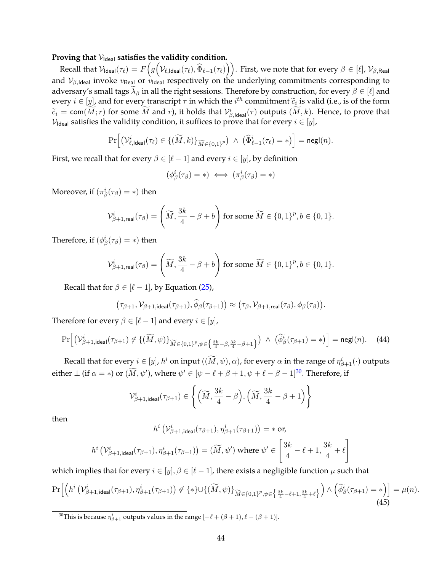## Proving that  $V_{\text{Ideal}}$  satisfies the validity condition.

 ${\rm Recall~that}~\mathcal{V}_{\sf Ideal}(\tau_\ell) = F\Big(g\Big(\mathcal{V}_{\ell, \sf{Ideal}}(\tau_\ell), \widehat{\Phi}_{\ell-1}(\tau_\ell)\Big)\Big).$  First, we note that for every  $\beta \in [\ell],$   $\mathcal{V}_{\beta, {\sf Real}}$ and  $V_{\beta, \text{Ideal}}$  invoke  $v_{\text{Real}}$  or  $v_{\text{Ideal}}$  respectively on the underlying commitments corresponding to adversary's small tags  $\lambda_\beta$  in all the right sessions. Therefore by construction, for every  $\beta \in [\ell]$  and every  $i \in [y]$ , and for every transcript  $\tau$  in which the  $i^{th}$  commitment  $\widetilde{c}_i$  is valid (i.e., is of the form  $\widetilde{c}_i = \text{com}(\widetilde{M}; r)$  for some  $\widetilde{M}$  and r), it holds that  $\mathcal{V}_{\beta, \text{Ideal}}^i(\tau)$  outputs  $(\widetilde{M}, k)$ . Hence, to prove that  $V_{\text{Ideal}}$  satisfies the validity condition, it suffices to prove that for every  $i \in [y]$ ,

$$
\Pr\Big[\big(\mathcal{V}_{\ell,\mathsf{Ideal}}^i(\tau_\ell) \in \{(\widetilde{M},k)\}_{\widetilde{M}\in\{0,1\}^p}\big) \ \wedge \ \big(\widehat{\Phi}_{\ell-1}^i(\tau_\ell)=*\big)\Big] = \mathsf{negl}(n).
$$

First, we recall that for every  $\beta \in [\ell - 1]$  and every  $i \in [y]$ , by definition

$$
(\phi^i_\beta(\tau_\beta) = *) \iff (\pi^i_\beta(\tau_\beta) = *)
$$

Moreover, if  $(\pi^i_\beta(\tau_\beta)=*)$  then

$$
\mathcal{V}^i_{\beta+1,\mathsf{real}}(\tau_{\beta}) = \left(\widetilde{M},\frac{3k}{4}-\beta+b\right) \text{ for some } \widetilde{M} \in \{0,1\}^p, b \in \{0,1\}.
$$

Therefore, if  $(\phi^i_\beta(\tau_\beta) = *)$  then

$$
\mathcal{V}^i_{\beta+1,\textsf{real}}(\tau_{\beta}) = \left(\widetilde{M},\frac{3k}{4}-\beta+b\right) \text{ for some } \widetilde{M} \in \{0,1\}^p, b \in \{0,1\}.
$$

Recall that for  $\beta \in [\ell - 1]$ , by Equation [\(25\)](#page-38-5),

 $(\tau_{\beta+1}, \mathcal{V}_{\beta+1, ideal}(\tau_{\beta+1}), \widetilde{\phi}_{\beta}(\tau_{\beta+1})) \approx (\tau_{\beta}, \mathcal{V}_{\beta+1, real}(\tau_{\beta}), \phi_{\beta}(\tau_{\beta})).$ 

Therefore for every  $\beta \in [\ell - 1]$  and every  $i \in [y]$ ,

$$
\Pr\left[\left(\mathcal{V}_{\beta+1,\text{ideal}}^{i}(\tau_{\beta+1})\notin\{(\widetilde{M},\psi)\}_{\widetilde{M}\in\{0,1\}^p,\psi\in\left\{\frac{3k}{4}-\beta,\frac{3k}{4}-\beta+1\right\}}\right) \;\wedge\; \left(\widehat{\phi}_{\beta}^{i}(\tau_{\beta+1})=\ast\right)\right] = \mathsf{negl}(n). \tag{44}
$$

Recall that for every  $i\in[y]$ ,  $h^i$  on input  $((\widetilde{M},\psi),\alpha)$ , for every  $\alpha$  in the range of  $\eta^i_{\beta+1}(\cdot)$  outputs either  $\perp$  (if  $\alpha = \ast$ ) or  $(\widetilde{M}, \psi')$ , where  $\psi' \in [\psi - \ell + \beta + 1, \psi + \ell - \beta - 1]^{30}$  $\psi' \in [\psi - \ell + \beta + 1, \psi + \ell - \beta - 1]^{30}$  $\psi' \in [\psi - \ell + \beta + 1, \psi + \ell - \beta - 1]^{30}$ . Therefore, if

$$
\mathcal{V}^i_{\beta+1,\text{ideal}}(\tau_{\beta+1}) \in \left\lbrace \left( \widetilde{M}, \frac{3k}{4}-\beta \right), \left( \widetilde{M}, \frac{3k}{4}-\beta+1 \right) \right\rbrace
$$

then

$$
h^{i}\left(\mathcal{V}_{\beta+1,\text{ideal}}^{i}(\tau_{\beta+1}), \eta_{\beta+1}^{i}(\tau_{\beta+1})\right) = * \text{ or,}
$$
\n
$$
h^{i}\left(\mathcal{V}_{\beta+1,\text{ideal}}^{i}(\tau_{\beta+1}), \eta_{\beta+1}^{i}(\tau_{\beta+1})\right) = (\widetilde{M}, \psi') \text{ where } \psi' \in \left[\frac{3k}{4} - \ell + 1, \frac{3k}{4} + \ell\right]
$$

which implies that for every  $i \in [y], \beta \in [\ell - 1]$ , there exists a negligible function  $\mu$  such that

<span id="page-45-1"></span>
$$
\Pr\Big[\Big(h^{i}\left(\mathcal{V}_{\beta+1,\text{ideal}}^{i}(\tau_{\beta+1}),\eta_{\beta+1}^{i}(\tau_{\beta+1})\right) \not\in \{\ast\} \cup \{(\widetilde{M},\psi)\}_{\widetilde{M}\in\{0,1\}^{p},\psi\in\left\{\frac{3k}{4}-\ell+1,\frac{3k}{4}+\ell\right\}}\Big) \wedge \Big(\widehat{\phi}_{\beta}^{i}(\tau_{\beta+1})=\ast\Big)\Big] = \mu(n). \tag{45}
$$

<span id="page-45-0"></span><sup>30</sup>This is because  $\eta_{\beta+1}^i$  outputs values in the range  $[-\ell + (\beta+1), \ell - (\beta+1)].$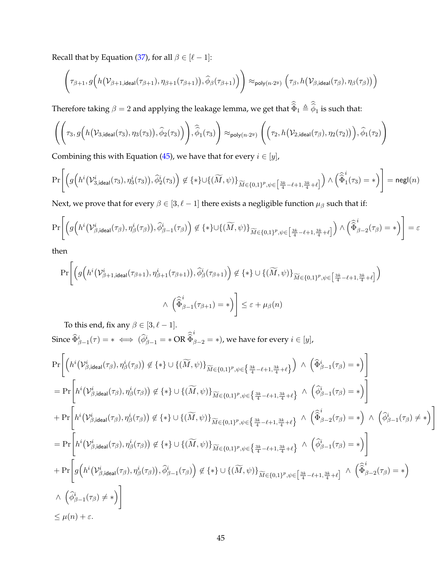Recall that by Equation [\(37\)](#page-41-0), for all  $\beta \in [\ell - 1]$ :

$$
\Bigg(\tau_{\beta+1},g\Big(h\big(\mathcal{V}_{\beta+1,\mathsf{ideal}}(\tau_{\beta+1}),\eta_{\beta+1}(\tau_{\beta+1})\big),\widehat{\phi}_{\beta}(\tau_{\beta+1})\Big)\Bigg) \approx_{\mathsf{poly}(n\cdot 2^{y})} \Big(\tau_{\beta},h\big(\mathcal{V}_{\beta,\mathsf{ideal}}(\tau_{\beta}),\eta_{\beta}(\tau_{\beta})\big)\Big)
$$

Therefore taking  $\beta=2$  and applying the leakage lemma, we get that  $\widehat{\Phi}_1\triangleq\widehat{\phi}_1$  is such that:

$$
\left(\left(\tau_3, g\Big(h\big(\mathcal V_{3,\mathsf{ideal}}(\tau_3), \eta_3(\tau_3)\big), \widehat{\phi}_2(\tau_3)\Big)\right), \widehat{\widehat{\phi}}_1(\tau_3)\right) \approx_{\mathsf{poly}(n\cdot 2^y)} \left(\left(\tau_2, h\big(\mathcal V_{2,\mathsf{ideal}}(\tau_{\beta}), \eta_2(\tau_2)\big)\right), \widehat{\phi}_1(\tau_2)\right)
$$

Combining this with Equation [\(45\)](#page-45-1), we have that for every  $i \in [y]$ ,

$$
\Pr\Bigg[\Big(g\Big(h^i\big(\mathcal{V}_{3,\mathsf{ideal}}^i(\tau_3),\eta_3^i(\tau_3)\big),\widehat{\phi}_2^i(\tau_3)\Big)\not\in\{\ast\}\cup\{(\widetilde{M},\psi)\}_{\widetilde{M}\in\{0,1\}^p,\psi\in\left[\frac{3k}{4}-\ell+1,\frac{3k}{4}+\ell\right]}\Big)\wedge\Big(\widehat{\widehat{\Phi}}_1^i(\tau_3)=\ast\Big)\Bigg]=\mathsf{negl}(n)
$$

Next, we prove that for every  $\beta \in [3, \ell - 1]$  there exists a negligible function  $\mu_{\beta}$  such that if:

$$
\Pr\Bigg[\Big(g\Big(h^i\big(\mathcal{V}_{\beta,\mathsf{ideal}}^i(\tau_\beta),\eta_\beta^i(\tau_\beta)\big),\widehat{\phi}_{\beta-1}^i(\tau_\beta)\Big) \not\in \{\ast\} \cup \{(\widetilde{M},\psi)\}_{\widetilde{M}\in\{0,1\}^p,\psi\in\left[\frac{3k}{4}-\ell+1,\frac{3k}{4}+\ell\right]}\Big) \wedge \left(\widehat{\widehat{\Phi}}_{\beta-2}^i(\tau_\beta)=\ast\right)\Bigg] = \varepsilon
$$

then

$$
\Pr\Bigg[\Big(g\Big(h^{i}\big(\mathcal{V}_{\beta+1,\mathsf{ideal}}^{i}(\tau_{\beta+1}),\eta_{\beta+1}^{i}(\tau_{\beta+1})\big),\widehat{\phi}_{\beta}^{i}(\tau_{\beta+1})\Big) \not\in \{*\} \cup \{(\widetilde{M},\psi)\}_{\widetilde{M}\in\{0,1\}^{p},\psi\in\left[\frac{3k}{4}-\ell+1,\frac{3k}{4}+\ell\right]}\Big) \newline \qquad \qquad \wedge \left(\widehat{\widehat{\Phi}}_{\beta-1}^{i}(\tau_{\beta+1})=\ast\right)\Bigg] \leq \varepsilon + \mu_{\beta}(n)
$$

To this end, fix any  $\beta \in [3, \ell - 1]$ . Since  $\widehat{\Phi}_{\beta-1}^i(\tau) = * \iff (\widehat{\phi}_{\beta-1}^i) = * \text{OR } \widehat{\Phi}$ i  $\beta_{\beta-2}=*$ ), we have for every  $i\in[y]$ ,

$$
\Pr\left[\left(h^{i}\left(\mathcal{V}_{\beta,\text{ideal}}^{i}(\tau_{\beta}),\eta_{\beta}^{i}(\tau_{\beta})\right) \notin \{*\} \cup \{(\widetilde{M},\psi)\}_{\widetilde{M}\in\{0,1\}^{p},\psi\in\left\{\frac{3k}{4}-\ell+1,\frac{3k}{4}+\ell\right\}}\right) \land \left(\widehat{\Phi}_{\beta-1}^{i}(\tau_{\beta})=\ast\right)\right] \n= \Pr\left[h^{i}\left(\mathcal{V}_{\beta,\text{ideal}}^{i}(\tau_{\beta}),\eta_{\beta}^{i}(\tau_{\beta})\right) \notin \{*}\} \cup \{(\widetilde{M},\psi)\}_{\widetilde{M}\in\{0,1\}^{p},\psi\in\left\{\frac{3k}{4}-\ell+1,\frac{3k}{4}+\ell\right\}} \land \left(\widehat{\phi}_{\beta-1}^{i}(\tau_{\beta})=\ast\right)\right] \n+ \Pr\left[h^{i}\left(\mathcal{V}_{\beta,\text{ideal}}^{i}(\tau_{\beta}),\eta_{\beta}^{i}(\tau_{\beta})\right) \notin \{*}\} \cup \{(\widetilde{M},\psi)\}_{\widetilde{M}\in\{0,1\}^{p},\psi\in\left\{\frac{3k}{4}-\ell+1,\frac{3k}{4}+\ell\right\}} \land \left(\widehat{\Phi}_{\beta-2}^{i}(\tau_{\beta})=\ast\right) \land \left(\widehat{\phi}_{\beta-1}^{i}(\tau_{\beta})\neq\ast\right)\right] \n= \Pr\left[h^{i}\left(\mathcal{V}_{\beta,\text{ideal}}^{i}(\tau_{\beta}),\eta_{\beta}^{i}(\tau_{\beta})\right) \notin \{*}\} \cup \{(\widetilde{M},\psi)\}_{\widetilde{M}\in\{0,1\}^{p},\psi\in\left\{\frac{3k}{4}-\ell+1,\frac{3k}{4}+\ell\right\}} \land \left(\widehat{\phi}_{\beta-1}^{i}(\tau_{\beta})=\ast\right)\right] \n+ \Pr\left[g\left(h^{i}\left(\mathcal{V}_{\beta,\text{ideal}}^{i}(\tau_{\beta}),\eta_{\beta}^{i}(\tau_{\beta})\right),\widehat{\phi}_{\beta-1}^{i}(\tau_{\beta})\right)\notin \{*}\} \cup \{(\widetilde{M},\psi)\}_{
$$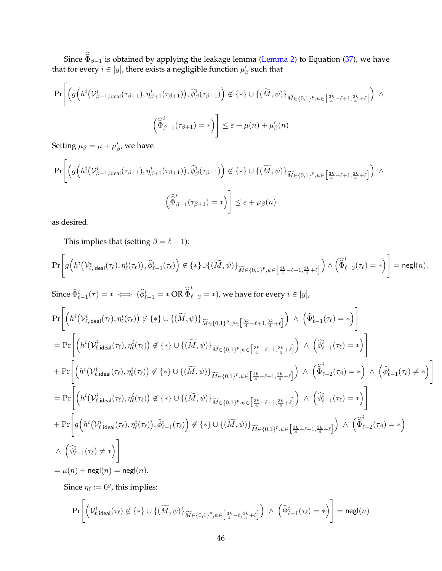Since  $\Phi_{\beta-1}$  is obtained by applying the leakage lemma [\(Lemma 2\)](#page-33-1) to Equation [\(37\)](#page-41-0), we have that for every  $i \in [y]$ , there exists a negligible function  $\mu_{\beta}'$  such that

$$
\Pr\Bigg[\Big(g\Big(h^{i}\big(\mathcal{V}_{\beta+1,\text{ideal}}^{i}(\tau_{\beta+1}),\eta_{\beta+1}^{i}(\tau_{\beta+1})\big),\widehat{\phi}_{\beta}^{i}(\tau_{\beta+1})\Big) \not\in \{*\} \cup \{(\widetilde{M},\psi)\}_{\widetilde{M}\in\{0,1\}^{p},\psi\in\left[\frac{3k}{4}-\ell+1,\frac{3k}{4}+\ell\right]}\Big) \wedge \\ \Big(\widehat{\widehat{\Phi}}_{\beta-1}^{i}(\tau_{\beta+1})=\ast\Big)\Bigg] \leq \varepsilon + \mu(n) + \mu_{\beta}'(n)
$$

Setting  $\mu_{\beta} = \mu + \mu_{\beta}^{\prime}$ , we have

$$
\Pr\Bigg[\Big(g\Big(h^{i}\big(\mathcal{V}_{\beta+1,\text{ideal}}^{i}(\tau_{\beta+1}),\eta_{\beta+1}^{i}(\tau_{\beta+1})\big),\widehat{\phi}_{\beta}^{i}(\tau_{\beta+1})\Big) \not\in \{*\} \cup \{(\widetilde{M},\psi)\}_{\widetilde{M}\in\{0,1\}^{p},\psi\in\left[\frac{3k}{4}-\ell+1,\frac{3k}{4}+\ell\right]}\Big) \; \wedge \\ \left(\widehat{\widehat{\Phi}}_{\beta-1}^{i}(\tau_{\beta+1})=\ast\right) \Bigg] \leq \varepsilon + \mu_{\beta}(n)
$$

as desired.

This implies that (setting  $\beta = \ell - 1$ ):

$$
\Pr\Bigg[g\Big(h^i\big(\mathcal{V}_{\ell,\mathsf{ideal}}^i(\tau_\ell),\eta_\ell^i(\tau_\ell)\big),\widehat{\phi}_{\ell-1}^i(\tau_\ell)\Big)\not\in \{\ast\}\cup\{(\widetilde{M},\psi)\}_{\widetilde{M}\in\{0,1\}^p,\psi\in\left[\frac{3k}{4}-\ell+1,\frac{3k}{4}+\ell\right]}\Big)\wedge\Big(\widehat{\widehat{\Phi}}_{\ell-2}^i(\tau_\ell)=\ast\Big)\Bigg]=\mathsf{negl}(n).
$$

Since  $\widehat{\Phi}_{\ell-1}^i(\tau) = * \iff (\widehat{\phi}_{\ell-1}^i) = * \text{OR } \widehat{\Phi}$ i  $_{\ell-2}$  = ∗), we have for every  $i \in [y]$ ,

$$
\Pr\left[\left(h^{i}(V_{\ell,\text{ideal}}^{i}(\tau_{\ell}),\eta_{\ell}^{i}(\tau_{\ell}))\notin\{*\}\cup\{(\widetilde{M},\psi)\}_{\widetilde{M}\in\{0,1\}^{p},\psi\in\left[\frac{3k}{4}-\ell+1,\frac{3k}{4}+\ell\right]}\right)\land\left(\widehat{\Phi}_{\ell-1}^{i}(\tau_{\ell})=\ast\right)\right]
$$
\n
$$
=\Pr\left[\left(h^{i}(V_{\ell,\text{ideal}}^{i}(\tau_{\ell}),\eta_{\ell}^{i}(\tau_{\ell}))\notin\{*\}\cup\{(\widetilde{M},\psi)\}_{\widetilde{M}\in\{0,1\}^{p},\psi\in\left[\frac{3k}{4}-\ell+1,\frac{3k}{4}+\ell\right]}\right)\land\left(\widehat{\phi}_{\ell-1}^{i}(\tau_{\ell})=\ast\right)\right]
$$
\n
$$
+\Pr\left[\left(h^{i}(V_{\ell,\text{ideal}}^{i}(\tau_{\ell}),\eta_{\ell}^{i}(\tau_{\ell}))\notin\{*\}\cup\{(\widetilde{M},\psi)\}_{\widetilde{M}\in\{0,1\}^{p},\psi\in\left[\frac{3k}{4}-\ell+1,\frac{3k}{4}+\ell\right]}\right)\land\left(\widehat{\Phi}_{\ell-2}^{i}(\tau_{\beta})=\ast\right)\land\left(\widehat{\phi}_{\ell-1}^{i}(\tau_{\ell})\neq*\right)\right]
$$
\n
$$
=\Pr\left[\left(h^{i}(V_{\ell,\text{ideal}}^{i}(\tau_{\ell}),\eta_{\ell}^{i}(\tau_{\ell}))\notin\{*\}\cup\{(\widetilde{M},\psi)\}_{\widetilde{M}\in\{0,1\}^{p},\psi\in\left[\frac{3k}{4}-\ell+1,\frac{3k}{4}+\ell\right]}\right)\land\left(\widehat{\phi}_{\ell-1}^{i}(\tau_{\ell})=\ast\right)\right]
$$
\n
$$
+\Pr\left[g\left(h^{i}(V_{\ell,\text{ideal}}^{i}(\tau_{\ell}),\eta_{\ell}^{i}(\tau_{\ell})),\widehat{\phi}_{\ell-1}^{i}(\tau_{\ell})\right)\notin\{*\}\cup\{(\widetilde{M},\psi)\}_{\widetilde{M}\in\{0,1\}^{p},\psi\in\left[\frac{3
$$

Since  $\eta_{\ell} := 0^y$ , this implies:

$$
\Pr\Bigg[\Big(\mathcal{V}_{\ell,\mathsf{ideal}}^i(\tau_\ell) \not\in \{*\} \cup \{(\widetilde{M},\psi)\}_{\widetilde{M} \in \{0,1\}^p, \psi \in \left[\frac{3k}{4} - \ell, \frac{3k}{4} + \ell\right]}\Big) \ \wedge \ \left(\widehat{\Phi}_{\ell-1}^i(\tau_\ell) = *\right)\Bigg] = \mathsf{negl}(n)
$$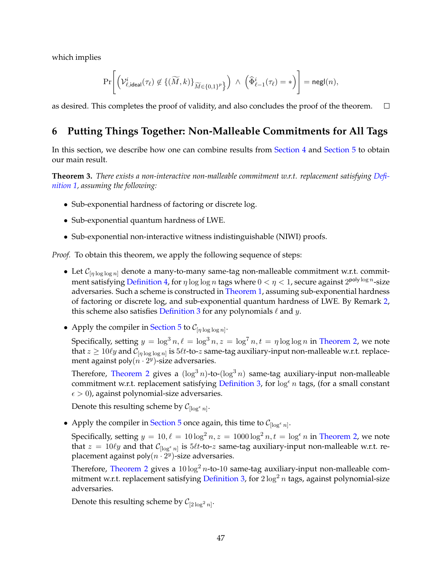which implies

$$
\Pr\Biggl[\Bigl(\mathcal{V}_{\ell,\mathsf{ideal}}^i(\tau_\ell) \not\in \{(\widetilde{M},k)\}_{\widetilde{M}\in\{0,1\}^p\Bigr\} \Bigr) \;\wedge\; \Bigl(\widehat{\Phi}_{\ell-1}^i(\tau_\ell) = *\Bigr)\Biggr] = \mathsf{negl}(n),
$$

as desired. This completes the proof of validity, and also concludes the proof of the theorem.  $\Box$ 

# <span id="page-48-0"></span>**6 Putting Things Together: Non-Malleable Commitments for All Tags**

In this section, we describe how one can combine results from [Section 4](#page-18-0) and [Section 5](#page-25-0) to obtain our main result.

**Theorem 3.** *There exists a non-interactive non-malleable commitment w.r.t. replacement satisfying [Defi](#page-14-2)[nition 1,](#page-14-2) assuming the following:*

- Sub-exponential hardness of factoring or discrete log.
- Sub-exponential quantum hardness of LWE.
- Sub-exponential non-interactive witness indistinguishable (NIWI) proofs.

*Proof.* To obtain this theorem, we apply the following sequence of steps:

- Let  $\mathcal{C}_{[\eta \log \log n]}$  denote a many-to-many same-tag non-malleable commitment w.r.t. commit-ment satisfying [Definition 4,](#page-17-1) for  $\eta \log \log n$  tags where  $0 < \eta < 1$ , secure against  $2^{\mathsf{poly}\log n}$ -size adversaries. Such a scheme is constructed in [Theorem 1,](#page-21-0) assuming sub-exponential hardness of factoring or discrete log, and sub-exponential quantum hardness of LWE. By Remark [2,](#page-18-5) this scheme also satisfies [Definition 3](#page-15-0) for any polynomials  $\ell$  and y.
- Apply the compiler in [Section 5](#page-25-0) to  $\mathcal{C}_{[\eta \log \log n]}$ .

Specifically, setting  $y = \log^3 n, \ell = \log^3 n, z = \log^7 n, t = \eta \log \log n$  in [Theorem 2,](#page-25-1) we note that  $z \ge 10 \ell y$  and  $\mathcal{C}_{[\eta \log \log n]}$  is  $5\ell t$ -to- $z$  same-tag auxiliary-input non-malleable w.r.t. replacement against poly $(n \cdot 2^{y})$ -size adversaries.

Therefore, [Theorem 2](#page-25-1) gives a  $(\log^3 n)$ -to- $(\log^3 n)$  same-tag auxiliary-input non-malleable commitment w.r.t. replacement satisfying [Definition 3,](#page-15-0) for  $\log^{\epsilon} n$  tags, (for a small constant  $\epsilon > 0$ ), against polynomial-size adversaries.

Denote this resulting scheme by  $C_{\lceil \log^{\epsilon} n \rceil}$ .

• Apply the compiler in [Section 5](#page-25-0) once again, this time to  $\mathcal{C}_{\lceil \log^{\epsilon} n \rceil}$ .

Specifically, setting  $y = 10, \ell = 10 \log^2 n, z = 1000 \log^2 n, t = \log^{\epsilon} n$  in [Theorem 2,](#page-25-1) we note that  $z = 10 \ell y$  and that  $\mathcal{C}_{[\log^{\epsilon} n]}$  is  $5\ell t$ -to- $z$  same-tag auxiliary-input non-malleable w.r.t. replacement against poly $(n \cdot 2^y)$ -size adversaries.

Therefore, [Theorem 2](#page-25-1) gives a  $10 \log^2 n$ -to-10 same-tag auxiliary-input non-malleable com-mitment w.r.t. replacement satisfying [Definition 3,](#page-15-0) for  $2 \log^2 n$  tags, against polynomial-size adversaries.

Denote this resulting scheme by  $C_{[2\log^2 n]}.$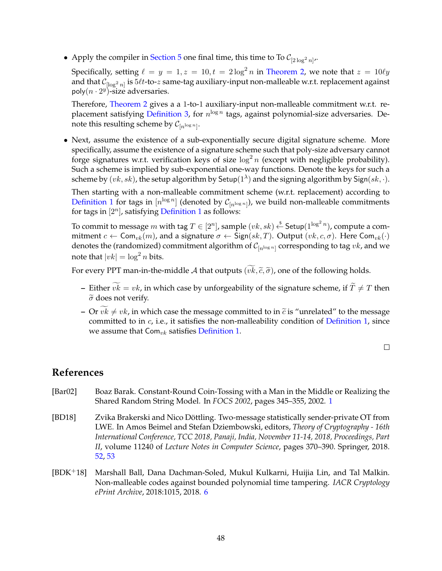• Apply the compiler in [Section 5](#page-25-0) one final time, this time to To  $C_{[2\log^2 n]'}$ .

Specifically, setting  $\ell = y = 1, z = 10, t = 2 \log^2 n$  in [Theorem 2,](#page-25-1) we note that  $z = 10 \ell y$ and that  $\mathcal{C}_{[\log^2 n]}$  is  $5\ell t$ -to- $z$  same-tag auxiliary-input non-malleable w.r.t. replacement against poly $(n \cdot 2^y)$ -size adversaries.

Therefore, [Theorem 2](#page-25-1) gives a a 1-to-1 auxiliary-input non-malleable commitment w.r.t. re-placement satisfying [Definition 3,](#page-15-0) for  $n^{\log n}$  tags, against polynomial-size adversaries. Denote this resulting scheme by  $\mathcal{C}_{[n^{\log n}]}$ .

• Next, assume the existence of a sub-exponentially secure digital signature scheme. More specifically, assume the existence of a signature scheme such that poly-size adversary cannot forge signatures w.r.t. verification keys of size  $\log^2 n$  (except with negligible probability). Such a scheme is implied by sub-exponential one-way functions. Denote the keys for such a scheme by  $(vk, sk)$ , the setup algorithm by Setup $(1^{\lambda})$  and the signing algorithm by Sign $(sk, \cdot)$ .

Then starting with a non-malleable commitment scheme (w.r.t. replacement) according to [Definition 1](#page-14-2) for tags in  $[n^{\log n}]$  (denoted by  $\mathcal{C}_{[n^{\log n}]}$ ), we build non-malleable commitments for tags in  $[2^n]$ , satisfying [Definition 1](#page-14-2) as follows:

To commit to message  $m$  with tag  $T\in [2^n]$ , sample  $(vk,sk)\stackrel{\$}{\leftarrow}$  Setup $(1^{\log^2 n})$ , compute a commitment  $c \leftarrow \textsf{Com}_{vk}(m)$ , and a signature  $\sigma \leftarrow \textsf{Sign}(sk, T)$ . Output  $(vk, c, \sigma)$ . Here Com<sub>vk</sub> $(\cdot)$ denotes the (randomized) commitment algorithm of  $\mathcal{C}_{[n^{\log n}]}$  corresponding to tag  $vk$ , and we note that  $|vk| = \log^2 n$  bits.

For every PPT man-in-the-middle A that outputs  $(\widetilde{vk}, \widetilde{c}, \widetilde{\sigma})$ , one of the following holds.

- **–** Either  $vk = vk$ , in which case by unforgeability of the signature scheme, if  $T \neq T$  then  $\tilde{\sigma}$  does not verify.
- **–** Or  $\widetilde{vk} \neq vk$ , in which case the message committed to in  $\widetilde{c}$  is "unrelated" to the message committed to in  $c$ , i.e., it satisfies the non-malleability condition of [Definition 1,](#page-14-2) since we assume that  $Com_{vk}$  satisfies [Definition 1.](#page-14-2)

 $\Box$ 

# <span id="page-49-0"></span>**References**

- <span id="page-49-1"></span>[Bar02] Boaz Barak. Constant-Round Coin-Tossing with a Man in the Middle or Realizing the Shared Random String Model. In *FOCS 2002*, pages 345–355, 2002. [1](#page-0-0)
- <span id="page-49-3"></span>[BD18] Zvika Brakerski and Nico Döttling. Two-message statistically sender-private OT from LWE. In Amos Beimel and Stefan Dziembowski, editors, *Theory of Cryptography - 16th International Conference, TCC 2018, Panaji, India, November 11-14, 2018, Proceedings, Part II*, volume 11240 of *Lecture Notes in Computer Science*, pages 370–390. Springer, 2018. [52,](#page-53-3) [53](#page-54-0)
- <span id="page-49-2"></span>[BDK+18] Marshall Ball, Dana Dachman-Soled, Mukul Kulkarni, Huijia Lin, and Tal Malkin. Non-malleable codes against bounded polynomial time tampering. *IACR Cryptology ePrint Archive*, 2018:1015, 2018. [6](#page-7-1)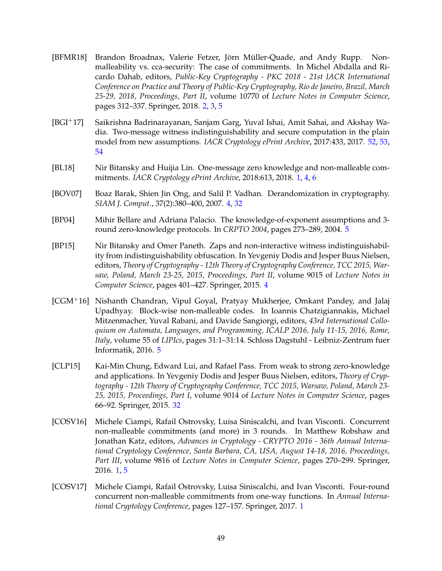- <span id="page-50-3"></span>[BFMR18] Brandon Broadnax, Valerie Fetzer, Jörn Müller-Quade, and Andy Rupp. Nonmalleability vs. cca-security: The case of commitments. In Michel Abdalla and Ricardo Dahab, editors, *Public-Key Cryptography - PKC 2018 - 21st IACR International Conference on Practice and Theory of Public-Key Cryptography, Rio de Janeiro, Brazil, March 25-29, 2018, Proceedings, Part II*, volume 10770 of *Lecture Notes in Computer Science*, pages 312–337. Springer, 2018. [2,](#page-1-0) [3,](#page-4-3) [5](#page-6-1)
- <span id="page-50-9"></span>[BGI+17] Saikrishna Badrinarayanan, Sanjam Garg, Yuval Ishai, Amit Sahai, and Akshay Wadia. Two-message witness indistinguishability and secure computation in the plain model from new assumptions. *IACR Cryptology ePrint Archive*, 2017:433, 2017. [52,](#page-53-3) [53,](#page-54-0) [54](#page-55-0)
- <span id="page-50-2"></span>[BL18] Nir Bitansky and Huijia Lin. One-message zero knowledge and non-malleable commitments. *IACR Cryptology ePrint Archive*, 2018:613, 2018. [1,](#page-0-0) [4,](#page-5-1) [6](#page-7-1)
- <span id="page-50-4"></span>[BOV07] Boaz Barak, Shien Jin Ong, and Salil P. Vadhan. Derandomization in cryptography. *SIAM J. Comput.*, 37(2):380–400, 2007. [4,](#page-5-1) [32](#page-33-3)
- <span id="page-50-7"></span>[BP04] Mihir Bellare and Adriana Palacio. The knowledge-of-exponent assumptions and 3 round zero-knowledge protocols. In *CRPTO 2004*, pages 273–289, 2004. [5](#page-6-1)
- <span id="page-50-5"></span>[BP15] Nir Bitansky and Omer Paneth. Zaps and non-interactive witness indistinguishability from indistinguishability obfuscation. In Yevgeniy Dodis and Jesper Buus Nielsen, editors, *Theory of Cryptography - 12th Theory of Cryptography Conference, TCC 2015, Warsaw, Poland, March 23-25, 2015, Proceedings, Part II*, volume 9015 of *Lecture Notes in Computer Science*, pages 401–427. Springer, 2015. [4](#page-5-1)
- <span id="page-50-6"></span>[CGM+16] Nishanth Chandran, Vipul Goyal, Pratyay Mukherjee, Omkant Pandey, and Jalaj Upadhyay. Block-wise non-malleable codes. In Ioannis Chatzigiannakis, Michael Mitzenmacher, Yuval Rabani, and Davide Sangiorgi, editors, *43rd International Colloquium on Automata, Languages, and Programming, ICALP 2016, July 11-15, 2016, Rome, Italy*, volume 55 of *LIPIcs*, pages 31:1–31:14. Schloss Dagstuhl - Leibniz-Zentrum fuer Informatik, 2016. [5](#page-6-1)
- <span id="page-50-8"></span>[CLP15] Kai-Min Chung, Edward Lui, and Rafael Pass. From weak to strong zero-knowledge and applications. In Yevgeniy Dodis and Jesper Buus Nielsen, editors, *Theory of Cryptography - 12th Theory of Cryptography Conference, TCC 2015, Warsaw, Poland, March 23- 25, 2015, Proceedings, Part I*, volume 9014 of *Lecture Notes in Computer Science*, pages 66–92. Springer, 2015. [32](#page-33-3)
- <span id="page-50-0"></span>[COSV16] Michele Ciampi, Rafail Ostrovsky, Luisa Siniscalchi, and Ivan Visconti. Concurrent non-malleable commitments (and more) in 3 rounds. In Matthew Robshaw and Jonathan Katz, editors, *Advances in Cryptology - CRYPTO 2016 - 36th Annual International Cryptology Conference, Santa Barbara, CA, USA, August 14-18, 2016, Proceedings, Part III*, volume 9816 of *Lecture Notes in Computer Science*, pages 270–299. Springer, 2016. [1,](#page-0-0) [5](#page-6-1)
- <span id="page-50-1"></span>[COSV17] Michele Ciampi, Rafail Ostrovsky, Luisa Siniscalchi, and Ivan Visconti. Four-round concurrent non-malleable commitments from one-way functions. In *Annual International Cryptology Conference*, pages 127–157. Springer, 2017. [1](#page-0-0)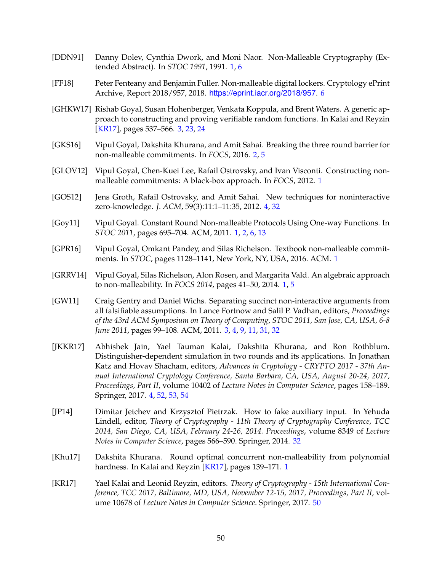- <span id="page-51-14"></span><span id="page-51-0"></span>[DDN91] Danny Dolev, Cynthia Dwork, and Moni Naor. Non-Malleable Cryptography (Extended Abstract). In *STOC 1991*, 1991. [1,](#page-0-0) [6](#page-7-1)
- <span id="page-51-11"></span>[FF18] Peter Fenteany and Benjamin Fuller. Non-malleable digital lockers. Cryptology ePrint Archive, Report 2018/957, 2018. <https://eprint.iacr.org/2018/957>. [6](#page-7-1)
- <span id="page-51-8"></span>[GHKW17] Rishab Goyal, Susan Hohenberger, Venkata Koppula, and Brent Waters. A generic approach to constructing and proving verifiable random functions. In Kalai and Reyzin [\[KR17\]](#page-51-13), pages 537–566. [3,](#page-4-3) [23,](#page-24-1) [24](#page-25-2)
- <span id="page-51-6"></span>[GKS16] Vipul Goyal, Dakshita Khurana, and Amit Sahai. Breaking the three round barrier for non-malleable commitments. In *FOCS*, 2016. [2,](#page-1-0) [5](#page-6-1)
- <span id="page-51-2"></span>[GLOV12] Vipul Goyal, Chen-Kuei Lee, Rafail Ostrovsky, and Ivan Visconti. Constructing nonmalleable commitments: A black-box approach. In *FOCS*, 2012. [1](#page-0-0)
- <span id="page-51-10"></span>[GOS12] Jens Groth, Rafail Ostrovsky, and Amit Sahai. New techniques for noninteractive zero-knowledge. *J. ACM*, 59(3):11:1–11:35, 2012. [4,](#page-5-1) [32](#page-33-3)
- <span id="page-51-1"></span>[Goy11] Vipul Goyal. Constant Round Non-malleable Protocols Using One-way Functions. In *STOC 2011*, pages 695–704. ACM, 2011. [1,](#page-0-0) [2,](#page-1-0) [6,](#page-7-1) [13](#page-14-3)
- <span id="page-51-4"></span>[GPR16] Vipul Goyal, Omkant Pandey, and Silas Richelson. Textbook non-malleable commitments. In *STOC*, pages 1128–1141, New York, NY, USA, 2016. ACM. [1](#page-0-0)
- <span id="page-51-3"></span>[GRRV14] Vipul Goyal, Silas Richelson, Alon Rosen, and Margarita Vald. An algebraic approach to non-malleability. In *FOCS 2014*, pages 41–50, 2014. [1,](#page-0-0) [5](#page-6-1)
- <span id="page-51-7"></span>[GW11] Craig Gentry and Daniel Wichs. Separating succinct non-interactive arguments from all falsifiable assumptions. In Lance Fortnow and Salil P. Vadhan, editors, *Proceedings of the 43rd ACM Symposium on Theory of Computing, STOC 2011, San Jose, CA, USA, 6-8 June 2011*, pages 99–108. ACM, 2011. [3,](#page-4-3) [4,](#page-5-1) [9,](#page-10-3) [11,](#page-12-3) [31,](#page-32-1) [32](#page-33-3)
- <span id="page-51-9"></span>[JKKR17] Abhishek Jain, Yael Tauman Kalai, Dakshita Khurana, and Ron Rothblum. Distinguisher-dependent simulation in two rounds and its applications. In Jonathan Katz and Hovav Shacham, editors, *Advances in Cryptology - CRYPTO 2017 - 37th Annual International Cryptology Conference, Santa Barbara, CA, USA, August 20-24, 2017, Proceedings, Part II*, volume 10402 of *Lecture Notes in Computer Science*, pages 158–189. Springer, 2017. [4,](#page-5-1) [52,](#page-53-3) [53,](#page-54-0) [54](#page-55-0)
- <span id="page-51-12"></span>[JP14] Dimitar Jetchev and Krzysztof Pietrzak. How to fake auxiliary input. In Yehuda Lindell, editor, *Theory of Cryptography - 11th Theory of Cryptography Conference, TCC 2014, San Diego, CA, USA, February 24-26, 2014. Proceedings*, volume 8349 of *Lecture Notes in Computer Science*, pages 566–590. Springer, 2014. [32](#page-33-3)
- <span id="page-51-5"></span>[Khu17] Dakshita Khurana. Round optimal concurrent non-malleability from polynomial hardness. In Kalai and Reyzin [\[KR17\]](#page-51-13), pages [1](#page-0-0)39–171. 1
- <span id="page-51-13"></span>[KR17] Yael Kalai and Leonid Reyzin, editors. *Theory of Cryptography - 15th International Conference, TCC 2017, Baltimore, MD, USA, November 12-15, 2017, Proceedings, Part II*, volume 10678 of *Lecture Notes in Computer Science*. Springer, 2017. [50](#page-51-14)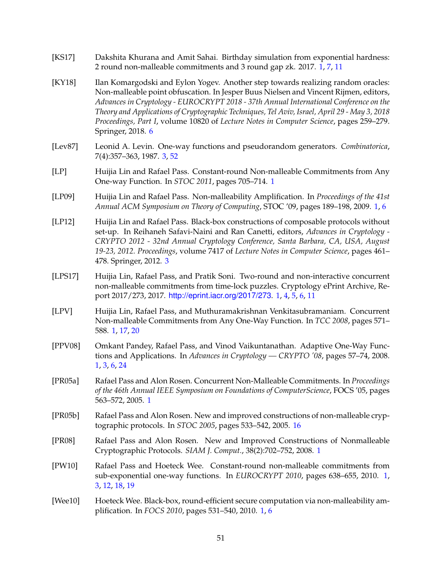- <span id="page-52-9"></span>[KS17] Dakshita Khurana and Amit Sahai. Birthday simulation from exponential hardness: 2 round non-malleable commitments and 3 round gap zk. 2017. [1,](#page-0-0) [7,](#page-8-6) [11](#page-12-3)
- <span id="page-52-12"></span>[KY18] Ilan Komargodski and Eylon Yogev. Another step towards realizing random oracles: Non-malleable point obfuscation. In Jesper Buus Nielsen and Vincent Rijmen, editors, *Advances in Cryptology - EUROCRYPT 2018 - 37th Annual International Conference on the Theory and Applications of Cryptographic Techniques, Tel Aviv, Israel, April 29 - May 3, 2018 Proceedings, Part I*, volume 10820 of *Lecture Notes in Computer Science*, pages 259–279. Springer, 2018. [6](#page-7-1)
- <span id="page-52-11"></span>[Lev87] Leonid A. Levin. One-way functions and pseudorandom generators. *Combinatorica*, 7(4):357–363, 1987. [3,](#page-4-3) [52](#page-53-3)
- <span id="page-52-7"></span>[LP] Huijia Lin and Rafael Pass. Constant-round Non-malleable Commitments from Any One-way Function. In *STOC 2011*, pages 705–714. [1](#page-0-0)
- <span id="page-52-4"></span>[LP09] Huijia Lin and Rafael Pass. Non-malleability Amplification. In *Proceedings of the 41st Annual ACM Symposium on Theory of Computing*, STOC '09, pages 189–198, 2009. [1,](#page-0-0) [6](#page-7-1)
- <span id="page-52-10"></span>[LP12] Huijia Lin and Rafael Pass. Black-box constructions of composable protocols without set-up. In Reihaneh Safavi-Naini and Ran Canetti, editors, *Advances in Cryptology - CRYPTO 2012 - 32nd Annual Cryptology Conference, Santa Barbara, CA, USA, August 19-23, 2012. Proceedings*, volume 7417 of *Lecture Notes in Computer Science*, pages 461– 478. Springer, 2012. [3](#page-4-3)
- <span id="page-52-8"></span>[LPS17] Huijia Lin, Rafael Pass, and Pratik Soni. Two-round and non-interactive concurrent non-malleable commitments from time-lock puzzles. Cryptology ePrint Archive, Report 2017/273, 2017. <http://eprint.iacr.org/2017/273>. [1,](#page-0-0) [4,](#page-5-1) [5,](#page-6-1) [6,](#page-7-1) [11](#page-12-3)
- <span id="page-52-2"></span>[LPV] Huijia Lin, Rafael Pass, and Muthuramakrishnan Venkitasubramaniam. Concurrent Non-malleable Commitments from Any One-Way Function. In *TCC 2008*, pages 571– 588. [1,](#page-0-0) [17,](#page-18-6) [20](#page-21-2)
- <span id="page-52-3"></span>[PPV08] Omkant Pandey, Rafael Pass, and Vinod Vaikuntanathan. Adaptive One-Way Functions and Applications. In *Advances in Cryptology — CRYPTO '08*, pages 57–74, 2008. [1,](#page-0-0) [3,](#page-4-3) [6,](#page-7-1) [24](#page-25-2)
- <span id="page-52-0"></span>[PR05a] Rafael Pass and Alon Rosen. Concurrent Non-Malleable Commitments. In *Proceedings of the 46th Annual IEEE Symposium on Foundations of ComputerScience*, FOCS '05, pages 563–572, 2005. [1](#page-0-0)
- <span id="page-52-13"></span>[PR05b] Rafael Pass and Alon Rosen. New and improved constructions of non-malleable cryptographic protocols. In *STOC 2005*, pages 533–542, 2005. [16](#page-17-2)
- <span id="page-52-1"></span>[PR08] Rafael Pass and Alon Rosen. New and Improved Constructions of Nonmalleable Cryptographic Protocols. *SIAM J. Comput.*, 38(2):702–752, 2008. [1](#page-0-0)
- <span id="page-52-6"></span>[PW10] Rafael Pass and Hoeteck Wee. Constant-round non-malleable commitments from sub-exponential one-way functions. In *EUROCRYPT 2010*, pages 638–655, 2010. [1,](#page-0-0) [3,](#page-4-3) [12,](#page-13-1) [18,](#page-19-0) [19](#page-20-0)
- <span id="page-52-5"></span>[Wee10] Hoeteck Wee. Black-box, round-efficient secure computation via non-malleability amplification. In *FOCS 2010*, pages 531–540, 2010. [1,](#page-0-0) [6](#page-7-1)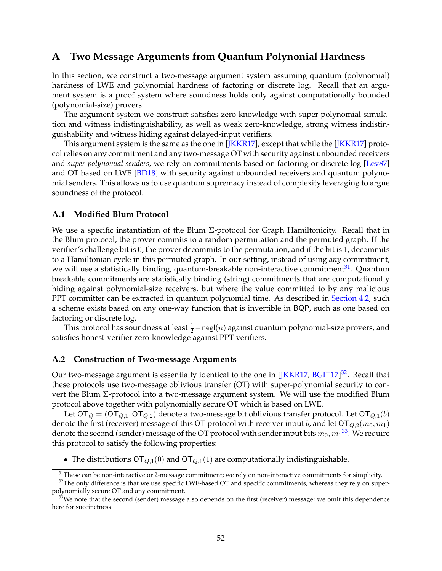# <span id="page-53-3"></span><span id="page-53-0"></span>**A Two Message Arguments from Quantum Polynonial Hardness**

In this section, we construct a two-message argument system assuming quantum (polynomial) hardness of LWE and polynomial hardness of factoring or discrete log. Recall that an argument system is a proof system where soundness holds only against computationally bounded (polynomial-size) provers.

The argument system we construct satisfies zero-knowledge with super-polynomial simulation and witness indistinguishability, as well as weak zero-knowledge, strong witness indistinguishability and witness hiding against delayed-input verifiers.

This argument system is the same as the one in [\[JKKR17\]](#page-51-9), except that while the [\[JKKR17\]](#page-51-9) protocol relies on any commitment and any two-message OT with security against unbounded receivers and *super-polynomial senders*, we rely on commitments based on factoring or discrete log [\[Lev87\]](#page-52-11) and OT based on LWE [\[BD18\]](#page-49-3) with security against unbounded receivers and quantum polynomial senders. This allows us to use quantum supremacy instead of complexity leveraging to argue soundness of the protocol.

## <span id="page-53-1"></span>**A.1 Modified Blum Protocol**

We use a specific instantiation of the Blum  $\Sigma$ -protocol for Graph Hamiltonicity. Recall that in the Blum protocol, the prover commits to a random permutation and the permuted graph. If the verifier's challenge bit is 0, the prover decommits to the permutation, and if the bit is 1, decommits to a Hamiltonian cycle in this permuted graph. In our setting, instead of using *any* commitment, we will use a statistically binding, quantum-breakable non-interactive commitment<sup>[31](#page-53-4)</sup>. Quantum breakable commitments are statistically binding (string) commitments that are computationally hiding against polynomial-size receivers, but where the value committed to by any malicious PPT committer can be extracted in quantum polynomial time. As described in [Section 4.2,](#page-24-0) such a scheme exists based on any one-way function that is invertible in BQP, such as one based on factoring or discrete log.

This protocol has soundness at least  $\frac{1}{2}$  – negl $(n)$  against quantum polynomial-size provers, and satisfies honest-verifier zero-knowledge against PPT verifiers.

## <span id="page-53-2"></span>**A.2 Construction of Two-message Arguments**

Our two-message argument is essentially identical to the one in  $[JKKR17, BGI^+17]^{32}$  $[JKKR17, BGI^+17]^{32}$  $[JKKR17, BGI^+17]^{32}$  $[JKKR17, BGI^+17]^{32}$  $[JKKR17, BGI^+17]^{32}$  $[JKKR17, BGI^+17]^{32}$ . Recall that these protocols use two-message oblivious transfer (OT) with super-polynomial security to convert the Blum Σ-protocol into a two-message argument system. We will use the modified Blum protocol above together with polynomially secure OT which is based on LWE.

Let  $\overline{OT}_Q = (\overline{OT}_{Q,1}, \overline{OT}_{Q,2})$  denote a two-message bit oblivious transfer protocol. Let  $\overline{OT}_{Q,1}(b)$ denote the first (receiver) message of this OT protocol with receiver input b, and let  $\text{OT}_{Q,2}(m_0, m_1)$ denote the second (sender) message of the OT protocol with sender input bits  $m_0, {m_1}^{33}.$  $m_0, {m_1}^{33}.$  $m_0, {m_1}^{33}.$  We require this protocol to satisfy the following properties:

• The distributions  $\overline{OT}_{Q,1}(0)$  and  $\overline{OT}_{Q,1}(1)$  are computationally indistinguishable.

<span id="page-53-5"></span><span id="page-53-4"></span><sup>&</sup>lt;sup>31</sup>These can be non-interactive or 2-message commitment; we rely on non-interactive commitments for simplicity.

 $32$ The only difference is that we use specific LWE-based OT and specific commitments, whereas they rely on superpolynomially secure OT and any commitment.

<span id="page-53-6"></span><sup>&</sup>lt;sup>33</sup>We note that the second (sender) message also depends on the first (receiver) message; we omit this dependence here for succinctness.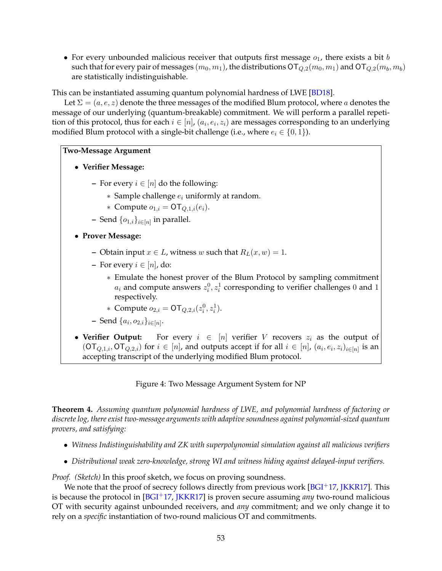<span id="page-54-0"></span>• For every unbounded malicious receiver that outputs first message  $o<sub>1</sub>$ , there exists a bit b such that for every pair of messages  $(m_0, m_1)$ , the distributions  $\text{OT}_{Q,2}(m_0, m_1)$  and  $\text{OT}_{Q,2}(m_b, m_b)$ are statistically indistinguishable.

This can be instantiated assuming quantum polynomial hardness of LWE [\[BD18\]](#page-49-3).

Let  $\Sigma = (a, e, z)$  denote the three messages of the modified Blum protocol, where a denotes the message of our underlying (quantum-breakable) commitment. We will perform a parallel repetition of this protocol, thus for each  $i \in [n]$ ,  $(a_i, e_i, z_i)$  are messages corresponding to an underlying modified Blum protocol with a single-bit challenge (i.e., where  $e_i \in \{0, 1\}$ ).

<span id="page-54-1"></span>**Two-Message Argument**

- **Verifier Message:**
	- **–** For every  $i \in [n]$  do the following:
		- $*$  Sample challenge  $e_i$  uniformly at random.
		- ∗ Compute  $o_{1,i} = \text{OT}_{Q,1,i}(e_i)$ .
	- $-$  Send  $\{o_{1,i}\}_{i\in[n]}$  in parallel.
- **Prover Message:**
	- **–** Obtain input  $x \in L$ , witness w such that  $R_L(x, w) = 1$ .
	- **–** For every  $i \in [n]$ , do:
		- ∗ Emulate the honest prover of the Blum Protocol by sampling commitment  $a_i$  and compute answers  $z_i^0, z_i^1$  corresponding to verifier challenges 0 and 1 respectively.
		- \* Compute  $o_{2,i} = \text{OT}_{Q,2,i}(z_i^0, z_i^1)$ .
	- **−** Send  $\{a_i, o_{2,i}\}_{i \in [n]}$ .
- Verifier Output: For every  $i \in [n]$  verifier V recovers  $z_i$  as the output of  $(\mathsf{OT}_{Q,1,i},\mathsf{OT}_{Q,2,i})$  for  $i \in [n]$ , and outputs accept if for all  $i \in [n]$ ,  $(a_i,e_i,z_i)_{i \in [n]}$  is an accepting transcript of the underlying modified Blum protocol.

Figure 4: Two Message Argument System for NP

**Theorem 4.** *Assuming quantum polynomial hardness of LWE, and polynomial hardness of factoring or discrete log, there exist two-message arguments with adaptive soundness against polynomial-sized quantum provers, and satisfying:*

- *Witness Indistinguishability and ZK with superpolynomial simulation against all malicious verifiers*
- *Distributional weak zero-knowledge, strong WI and witness hiding against delayed-input verifiers.*

*Proof. (Sketch)* In this proof sketch, we focus on proving soundness.

We note that the proof of secrecy follows directly from previous work  $[**BGI**+17, **JKKR17**]$ . This is because the protocol in [\[BGI](#page-50-9)+17, [JKKR17\]](#page-51-9) is proven secure assuming *any* two-round malicious OT with security against unbounded receivers, and *any* commitment; and we only change it to rely on a *specific* instantiation of two-round malicious OT and commitments.